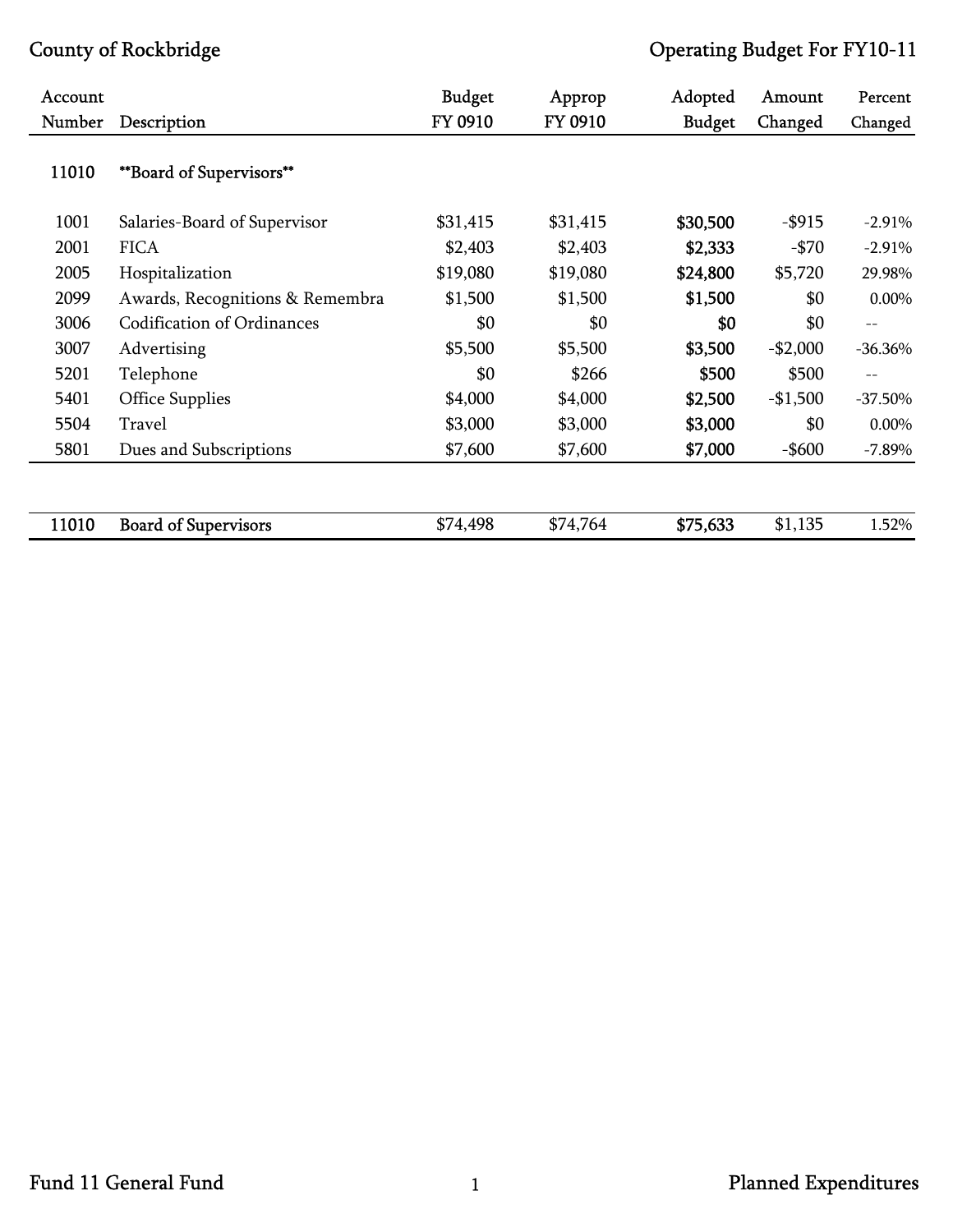| Account |                                   | <b>Budget</b> | Approp   | Adopted       | Amount    | Percent   |
|---------|-----------------------------------|---------------|----------|---------------|-----------|-----------|
| Number  | Description                       | FY 0910       | FY 0910  | <b>Budget</b> | Changed   | Changed   |
| 11010   | **Board of Supervisors**          |               |          |               |           |           |
| 1001    | Salaries-Board of Supervisor      | \$31,415      | \$31,415 | \$30,500      | $-$ \$915 | $-2.91%$  |
| 2001    | <b>FICA</b>                       | \$2,403       | \$2,403  | \$2,333       | $-$ \$70  | $-2.91%$  |
| 2005    | Hospitalization                   | \$19,080      | \$19,080 | \$24,800      | \$5,720   | 29.98%    |
| 2099    | Awards, Recognitions & Remembra   | \$1,500       | \$1,500  | \$1,500       | \$0       | 0.00%     |
| 3006    | <b>Codification of Ordinances</b> | \$0           | \$0      | \$0           | \$0       | $- -$     |
| 3007    | Advertising                       | \$5,500       | \$5,500  | \$3,500       | $-$2,000$ | $-36.36%$ |
| 5201    | Telephone                         | \$0           | \$266    | \$500         | \$500     | $- -$     |
| 5401    | <b>Office Supplies</b>            | \$4,000       | \$4,000  | \$2,500       | $-$1,500$ | $-37.50%$ |
| 5504    | Travel                            | \$3,000       | \$3,000  | \$3,000       | \$0       | 0.00%     |
| 5801    | Dues and Subscriptions            | \$7,600       | \$7,600  | \$7,000       | $-$ \$600 | $-7.89%$  |
|         |                                   |               |          |               |           |           |
| 11010   | <b>Board of Supervisors</b>       | \$74,498      | \$74,764 | \$75,633      | \$1,135   | 1.52%     |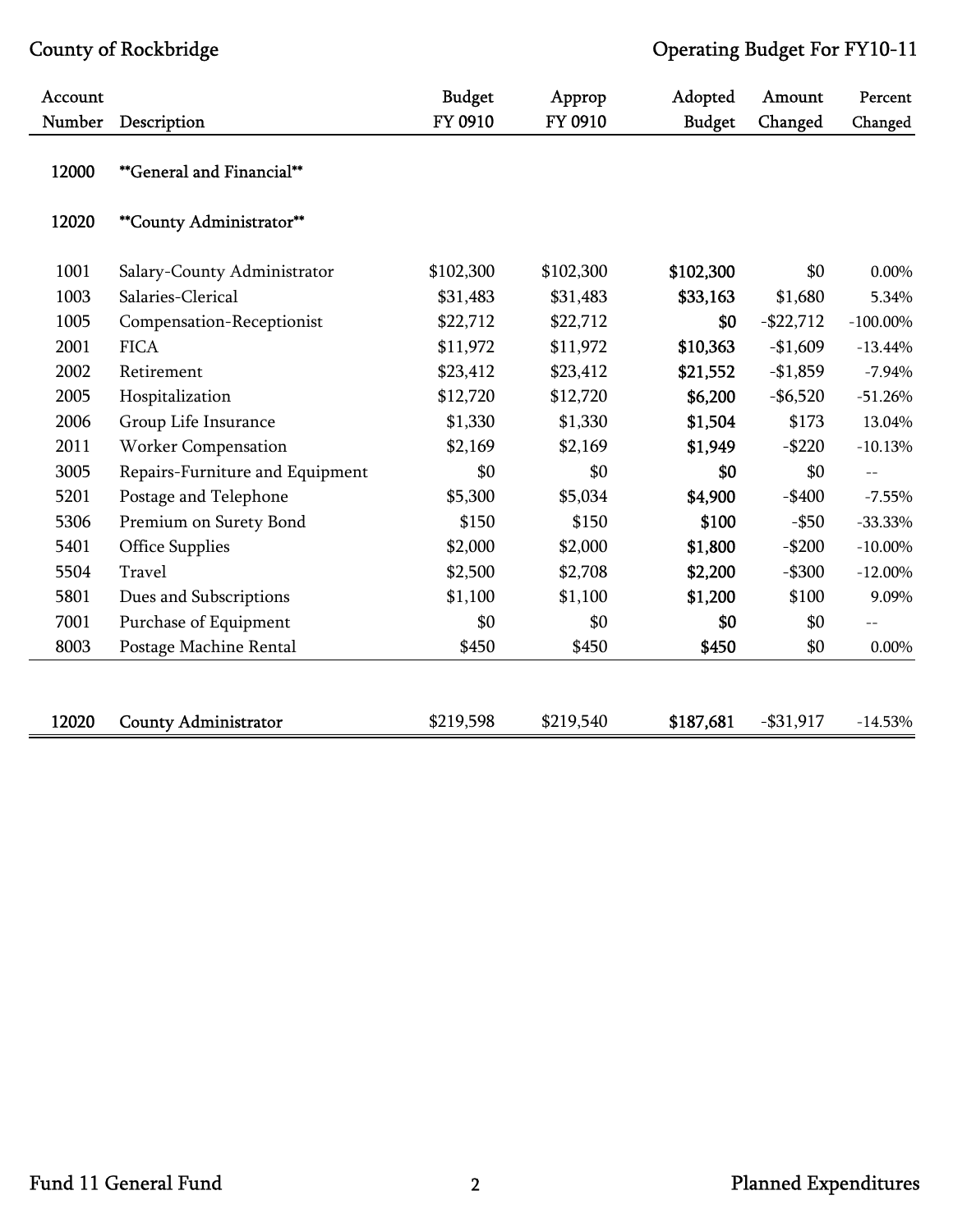| Account |                                 | <b>Budget</b> | Approp    | Adopted       | Amount       | Percent     |
|---------|---------------------------------|---------------|-----------|---------------|--------------|-------------|
| Number  | Description                     | FY 0910       | FY 0910   | <b>Budget</b> | Changed      | Changed     |
| 12000   | **General and Financial**       |               |           |               |              |             |
| 12020   | **County Administrator**        |               |           |               |              |             |
| 1001    | Salary-County Administrator     | \$102,300     | \$102,300 | \$102,300     | \$0          | 0.00%       |
| 1003    | Salaries-Clerical               | \$31,483      | \$31,483  | \$33,163      | \$1,680      | 5.34%       |
| 1005    | Compensation-Receptionist       | \$22,712      | \$22,712  | \$0           | $-$ \$22,712 | $-100.00\%$ |
| 2001    | <b>FICA</b>                     | \$11,972      | \$11,972  | \$10,363      | $-$1,609$    | $-13.44%$   |
| 2002    | Retirement                      | \$23,412      | \$23,412  | \$21,552      | $-$1,859$    | $-7.94%$    |
| 2005    | Hospitalization                 | \$12,720      | \$12,720  | \$6,200       | $-$6,520$    | $-51.26%$   |
| 2006    | Group Life Insurance            | \$1,330       | \$1,330   | \$1,504       | \$173        | 13.04%      |
| 2011    | <b>Worker Compensation</b>      | \$2,169       | \$2,169   | \$1,949       | $-$ \$220    | $-10.13%$   |
| 3005    | Repairs-Furniture and Equipment | \$0           | \$0       | \$0           | \$0          | $- -$       |
| 5201    | Postage and Telephone           | \$5,300       | \$5,034   | \$4,900       | $-$400$      | $-7.55\%$   |
| 5306    | Premium on Surety Bond          | \$150         | \$150     | \$100         | $-$ \$50     | $-33.33\%$  |
| 5401    | <b>Office Supplies</b>          | \$2,000       | \$2,000   | \$1,800       | $-$200$      | $-10.00\%$  |
| 5504    | Travel                          | \$2,500       | \$2,708   | \$2,200       | $-$ \$300    | $-12.00\%$  |
| 5801    | Dues and Subscriptions          | \$1,100       | \$1,100   | \$1,200       | \$100        | 9.09%       |
| 7001    | Purchase of Equipment           | \$0           | \$0       | \$0           | \$0          | $-$         |
| 8003    | Postage Machine Rental          | \$450         | \$450     | \$450         | \$0          | 0.00%       |
|         |                                 |               |           |               |              |             |
| 12020   | <b>County Administrator</b>     | \$219,598     | \$219,540 | \$187,681     | $- $31,917$  | $-14.53%$   |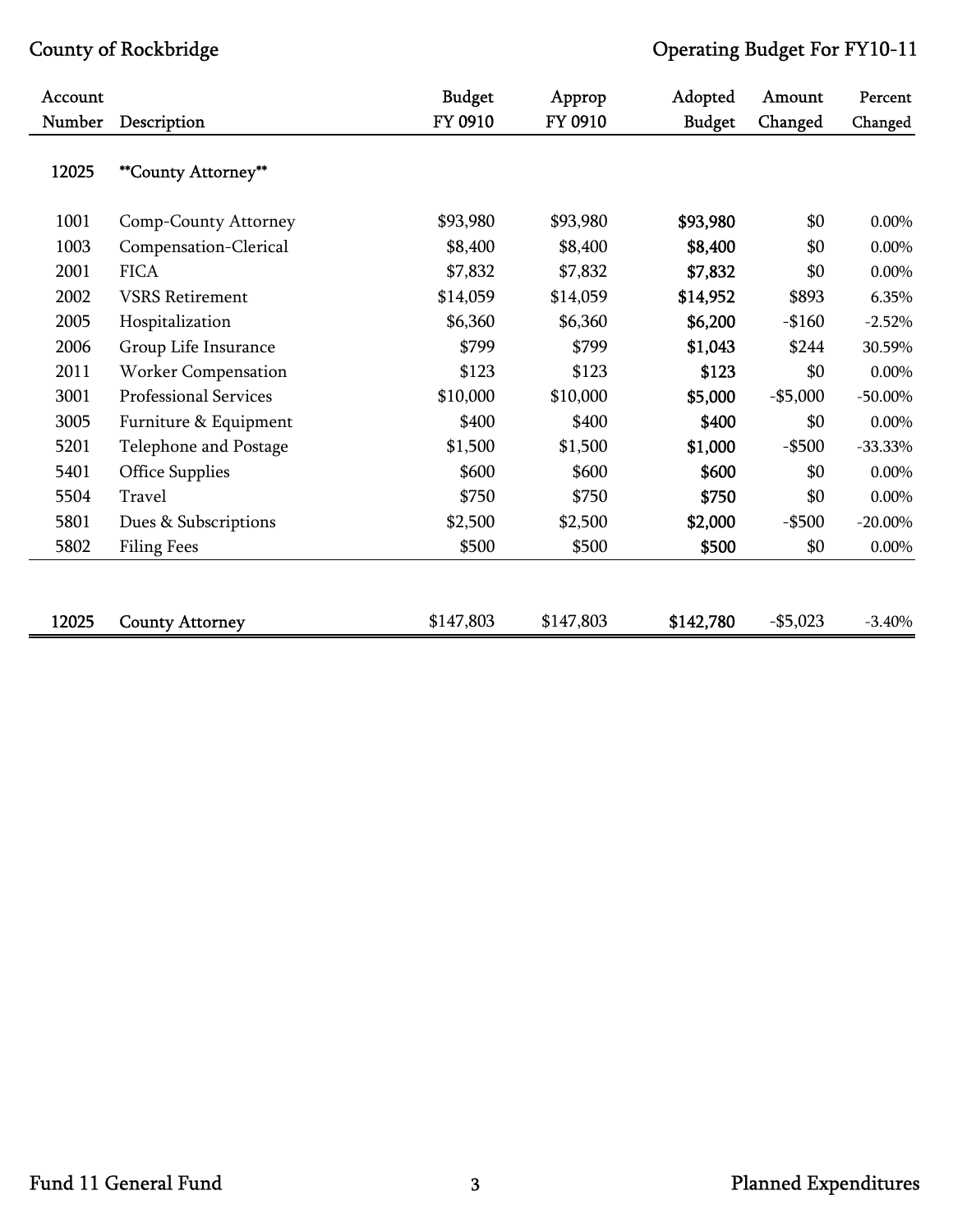| <b>Account</b> |                        | <b>Budget</b> | Approp    | Adopted       | Amount     | Percent    |
|----------------|------------------------|---------------|-----------|---------------|------------|------------|
| Number         | Description            | FY 0910       | FY 0910   | <b>Budget</b> | Changed    | Changed    |
| 12025          | **County Attorney**    |               |           |               |            |            |
| 1001           | Comp-County Attorney   | \$93,980      | \$93,980  | \$93,980      | \$0        | 0.00%      |
| 1003           | Compensation-Clerical  | \$8,400       | \$8,400   | \$8,400       | \$0        | 0.00%      |
| 2001           | <b>FICA</b>            | \$7,832       | \$7,832   | \$7,832       | \$0        | 0.00%      |
| 2002           | <b>VSRS</b> Retirement | \$14,059      | \$14,059  | \$14,952      | \$893      | 6.35%      |
| 2005           | Hospitalization        | \$6,360       | \$6,360   | \$6,200       | $-$160$    | $-2.52%$   |
| 2006           | Group Life Insurance   | \$799         | \$799     | \$1,043       | \$244      | 30.59%     |
| 2011           | Worker Compensation    | \$123         | \$123     | \$123         | \$0        | 0.00%      |
| 3001           | Professional Services  | \$10,000      | \$10,000  | \$5,000       | $-$5,000$  | $-50.00\%$ |
| 3005           | Furniture & Equipment  | \$400         | \$400     | \$400         | \$0        | 0.00%      |
| 5201           | Telephone and Postage  | \$1,500       | \$1,500   | \$1,000       | $-$ \$500  | $-33.33\%$ |
| 5401           | <b>Office Supplies</b> | \$600         | \$600     | \$600         | \$0        | 0.00%      |
| 5504           | Travel                 | \$750         | \$750     | \$750         | \$0        | 0.00%      |
| 5801           | Dues & Subscriptions   | \$2,500       | \$2,500   | \$2,000       | $-$ \$500  | $-20.00\%$ |
| 5802           | <b>Filing Fees</b>     | \$500         | \$500     | \$500         | \$0        | 0.00%      |
|                |                        |               |           |               |            |            |
| 12025          | <b>County Attorney</b> | \$147,803     | \$147,803 | \$142,780     | $- $5,023$ | $-3.40%$   |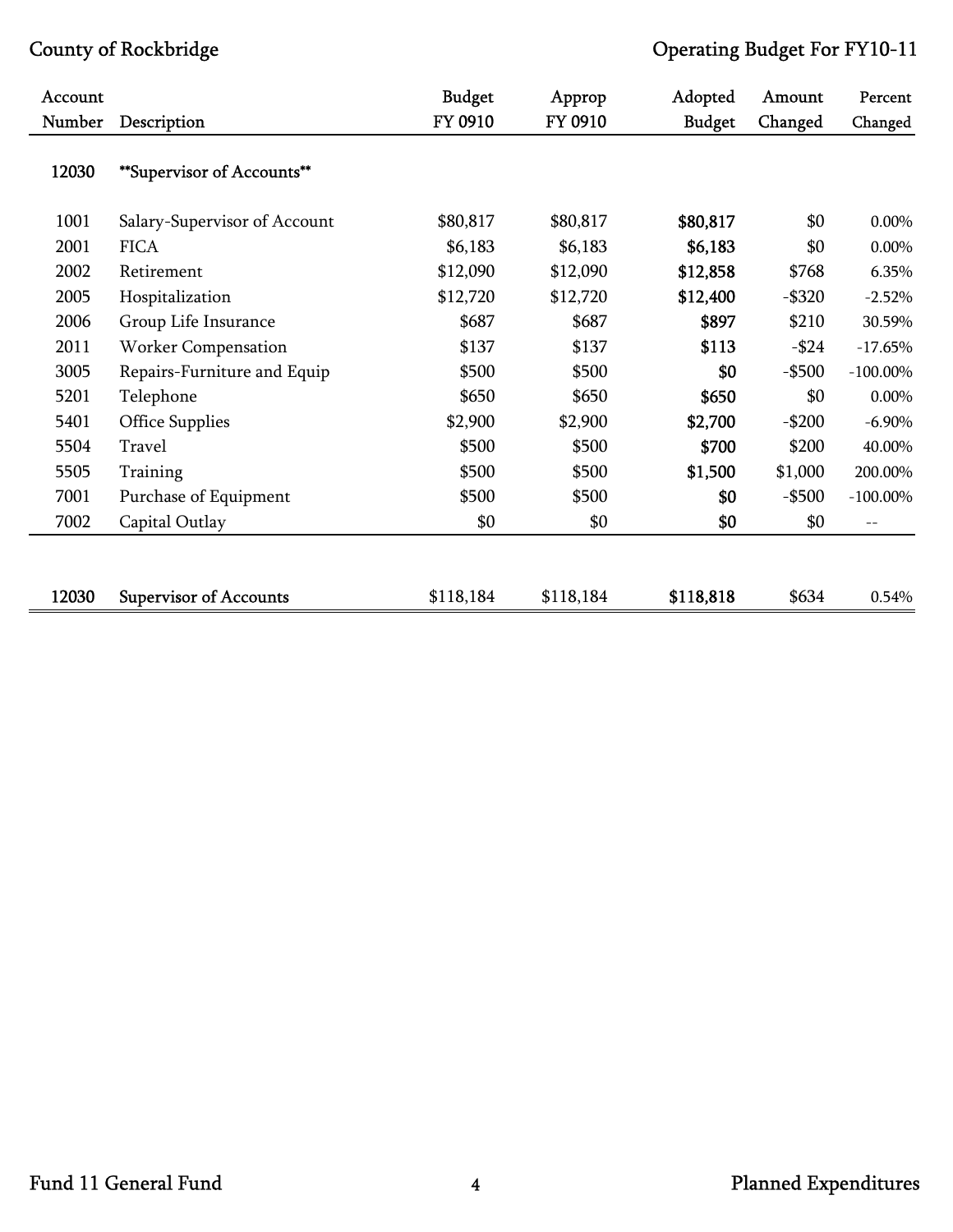| Account |                               | <b>Budget</b> | Approp    | Adopted       | Amount    | Percent     |
|---------|-------------------------------|---------------|-----------|---------------|-----------|-------------|
| Number  | Description                   | FY 0910       | FY 0910   | <b>Budget</b> | Changed   | Changed     |
| 12030   | **Supervisor of Accounts**    |               |           |               |           |             |
| 1001    | Salary-Supervisor of Account  | \$80,817      | \$80,817  | \$80,817      | \$0       | 0.00%       |
| 2001    | <b>FICA</b>                   | \$6,183       | \$6,183   | \$6,183       | \$0       | 0.00%       |
| 2002    | Retirement                    | \$12,090      | \$12,090  | \$12,858      | \$768     | 6.35%       |
| 2005    | Hospitalization               | \$12,720      | \$12,720  | \$12,400      | $-$ \$320 | $-2.52%$    |
| 2006    | Group Life Insurance          | \$687         | \$687     | \$897         | \$210     | 30.59%      |
| 2011    | Worker Compensation           | \$137         | \$137     | \$113         | $-$ \$24  | $-17.65%$   |
| 3005    | Repairs-Furniture and Equip   | \$500         | \$500     | \$0           | $-$ \$500 | $-100.00\%$ |
| 5201    | Telephone                     | \$650         | \$650     | \$650         | \$0       | 0.00%       |
| 5401    | Office Supplies               | \$2,900       | \$2,900   | \$2,700       | $-$200$   | $-6.90\%$   |
| 5504    | Travel                        | \$500         | \$500     | \$700         | \$200     | 40.00%      |
| 5505    | Training                      | \$500         | \$500     | \$1,500       | \$1,000   | 200.00%     |
| 7001    | Purchase of Equipment         | \$500         | \$500     | \$0           | $-$ \$500 | $-100.00\%$ |
| 7002    | Capital Outlay                | \$0           | \$0       | \$0           | \$0       | $- -$       |
|         |                               |               |           |               |           |             |
| 12030   | <b>Supervisor of Accounts</b> | \$118,184     | \$118,184 | \$118,818     | \$634     | 0.54%       |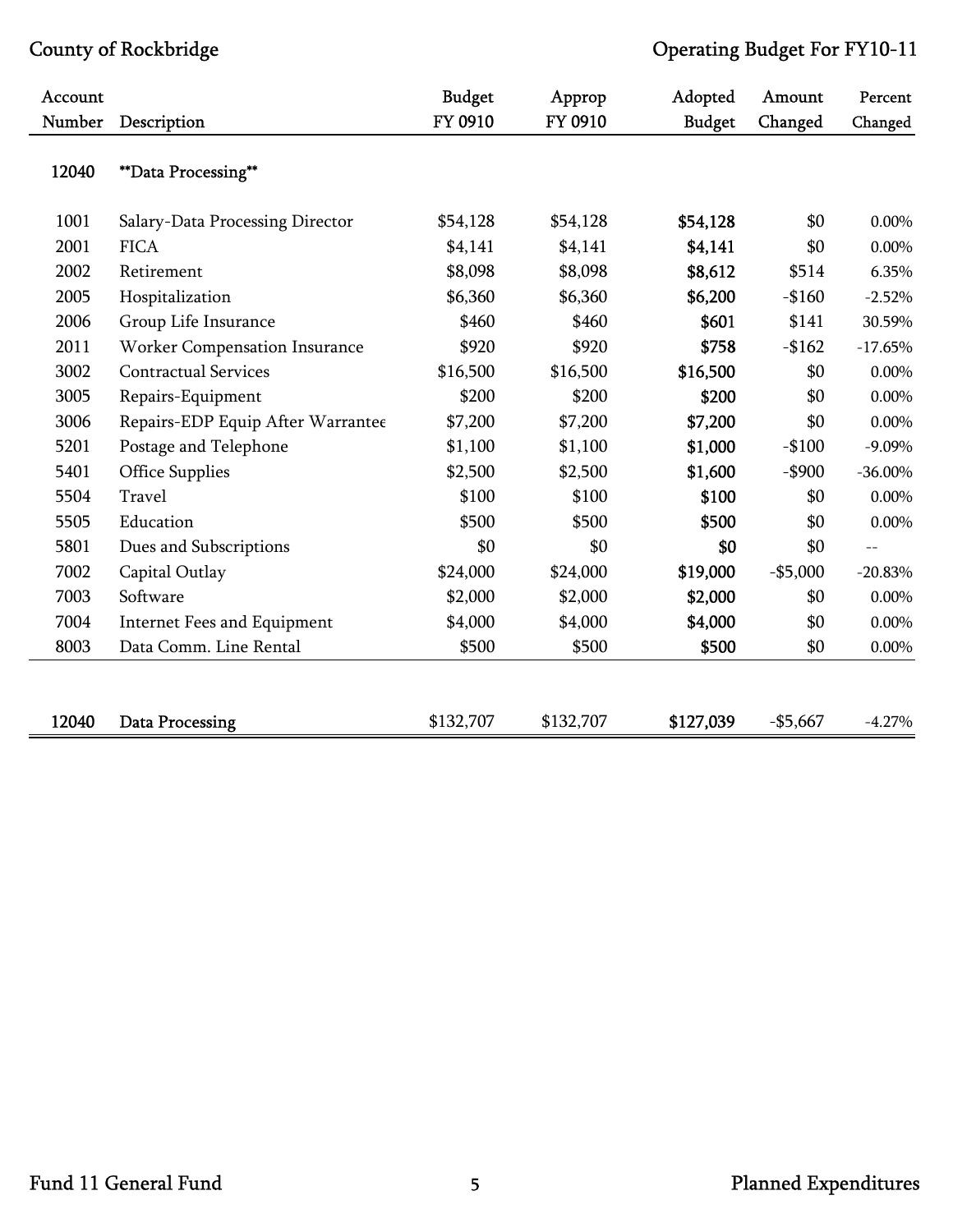| Account<br>Number |                                      | <b>Budget</b><br>FY 0910 | Approp<br>FY 0910 | Adopted       | Amount    | Percent    |
|-------------------|--------------------------------------|--------------------------|-------------------|---------------|-----------|------------|
|                   | Description                          |                          |                   | <b>Budget</b> | Changed   | Changed    |
| 12040             | **Data Processing**                  |                          |                   |               |           |            |
| 1001              | Salary-Data Processing Director      | \$54,128                 | \$54,128          | \$54,128      | \$0       | 0.00%      |
| 2001              | <b>FICA</b>                          | \$4,141                  | \$4,141           | \$4,141       | \$0       | 0.00%      |
| 2002              | Retirement                           | \$8,098                  | \$8,098           | \$8,612       | \$514     | 6.35%      |
| 2005              | Hospitalization                      | \$6,360                  | \$6,360           | \$6,200       | $-$160$   | $-2.52%$   |
| 2006              | Group Life Insurance                 | \$460                    | \$460             | \$601         | \$141     | 30.59%     |
| 2011              | <b>Worker Compensation Insurance</b> | \$920                    | \$920             | \$758         | $-$162$   | $-17.65%$  |
| 3002              | <b>Contractual Services</b>          | \$16,500                 | \$16,500          | \$16,500      | \$0       | 0.00%      |
| 3005              | Repairs-Equipment                    | \$200                    | \$200             | \$200         | \$0       | $0.00\%$   |
| 3006              | Repairs-EDP Equip After Warrantee    | \$7,200                  | \$7,200           | \$7,200       | \$0       | 0.00%      |
| 5201              | Postage and Telephone                | \$1,100                  | \$1,100           | \$1,000       | $-$100$   | $-9.09\%$  |
| 5401              | <b>Office Supplies</b>               | \$2,500                  | \$2,500           | \$1,600       | $-$ \$900 | $-36.00\%$ |
| 5504              | Travel                               | \$100                    | \$100             | \$100         | \$0       | $0.00\%$   |
| 5505              | Education                            | \$500                    | \$500             | \$500         | \$0       | 0.00%      |
| 5801              | Dues and Subscriptions               | \$0                      | \$0               | \$0           | \$0       | $-$        |
| 7002              | Capital Outlay                       | \$24,000                 | \$24,000          | \$19,000      | $-$5,000$ | $-20.83%$  |
| 7003              | Software                             | \$2,000                  | \$2,000           | \$2,000       | \$0       | 0.00%      |
| 7004              | Internet Fees and Equipment          | \$4,000                  | \$4,000           | \$4,000       | \$0       | 0.00%      |
| 8003              | Data Comm. Line Rental               | \$500                    | \$500             | \$500         | \$0       | $0.00\%$   |
|                   |                                      |                          |                   |               |           |            |
| 12040             | <b>Data Processing</b>               | \$132,707                | \$132,707         | \$127,039     | $-$5,667$ | $-4.27%$   |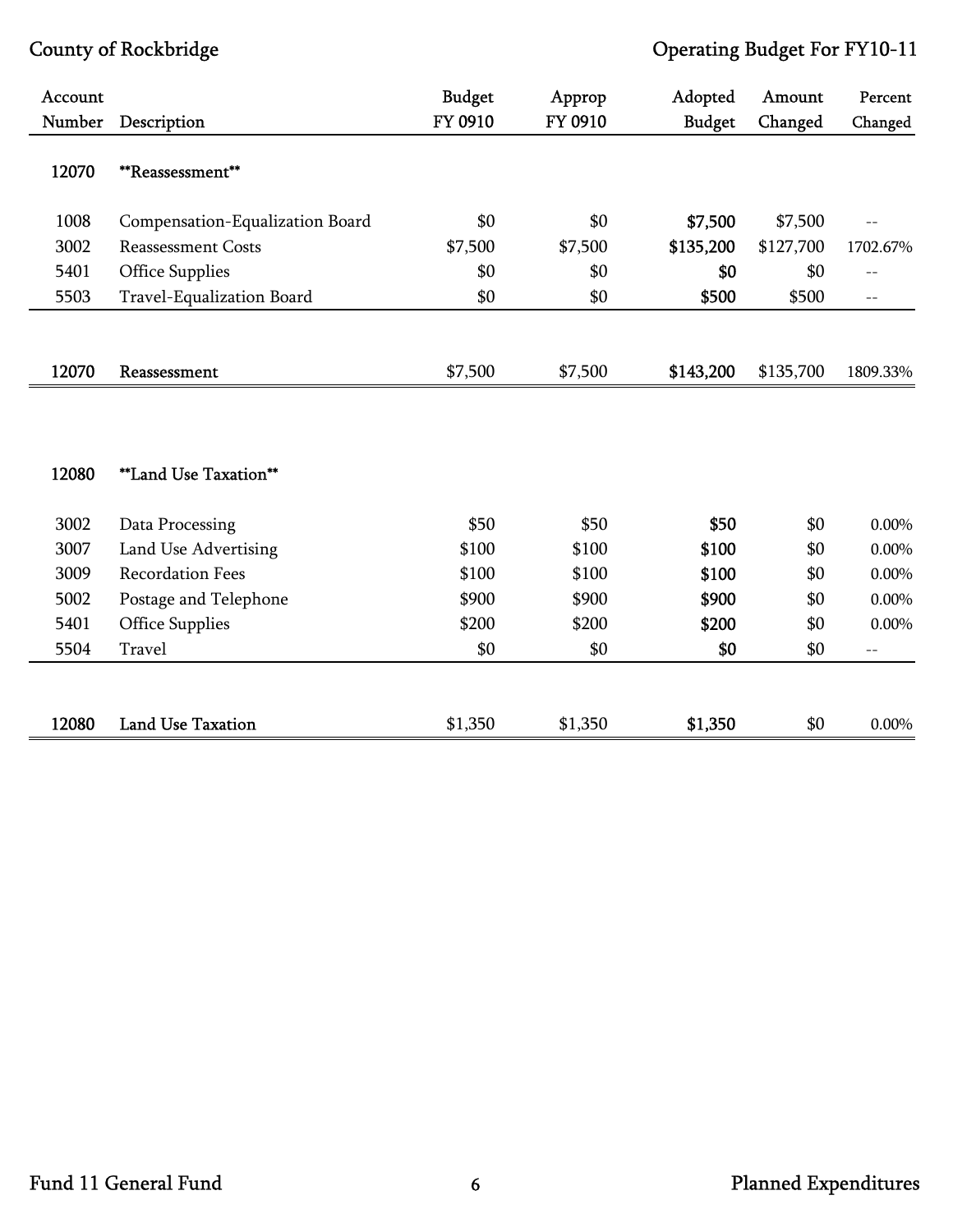| Account |                                 | <b>Budget</b> | Approp  | Adopted       | Amount    | Percent           |
|---------|---------------------------------|---------------|---------|---------------|-----------|-------------------|
| Number  | Description                     | FY 0910       | FY 0910 | <b>Budget</b> | Changed   | Changed           |
| 12070   | **Reassessment**                |               |         |               |           |                   |
| 1008    | Compensation-Equalization Board | \$0           | \$0     | \$7,500       | \$7,500   |                   |
| 3002    | <b>Reassessment Costs</b>       | \$7,500       | \$7,500 | \$135,200     | \$127,700 | 1702.67%          |
| 5401    | Office Supplies                 | \$0           | \$0     | \$0           | \$0       | $-$               |
| 5503    | Travel-Equalization Board       | \$0           | \$0     | \$500         | \$500     | $\equiv$ $\equiv$ |
| 12070   | Reassessment                    | \$7,500       | \$7,500 | \$143,200     | \$135,700 | 1809.33%          |
| 12080   | **Land Use Taxation**           |               |         |               |           |                   |
| 3002    | Data Processing                 | \$50          | \$50    | \$50          | \$0       | 0.00%             |
| 3007    | Land Use Advertising            | \$100         | \$100   | \$100         | \$0       | $0.00\%$          |
| 3009    | <b>Recordation Fees</b>         | \$100         | \$100   | \$100         | \$0       | $0.00\%$          |
| 5002    | Postage and Telephone           | \$900         | \$900   | \$900         | \$0       | $0.00\%$          |
| 5401    | <b>Office Supplies</b>          | \$200         | \$200   | \$200         | \$0       | $0.00\%$          |
| 5504    | Travel                          | \$0           | \$0     | \$0           | \$0       | $-$               |
|         |                                 |               |         |               |           |                   |
| 12080   | <b>Land Use Taxation</b>        | \$1,350       | \$1,350 | \$1,350       | \$0       | 0.00%             |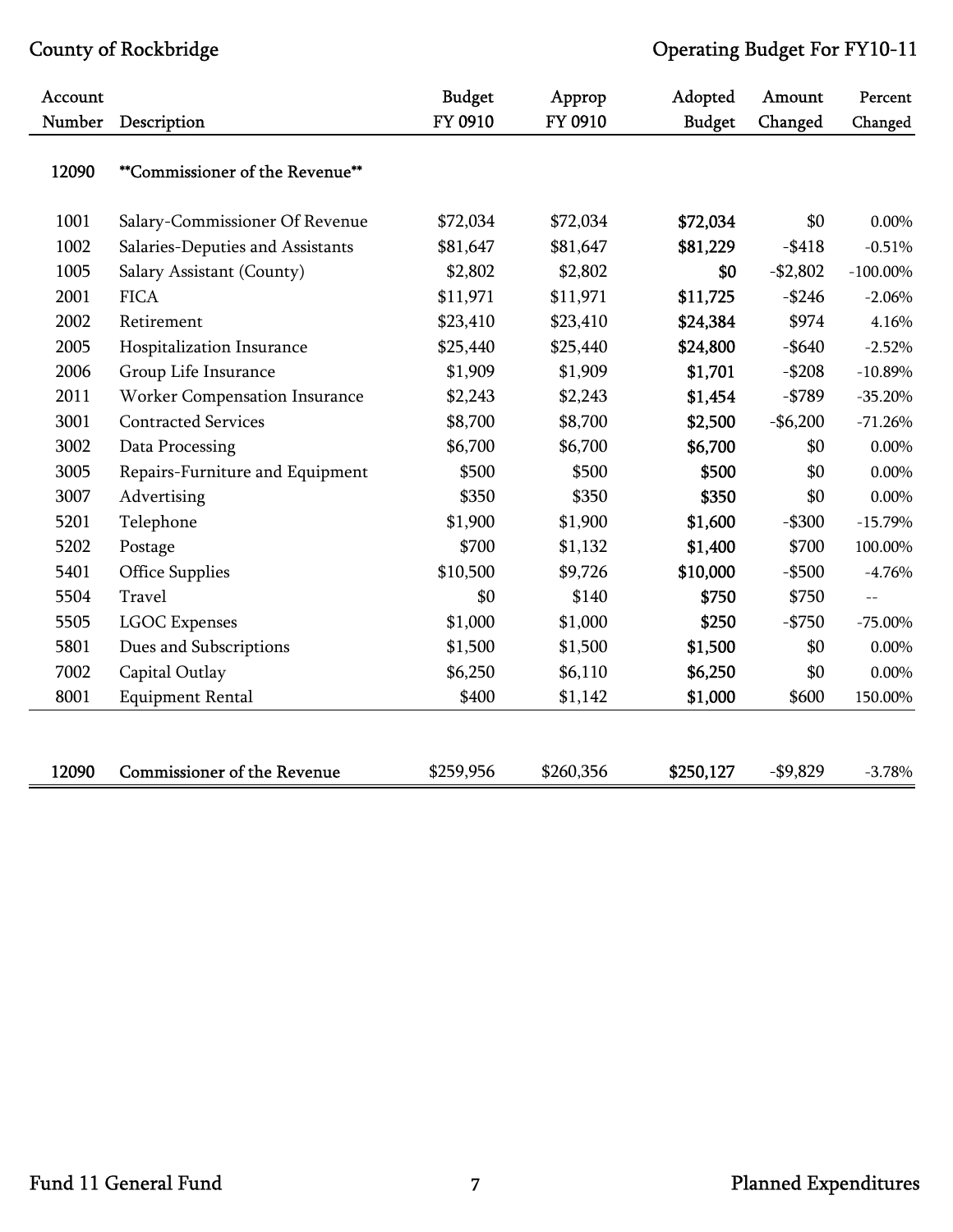| Account |                                    | <b>Budget</b> | Approp    | Adopted       | Amount    | Percent     |
|---------|------------------------------------|---------------|-----------|---------------|-----------|-------------|
| Number  | Description                        | FY 0910       | FY 0910   | <b>Budget</b> | Changed   | Changed     |
| 12090   | **Commissioner of the Revenue**    |               |           |               |           |             |
| 1001    | Salary-Commissioner Of Revenue     | \$72,034      | \$72,034  | \$72,034      | \$0       | 0.00%       |
| 1002    | Salaries-Deputies and Assistants   | \$81,647      | \$81,647  | \$81,229      | $-$ \$418 | $-0.51%$    |
| 1005    | Salary Assistant (County)          | \$2,802       | \$2,802   | \$0           | $-$2,802$ | $-100.00\%$ |
| 2001    | <b>FICA</b>                        | \$11,971      | \$11,971  | \$11,725      | $-$ \$246 | $-2.06%$    |
| 2002    | Retirement                         | \$23,410      | \$23,410  | \$24,384      | \$974     | 4.16%       |
| 2005    | Hospitalization Insurance          | \$25,440      | \$25,440  | \$24,800      | $-$ \$640 | $-2.52%$    |
| 2006    | Group Life Insurance               | \$1,909       | \$1,909   | \$1,701       | $- $208$  | $-10.89%$   |
| 2011    | Worker Compensation Insurance      | \$2,243       | \$2,243   | \$1,454       | $-$ \$789 | $-35.20%$   |
| 3001    | <b>Contracted Services</b>         | \$8,700       | \$8,700   | \$2,500       | $-$6,200$ | $-71.26%$   |
| 3002    | Data Processing                    | \$6,700       | \$6,700   | \$6,700       | \$0       | $0.00\%$    |
| 3005    | Repairs-Furniture and Equipment    | \$500         | \$500     | \$500         | \$0       | $0.00\%$    |
| 3007    | Advertising                        | \$350         | \$350     | \$350         | \$0       | 0.00%       |
| 5201    | Telephone                          | \$1,900       | \$1,900   | \$1,600       | $-$ \$300 | $-15.79%$   |
| 5202    | Postage                            | \$700         | \$1,132   | \$1,400       | \$700     | 100.00%     |
| 5401    | Office Supplies                    | \$10,500      | \$9,726   | \$10,000      | $-$ \$500 | $-4.76%$    |
| 5504    | Travel                             | \$0           | \$140     | \$750         | \$750     | $-$         |
| 5505    | <b>LGOC</b> Expenses               | \$1,000       | \$1,000   | \$250         | $-$ \$750 | $-75.00\%$  |
| 5801    | Dues and Subscriptions             | \$1,500       | \$1,500   | \$1,500       | \$0       | $0.00\%$    |
| 7002    | Capital Outlay                     | \$6,250       | \$6,110   | \$6,250       | \$0       | $0.00\%$    |
| 8001    | <b>Equipment Rental</b>            | \$400         | \$1,142   | \$1,000       | \$600     | 150.00%     |
|         |                                    |               |           |               |           |             |
| 12090   | <b>Commissioner of the Revenue</b> | \$259,956     | \$260,356 | \$250,127     | $-$9,829$ | $-3.78%$    |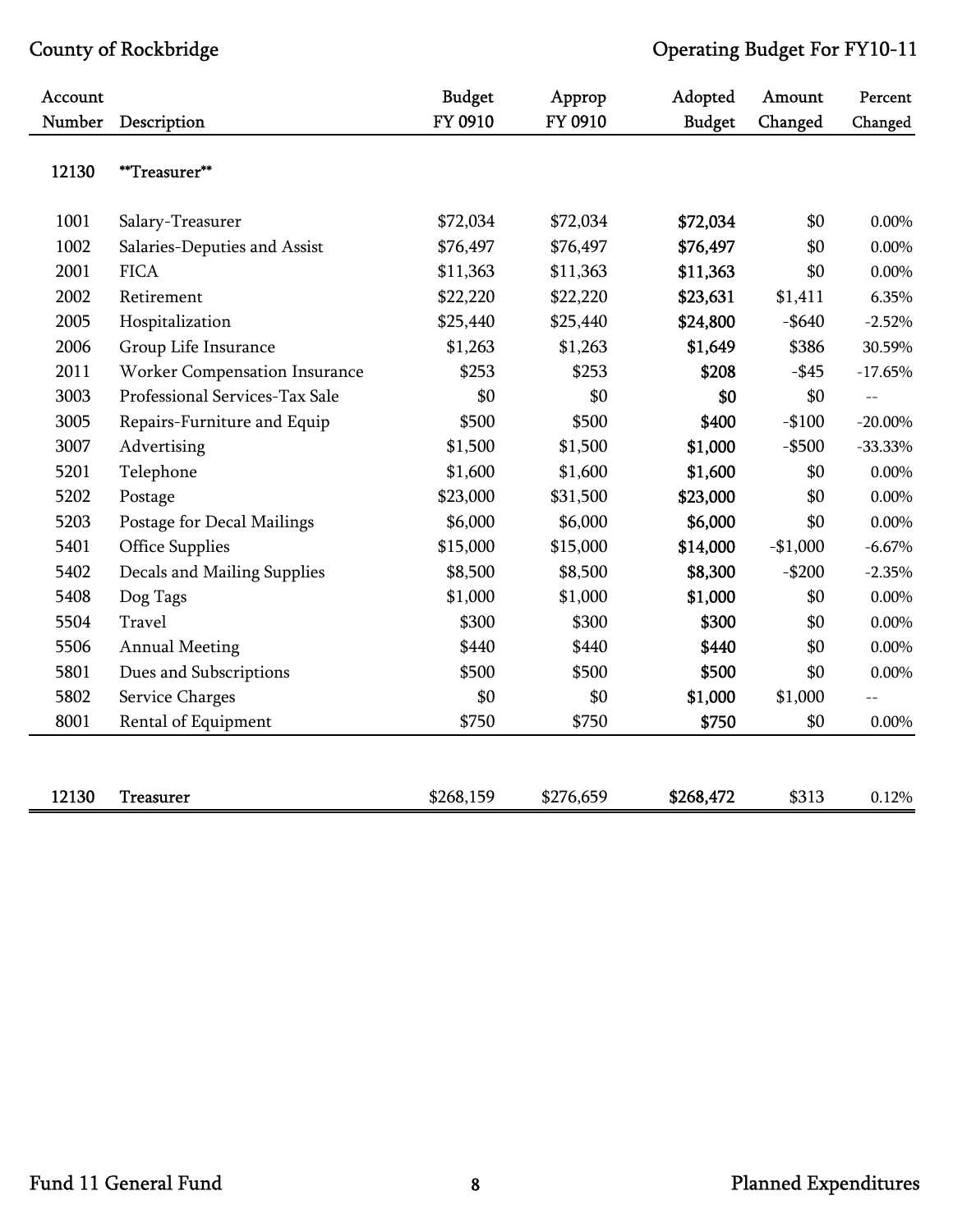| Account |                                | <b>Budget</b> | Approp    | Adopted       | Amount    | Percent           |
|---------|--------------------------------|---------------|-----------|---------------|-----------|-------------------|
| Number  | Description                    | FY 0910       | FY 0910   | <b>Budget</b> | Changed   | Changed           |
| 12130   | **Treasurer**                  |               |           |               |           |                   |
| 1001    | Salary-Treasurer               | \$72,034      | \$72,034  | \$72,034      | \$0       | 0.00%             |
| 1002    | Salaries-Deputies and Assist   | \$76,497      | \$76,497  | \$76,497      | \$0       | $0.00\%$          |
| 2001    | <b>FICA</b>                    | \$11,363      | \$11,363  | \$11,363      | \$0       | $0.00\%$          |
| 2002    | Retirement                     | \$22,220      | \$22,220  | \$23,631      | \$1,411   | 6.35%             |
| 2005    | Hospitalization                | \$25,440      | \$25,440  | \$24,800      | $-$ \$640 | $-2.52%$          |
| 2006    | Group Life Insurance           | \$1,263       | \$1,263   | \$1,649       | \$386     | 30.59%            |
| 2011    | Worker Compensation Insurance  | \$253         | \$253     | \$208         | $-$ \$45  | $-17.65%$         |
| 3003    | Professional Services-Tax Sale | \$0           | \$0       | \$0           | \$0       | $\qquad \qquad -$ |
| 3005    | Repairs-Furniture and Equip    | \$500         | \$500     | \$400         | $-$100$   | $-20.00\%$        |
| 3007    | Advertising                    | \$1,500       | \$1,500   | \$1,000       | $-$ \$500 | $-33.33%$         |
| 5201    | Telephone                      | \$1,600       | \$1,600   | \$1,600       | \$0       | 0.00%             |
| 5202    | Postage                        | \$23,000      | \$31,500  | \$23,000      | \$0       | $0.00\%$          |
| 5203    | Postage for Decal Mailings     | \$6,000       | \$6,000   | \$6,000       | \$0       | 0.00%             |
| 5401    | <b>Office Supplies</b>         | \$15,000      | \$15,000  | \$14,000      | $-$1,000$ | $-6.67\%$         |
| 5402    | Decals and Mailing Supplies    | \$8,500       | \$8,500   | \$8,300       | $-$200$   | $-2.35%$          |
| 5408    | Dog Tags                       | \$1,000       | \$1,000   | \$1,000       | \$0       | 0.00%             |
| 5504    | Travel                         | \$300         | \$300     | \$300         | \$0       | $0.00\%$          |
| 5506    | <b>Annual Meeting</b>          | \$440         | \$440     | \$440         | \$0       | 0.00%             |
| 5801    | Dues and Subscriptions         | \$500         | \$500     | \$500         | \$0       | 0.00%             |
| 5802    | Service Charges                | \$0           | \$0       | \$1,000       | \$1,000   |                   |
| 8001    | Rental of Equipment            | \$750         | \$750     | \$750         | \$0       | 0.00%             |
|         |                                |               |           |               |           |                   |
| 12130   | <b>Treasurer</b>               | \$268,159     | \$276,659 | \$268,472     | \$313     | 0.12%             |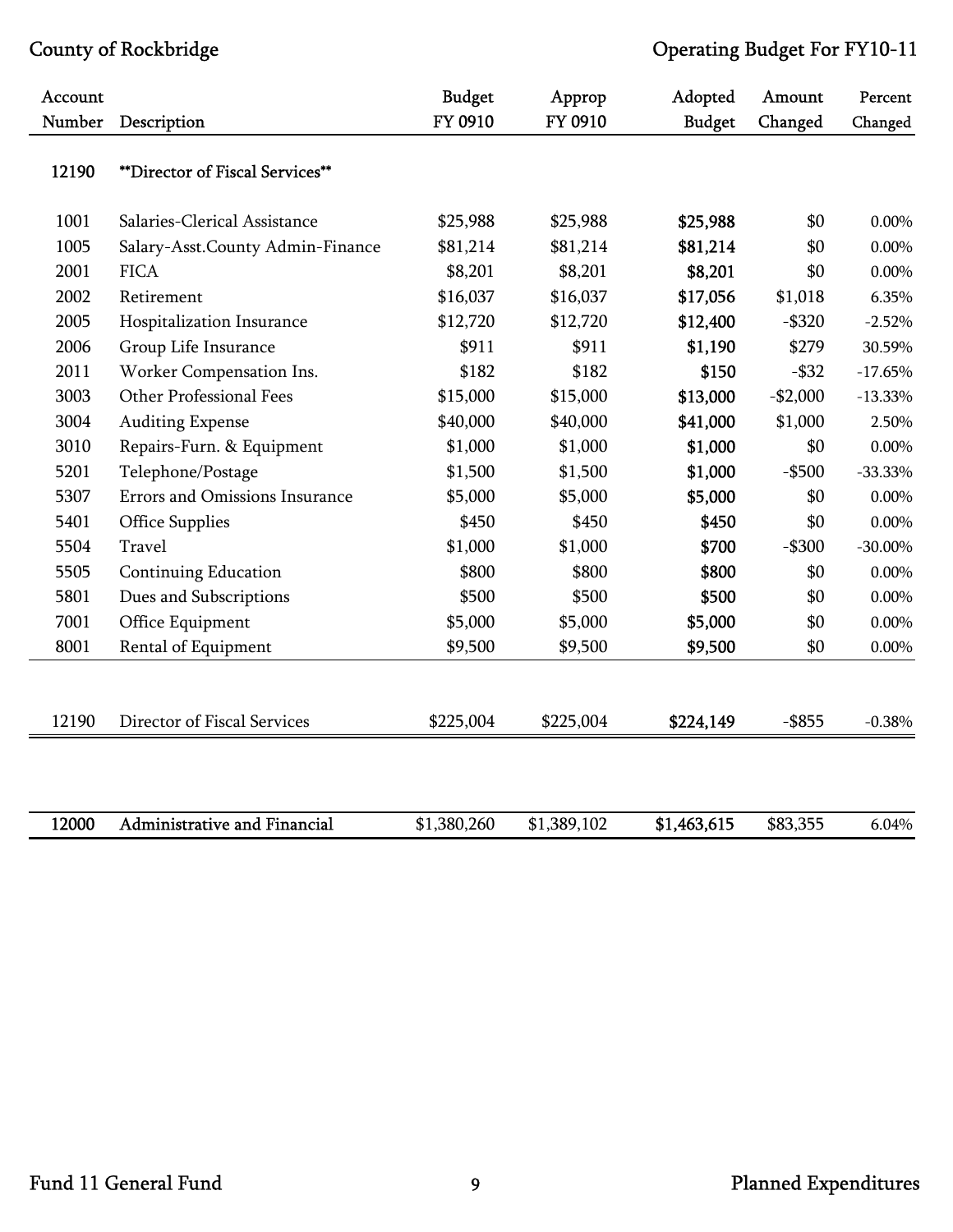| Account |                                     | <b>Budget</b> | Approp      | Adopted       | Amount    | Percent    |
|---------|-------------------------------------|---------------|-------------|---------------|-----------|------------|
| Number  | Description                         | FY 0910       | FY 0910     | <b>Budget</b> | Changed   | Changed    |
| 12190   | **Director of Fiscal Services**     |               |             |               |           |            |
| 1001    | Salaries-Clerical Assistance        | \$25,988      | \$25,988    | \$25,988      | \$0       | 0.00%      |
| 1005    | Salary-Asst.County Admin-Finance    | \$81,214      | \$81,214    | \$81,214      | \$0       | 0.00%      |
| 2001    | <b>FICA</b>                         | \$8,201       | \$8,201     | \$8,201       | \$0       | $0.00\%$   |
| 2002    | Retirement                          | \$16,037      | \$16,037    | \$17,056      | \$1,018   | 6.35%      |
| 2005    | Hospitalization Insurance           | \$12,720      | \$12,720    | \$12,400      | $-$ \$320 | $-2.52%$   |
| 2006    | Group Life Insurance                | \$911         | \$911       | \$1,190       | \$279     | 30.59%     |
| 2011    | Worker Compensation Ins.            | \$182         | \$182       | \$150         | $-$ \$32  | $-17.65%$  |
| 3003    | Other Professional Fees             | \$15,000      | \$15,000    | \$13,000      | $-$2,000$ | $-13.33%$  |
| 3004    | <b>Auditing Expense</b>             | \$40,000      | \$40,000    | \$41,000      | \$1,000   | 2.50%      |
| 3010    | Repairs-Furn. & Equipment           | \$1,000       | \$1,000     | \$1,000       | \$0       | 0.00%      |
| 5201    | Telephone/Postage                   | \$1,500       | \$1,500     | \$1,000       | $-$ \$500 | $-33.33%$  |
| 5307    | Errors and Omissions Insurance      | \$5,000       | \$5,000     | \$5,000       | \$0       | $0.00\%$   |
| 5401    | <b>Office Supplies</b>              | \$450         | \$450       | \$450         | \$0       | 0.00%      |
| 5504    | Travel                              | \$1,000       | \$1,000     | \$700         | $-$ \$300 | $-30.00\%$ |
| 5505    | <b>Continuing Education</b>         | \$800         | \$800       | \$800         | \$0       | $0.00\%$   |
| 5801    | Dues and Subscriptions              | \$500         | \$500       | \$500         | \$0       | 0.00%      |
| 7001    | Office Equipment                    | \$5,000       | \$5,000     | \$5,000       | \$0       | 0.00%      |
| 8001    | Rental of Equipment                 | \$9,500       | \$9,500     | \$9,500       | \$0       | $0.00\%$   |
|         |                                     |               |             |               |           |            |
| 12190   | Director of Fiscal Services         | \$225,004     | \$225,004   | \$224,149     | $-$ \$855 | $-0.38%$   |
|         |                                     |               |             |               |           |            |
| 12000   | <b>Administrative and Financial</b> | \$1,380,260   | \$1,389,102 | \$1,463,615   | \$83,355  | 6.04%      |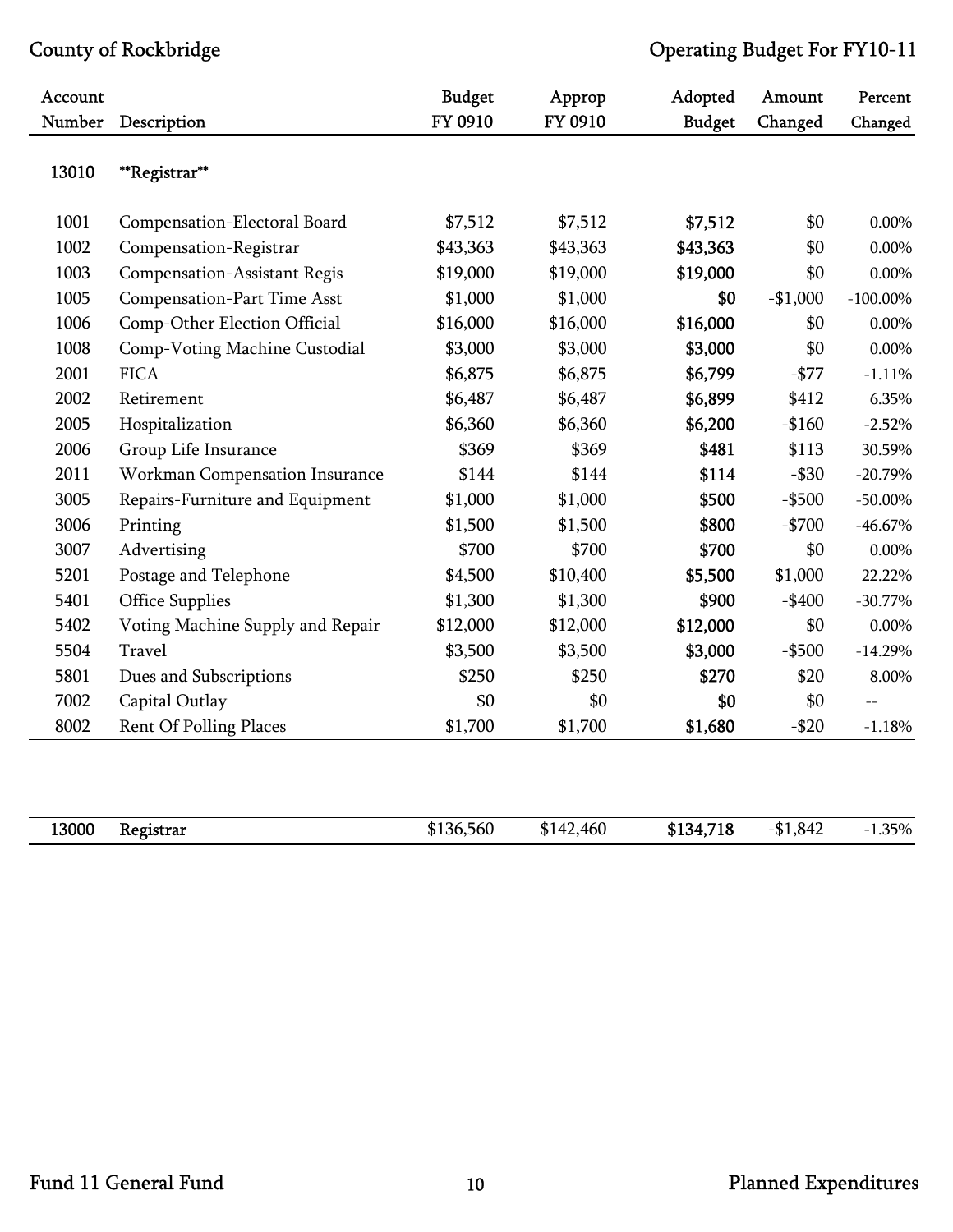| Account |                                     | <b>Budget</b> | Approp    | Adopted       | Amount    | Percent     |
|---------|-------------------------------------|---------------|-----------|---------------|-----------|-------------|
| Number  | Description                         | FY 0910       | FY 0910   | <b>Budget</b> | Changed   | Changed     |
| 13010   | **Registrar**                       |               |           |               |           |             |
| 1001    | Compensation-Electoral Board        | \$7,512       | \$7,512   | \$7,512       | \$0       | $0.00\%$    |
| 1002    | Compensation-Registrar              | \$43,363      | \$43,363  | \$43,363      | \$0       | $0.00\%$    |
| 1003    | <b>Compensation-Assistant Regis</b> | \$19,000      | \$19,000  | \$19,000      | \$0       | $0.00\%$    |
| 1005    | <b>Compensation-Part Time Asst</b>  | \$1,000       | \$1,000   | \$0           | $-$1,000$ | $-100.00\%$ |
| 1006    | Comp-Other Election Official        | \$16,000      | \$16,000  | \$16,000      | \$0       | $0.00\%$    |
| 1008    | Comp-Voting Machine Custodial       | \$3,000       | \$3,000   | \$3,000       | \$0       | $0.00\%$    |
| 2001    | <b>FICA</b>                         | \$6,875       | \$6,875   | \$6,799       | $-$ \$77  | $-1.11%$    |
| 2002    | Retirement                          | \$6,487       | \$6,487   | \$6,899       | \$412     | 6.35%       |
| 2005    | Hospitalization                     | \$6,360       | \$6,360   | \$6,200       | $-$160$   | $-2.52%$    |
| 2006    | Group Life Insurance                | \$369         | \$369     | \$481         | \$113     | 30.59%      |
| 2011    | Workman Compensation Insurance      | \$144         | \$144     | \$114         | $-$ \$30  | $-20.79%$   |
| 3005    | Repairs-Furniture and Equipment     | \$1,000       | \$1,000   | \$500         | $-$ \$500 | $-50.00\%$  |
| 3006    | Printing                            | \$1,500       | \$1,500   | \$800         | $-$700$   | $-46.67%$   |
| 3007    | Advertising                         | \$700         | \$700     | \$700         | \$0       | $0.00\%$    |
| 5201    | Postage and Telephone               | \$4,500       | \$10,400  | \$5,500       | \$1,000   | 22.22%      |
| 5401    | <b>Office Supplies</b>              | \$1,300       | \$1,300   | \$900         | $-$ \$400 | $-30.77%$   |
| 5402    | Voting Machine Supply and Repair    | \$12,000      | \$12,000  | \$12,000      | \$0       | $0.00\%$    |
| 5504    | Travel                              | \$3,500       | \$3,500   | \$3,000       | $-$ \$500 | $-14.29%$   |
| 5801    | Dues and Subscriptions              | \$250         | \$250     | \$270         | \$20      | 8.00%       |
| 7002    | Capital Outlay                      | \$0           | \$0       | \$0           | \$0       | $-$         |
| 8002    | <b>Rent Of Polling Places</b>       | \$1,700       | \$1,700   | \$1,680       | $- $20$   | $-1.18%$    |
|         |                                     |               |           |               |           |             |
| 13000   | Registrar                           | \$136,560     | \$142,460 | \$134,718     | $-$1,842$ | $-1.35%$    |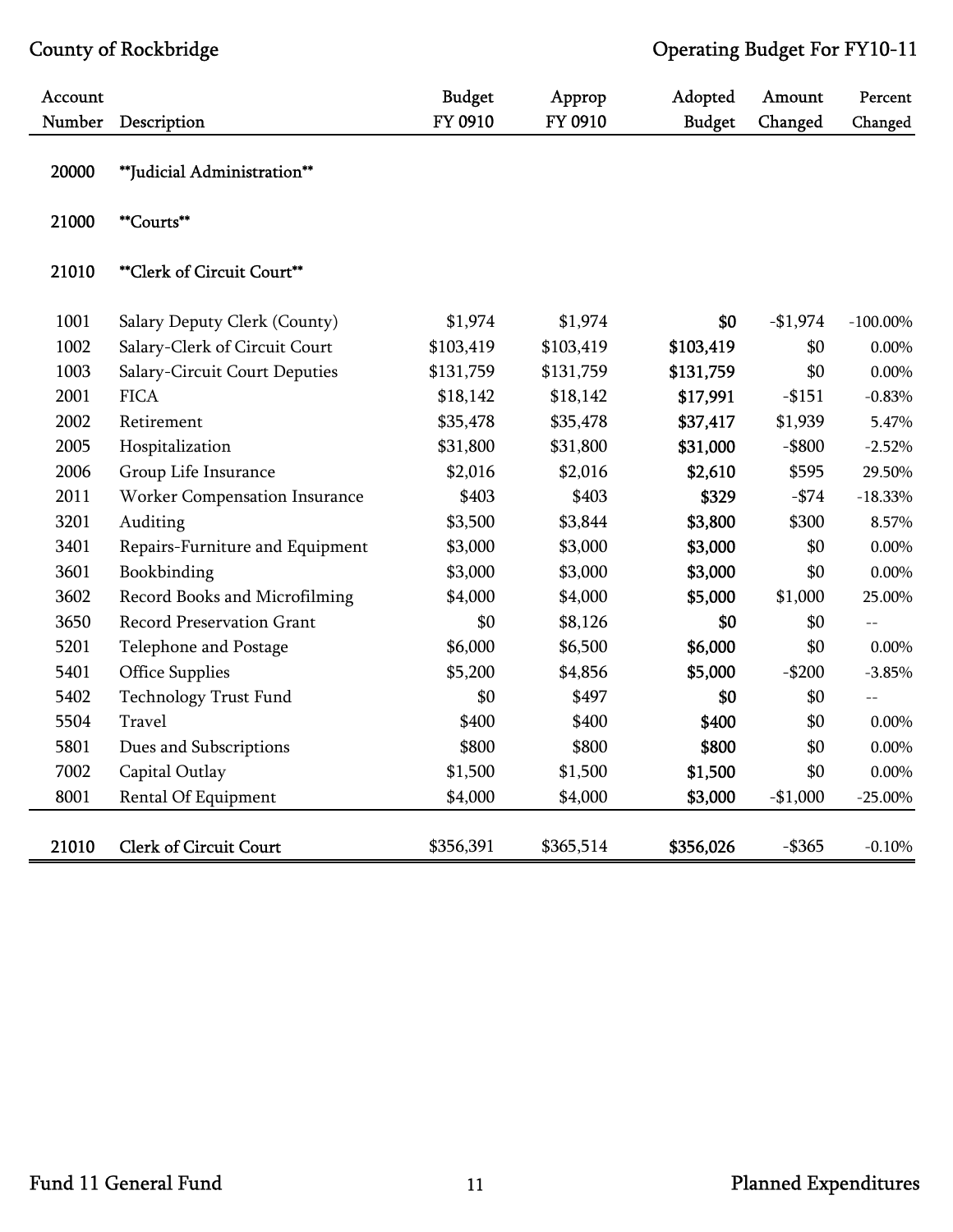| Account |                                  | <b>Budget</b> | Approp    | Adopted       | Amount    | Percent     |
|---------|----------------------------------|---------------|-----------|---------------|-----------|-------------|
| Number  | Description                      | FY 0910       | FY 0910   | <b>Budget</b> | Changed   | Changed     |
| 20000   | **Judicial Administration**      |               |           |               |           |             |
| 21000   | **Courts**                       |               |           |               |           |             |
| 21010   | **Clerk of Circuit Court**       |               |           |               |           |             |
| 1001    | Salary Deputy Clerk (County)     | \$1,974       | \$1,974   | \$0           | $-$1,974$ | $-100.00\%$ |
| 1002    | Salary-Clerk of Circuit Court    | \$103,419     | \$103,419 | \$103,419     | \$0       | 0.00%       |
| 1003    | Salary-Circuit Court Deputies    | \$131,759     | \$131,759 | \$131,759     | \$0       | $0.00\%$    |
| 2001    | <b>FICA</b>                      | \$18,142      | \$18,142  | \$17,991      | $-$ \$151 | $-0.83%$    |
| 2002    | Retirement                       | \$35,478      | \$35,478  | \$37,417      | \$1,939   | 5.47%       |
| 2005    | Hospitalization                  | \$31,800      | \$31,800  | \$31,000      | $-$ \$800 | $-2.52%$    |
| 2006    | Group Life Insurance             | \$2,016       | \$2,016   | \$2,610       | \$595     | 29.50%      |
| 2011    | Worker Compensation Insurance    | \$403         | \$403     | \$329         | $-$ \$74  | $-18.33%$   |
| 3201    | Auditing                         | \$3,500       | \$3,844   | \$3,800       | \$300     | 8.57%       |
| 3401    | Repairs-Furniture and Equipment  | \$3,000       | \$3,000   | \$3,000       | \$0       | $0.00\%$    |
| 3601    | Bookbinding                      | \$3,000       | \$3,000   | \$3,000       | \$0       | 0.00%       |
| 3602    | Record Books and Microfilming    | \$4,000       | \$4,000   | \$5,000       | \$1,000   | 25.00%      |
| 3650    | <b>Record Preservation Grant</b> | \$0           | \$8,126   | \$0           | \$0       | $-$         |
| 5201    | Telephone and Postage            | \$6,000       | \$6,500   | \$6,000       | \$0       | $0.00\%$    |
| 5401    | <b>Office Supplies</b>           | \$5,200       | \$4,856   | \$5,000       | $-$200$   | $-3.85%$    |
| 5402    | <b>Technology Trust Fund</b>     | \$0           | \$497     | \$0           | \$0       | $-$         |
| 5504    | Travel                           | \$400         | \$400     | \$400         | \$0       | $0.00\%$    |
| 5801    | Dues and Subscriptions           | \$800         | \$800     | \$800         | \$0       | 0.00%       |
| 7002    | Capital Outlay                   | \$1,500       | \$1,500   | \$1,500       | \$0       | $0.00\%$    |
| 8001    | Rental Of Equipment              | \$4,000       | \$4,000   | \$3,000       | $-$1,000$ | $-25.00\%$  |
| 21010   | <b>Clerk of Circuit Court</b>    | \$356,391     | \$365,514 | \$356,026     | $-$ \$365 | $-0.10%$    |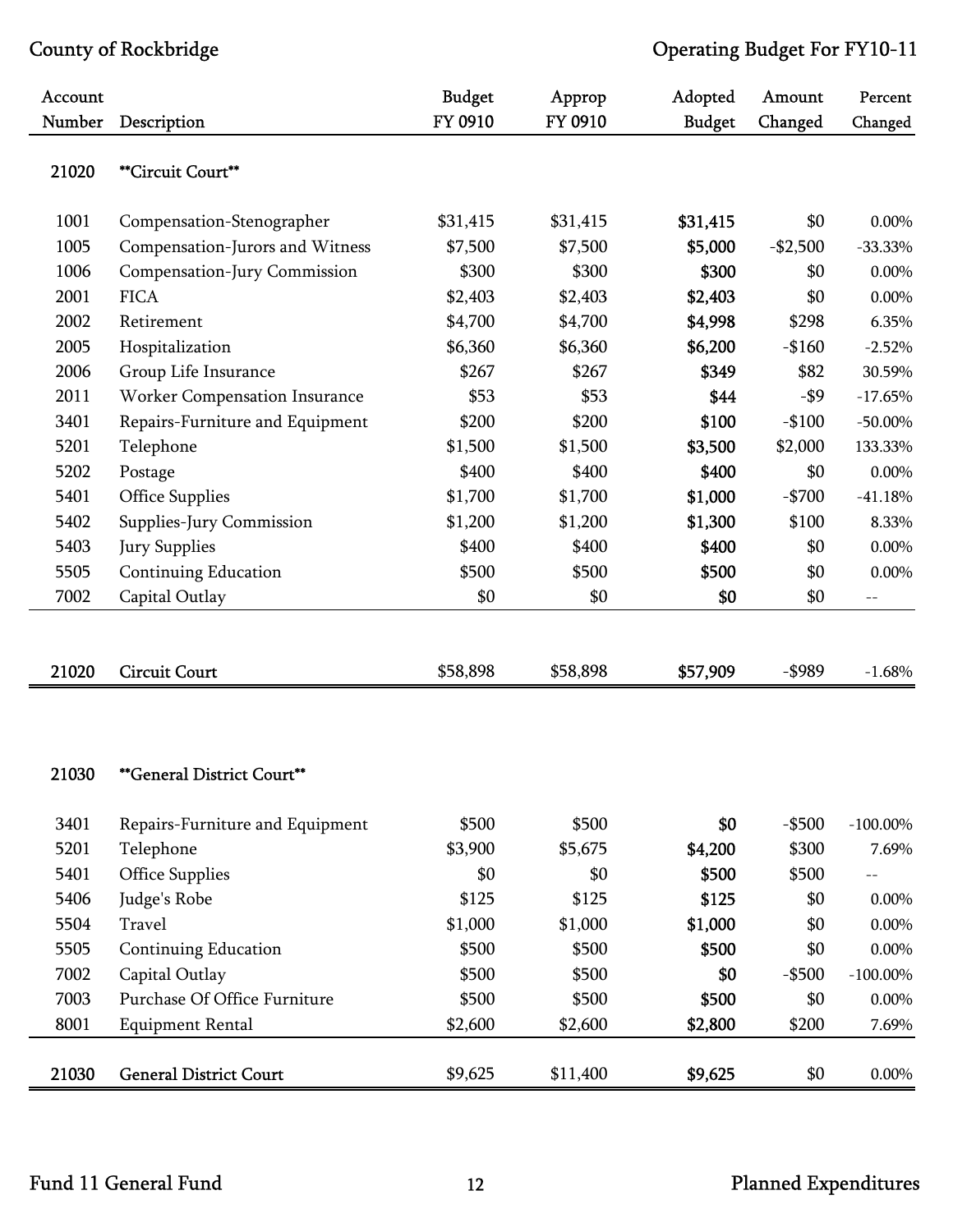| Account |                                 | <b>Budget</b> | Approp   | Adopted       | Amount    | Percent    |
|---------|---------------------------------|---------------|----------|---------------|-----------|------------|
| Number  | Description                     | FY 0910       | FY 0910  | <b>Budget</b> | Changed   | Changed    |
| 21020   | **Circuit Court**               |               |          |               |           |            |
| 1001    | Compensation-Stenographer       | \$31,415      | \$31,415 | \$31,415      | \$0       | 0.00%      |
| 1005    | Compensation-Jurors and Witness | \$7,500       | \$7,500  | \$5,000       | $-$2,500$ | $-33.33%$  |
| 1006    | Compensation-Jury Commission    | \$300         | \$300    | \$300         | \$0       | 0.00%      |
| 2001    | <b>FICA</b>                     | \$2,403       | \$2,403  | \$2,403       | \$0       | 0.00%      |
| 2002    | Retirement                      | \$4,700       | \$4,700  | \$4,998       | \$298     | 6.35%      |
| 2005    | Hospitalization                 | \$6,360       | \$6,360  | \$6,200       | $-$160$   | $-2.52%$   |
| 2006    | Group Life Insurance            | \$267         | \$267    | \$349         | \$82      | 30.59%     |
| 2011    | Worker Compensation Insurance   | \$53          | \$53     | \$44          | $-$ \$9   | $-17.65%$  |
| 3401    | Repairs-Furniture and Equipment | \$200         | \$200    | \$100         | $-$100$   | $-50.00\%$ |
| 5201    | Telephone                       | \$1,500       | \$1,500  | \$3,500       | \$2,000   | 133.33%    |
| 5202    | Postage                         | \$400         | \$400    | \$400         | \$0       | 0.00%      |
| 5401    | <b>Office Supplies</b>          | \$1,700       | \$1,700  | \$1,000       | $-$700$   | $-41.18%$  |
| 5402    | Supplies-Jury Commission        | \$1,200       | \$1,200  | \$1,300       | \$100     | 8.33%      |
| 5403    | Jury Supplies                   | \$400         | \$400    | \$400         | \$0       | 0.00%      |
| 5505    | Continuing Education            | \$500         | \$500    | \$500         | \$0       | 0.00%      |
| 7002    | Capital Outlay                  | \$0           | \$0      | \$0           | \$0       | $-\,-$     |
|         |                                 |               |          |               |           |            |
| 21020   | <b>Circuit Court</b>            | \$58,898      | \$58,898 | \$57,909      | -\$989    | $-1.68%$   |

### 21030 \*\*General District Court\*\*

| 3401  | Repairs-Furniture and Equipment | \$500   | \$500    | \$0     | $-$ \$500 | $-100.00\%$ |
|-------|---------------------------------|---------|----------|---------|-----------|-------------|
| 5201  | Telephone                       | \$3,900 | \$5,675  | \$4,200 | \$300     | 7.69%       |
| 5401  | <b>Office Supplies</b>          | \$0     | \$0      | \$500   | \$500     | $-$         |
| 5406  | Judge's Robe                    | \$125   | \$125    | \$125   | \$0       | $0.00\%$    |
| 5504  | Travel                          | \$1,000 | \$1,000  | \$1,000 | \$0       | $0.00\%$    |
| 5505  | Continuing Education            | \$500   | \$500    | \$500   | \$0       | $0.00\%$    |
| 7002  | Capital Outlay                  | \$500   | \$500    | \$0     | $-$ \$500 | $-100.00\%$ |
| 7003  | Purchase Of Office Furniture    | \$500   | \$500    | \$500   | \$0       | $0.00\%$    |
| 8001  | <b>Equipment Rental</b>         | \$2,600 | \$2,600  | \$2,800 | \$200     | 7.69%       |
|       |                                 |         |          |         |           |             |
| 21030 | <b>General District Court</b>   | \$9,625 | \$11,400 | \$9,625 | \$0       | $0.00\%$    |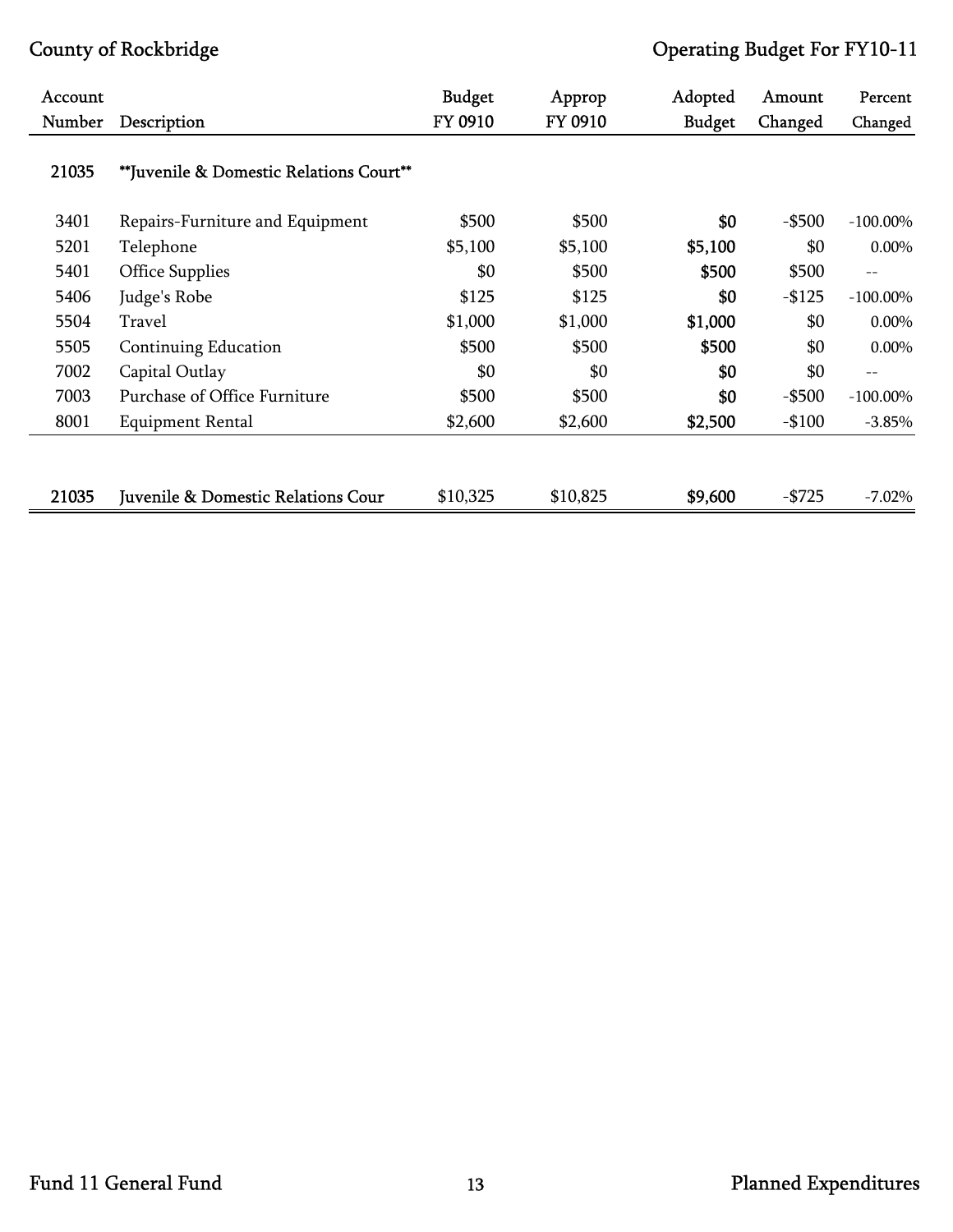| Account |                                         | <b>Budget</b> | Approp   | Adopted       | Amount    | Percent           |
|---------|-----------------------------------------|---------------|----------|---------------|-----------|-------------------|
| Number  | Description                             | FY 0910       | FY 0910  | <b>Budget</b> | Changed   | Changed           |
| 21035   | **Juvenile & Domestic Relations Court** |               |          |               |           |                   |
| 3401    | Repairs-Furniture and Equipment         | \$500         | \$500    | \$0           | $-$ \$500 | $-100.00\%$       |
| 5201    | Telephone                               | \$5,100       | \$5,100  | \$5,100       | \$0       | 0.00%             |
| 5401    | <b>Office Supplies</b>                  | \$0           | \$500    | \$500         | \$500     | $- -$             |
| 5406    | Judge's Robe                            | \$125         | \$125    | \$0           | $-$125$   | $-100.00\%$       |
| 5504    | Travel                                  | \$1,000       | \$1,000  | \$1,000       | \$0       | 0.00%             |
| 5505    | Continuing Education                    | \$500         | \$500    | \$500         | \$0       | 0.00%             |
| 7002    | Capital Outlay                          | \$0           | \$0      | \$0           | \$0       | $\qquad \qquad -$ |
| 7003    | Purchase of Office Furniture            | \$500         | \$500    | \$0           | $-$ \$500 | $-100.00\%$       |
| 8001    | Equipment Rental                        | \$2,600       | \$2,600  | \$2,500       | $-$100$   | $-3.85%$          |
|         |                                         |               |          |               |           |                   |
| 21035   | Juvenile & Domestic Relations Cour      | \$10,325      | \$10,825 | \$9,600       | $-$725$   | $-7.02\%$         |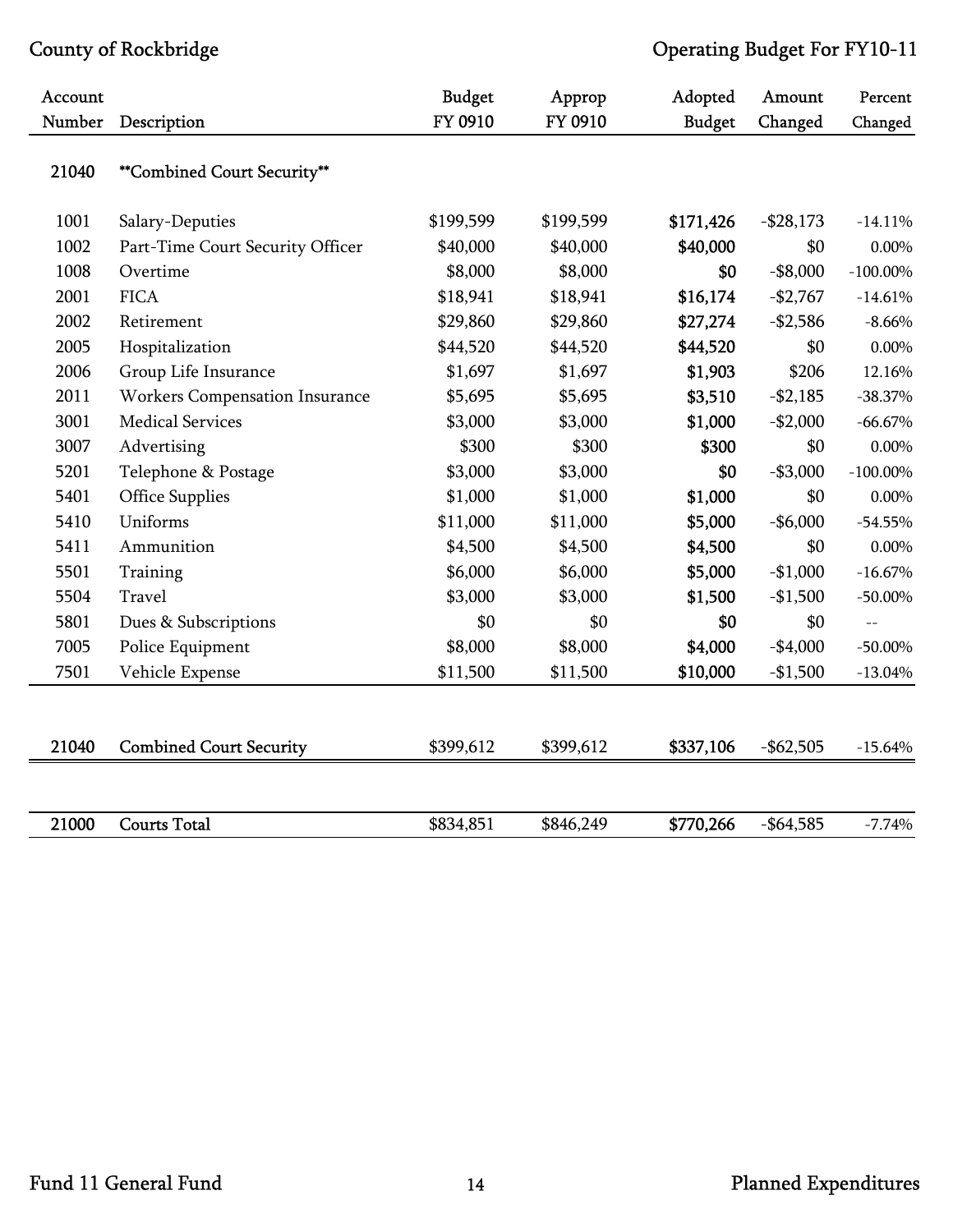| Account |                                       | <b>Budget</b> | Approp    | Adopted       | Amount       | Percent     |
|---------|---------------------------------------|---------------|-----------|---------------|--------------|-------------|
| Number  | Description                           | FY 0910       | FY 0910   | <b>Budget</b> | Changed      | Changed     |
| 21040   | **Combined Court Security**           |               |           |               |              |             |
| 1001    | Salary-Deputies                       | \$199,599     | \$199,599 | \$171,426     | $-$ \$28,173 | $-14.11%$   |
| 1002    | Part-Time Court Security Officer      | \$40,000      | \$40,000  | \$40,000      | \$0          | 0.00%       |
| 1008    | Overtime                              | \$8,000       | \$8,000   | \$0           | $-$ \$8,000  | $-100.00\%$ |
| 2001    | <b>FICA</b>                           | \$18,941      | \$18,941  | \$16,174      | $-$2,767$    | $-14.61%$   |
| 2002    | Retirement                            | \$29,860      | \$29,860  | \$27,274      | $-$2,586$    | $-8.66%$    |
| 2005    | Hospitalization                       | \$44,520      | \$44,520  | \$44,520      | \$0          | $0.00\%$    |
| 2006    | Group Life Insurance                  | \$1,697       | \$1,697   | \$1,903       | \$206        | 12.16%      |
| 2011    | <b>Workers Compensation Insurance</b> | \$5,695       | \$5,695   | \$3,510       | $- $2,185$   | $-38.37%$   |
| 3001    | <b>Medical Services</b>               | \$3,000       | \$3,000   | \$1,000       | $-$2,000$    | $-66.67\%$  |
| 3007    | Advertising                           | \$300         | \$300     | \$300         | \$0          | $0.00\%$    |
| 5201    | Telephone & Postage                   | \$3,000       | \$3,000   | \$0           | $- $3,000$   | $-100.00\%$ |
| 5401    | <b>Office Supplies</b>                | \$1,000       | \$1,000   | \$1,000       | \$0          | $0.00\%$    |
| 5410    | Uniforms                              | \$11,000      | \$11,000  | \$5,000       | $-$6,000$    | $-54.55%$   |
| 5411    | Ammunition                            | \$4,500       | \$4,500   | \$4,500       | \$0          | $0.00\%$    |
| 5501    | Training                              | \$6,000       | \$6,000   | \$5,000       | $-$1,000$    | $-16.67%$   |
| 5504    | Travel                                | \$3,000       | \$3,000   | \$1,500       | $-$1,500$    | $-50.00\%$  |
| 5801    | Dues & Subscriptions                  | \$0           | \$0       | \$0           | \$0          | $-$         |
| 7005    | Police Equipment                      | \$8,000       | \$8,000   | \$4,000       | $-$4,000$    | $-50.00\%$  |
| 7501    | Vehicle Expense                       | \$11,500      | \$11,500  | \$10,000      | $-$1,500$    | $-13.04%$   |
|         |                                       |               |           |               |              |             |
| 21040   | <b>Combined Court Security</b>        | \$399,612     | \$399,612 | \$337,106     | $-$ \$62,505 | $-15.64%$   |
| 21000   | <b>Courts Total</b>                   | \$834,851     | \$846,249 | \$770,266     | $-$64,585$   | $-7.74%$    |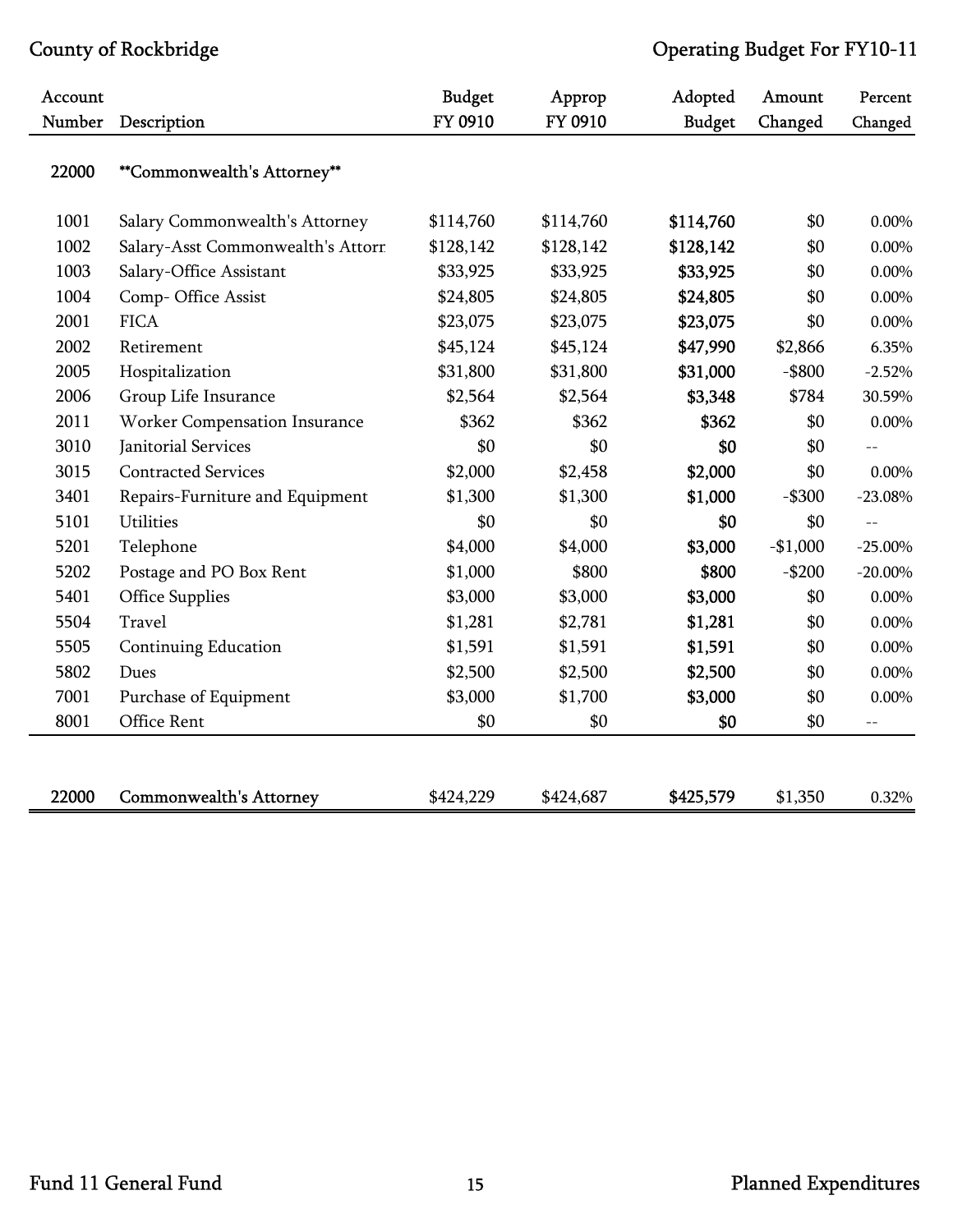| Account |                                   | <b>Budget</b> | Approp    | Adopted       | Amount    | Percent    |
|---------|-----------------------------------|---------------|-----------|---------------|-----------|------------|
| Number  | Description                       | FY 0910       | FY 0910   | <b>Budget</b> | Changed   | Changed    |
| 22000   | **Commonwealth's Attorney**       |               |           |               |           |            |
| 1001    | Salary Commonwealth's Attorney    | \$114,760     | \$114,760 | \$114,760     | \$0       | 0.00%      |
| 1002    | Salary-Asst Commonwealth's Attorr | \$128,142     | \$128,142 | \$128,142     | \$0       | 0.00%      |
| 1003    | Salary-Office Assistant           | \$33,925      | \$33,925  | \$33,925      | \$0       | $0.00\%$   |
| 1004    | Comp-Office Assist                | \$24,805      | \$24,805  | \$24,805      | \$0       | $0.00\%$   |
| 2001    | <b>FICA</b>                       | \$23,075      | \$23,075  | \$23,075      | \$0       | 0.00%      |
| 2002    | Retirement                        | \$45,124      | \$45,124  | \$47,990      | \$2,866   | 6.35%      |
| 2005    | Hospitalization                   | \$31,800      | \$31,800  | \$31,000      | $-$ \$800 | $-2.52%$   |
| 2006    | Group Life Insurance              | \$2,564       | \$2,564   | \$3,348       | \$784     | 30.59%     |
| 2011    | Worker Compensation Insurance     | \$362         | \$362     | \$362         | \$0       | $0.00\%$   |
| 3010    | Janitorial Services               | \$0           | \$0       | \$0           | \$0       |            |
| 3015    | <b>Contracted Services</b>        | \$2,000       | \$2,458   | \$2,000       | \$0       | 0.00%      |
| 3401    | Repairs-Furniture and Equipment   | \$1,300       | \$1,300   | \$1,000       | $-$ \$300 | $-23.08%$  |
| 5101    | Utilities                         | \$0           | \$0       | \$0           | \$0       | $-$        |
| 5201    | Telephone                         | \$4,000       | \$4,000   | \$3,000       | $-$1,000$ | $-25.00\%$ |
| 5202    | Postage and PO Box Rent           | \$1,000       | \$800     | \$800         | $-$200$   | $-20.00\%$ |
| 5401    | <b>Office Supplies</b>            | \$3,000       | \$3,000   | \$3,000       | \$0       | $0.00\%$   |
| 5504    | Travel                            | \$1,281       | \$2,781   | \$1,281       | \$0       | $0.00\%$   |
| 5505    | <b>Continuing Education</b>       | \$1,591       | \$1,591   | \$1,591       | \$0       | $0.00\%$   |
| 5802    | Dues                              | \$2,500       | \$2,500   | \$2,500       | \$0       | $0.00\%$   |
| 7001    | Purchase of Equipment             | \$3,000       | \$1,700   | \$3,000       | \$0       | 0.00%      |
| 8001    | Office Rent                       | \$0           | \$0       | \$0           | \$0       | $-$        |
|         |                                   |               |           |               |           |            |
| 22000   | <b>Commonwealth's Attorney</b>    | \$424,229     | \$424,687 | \$425,579     | \$1,350   | 0.32%      |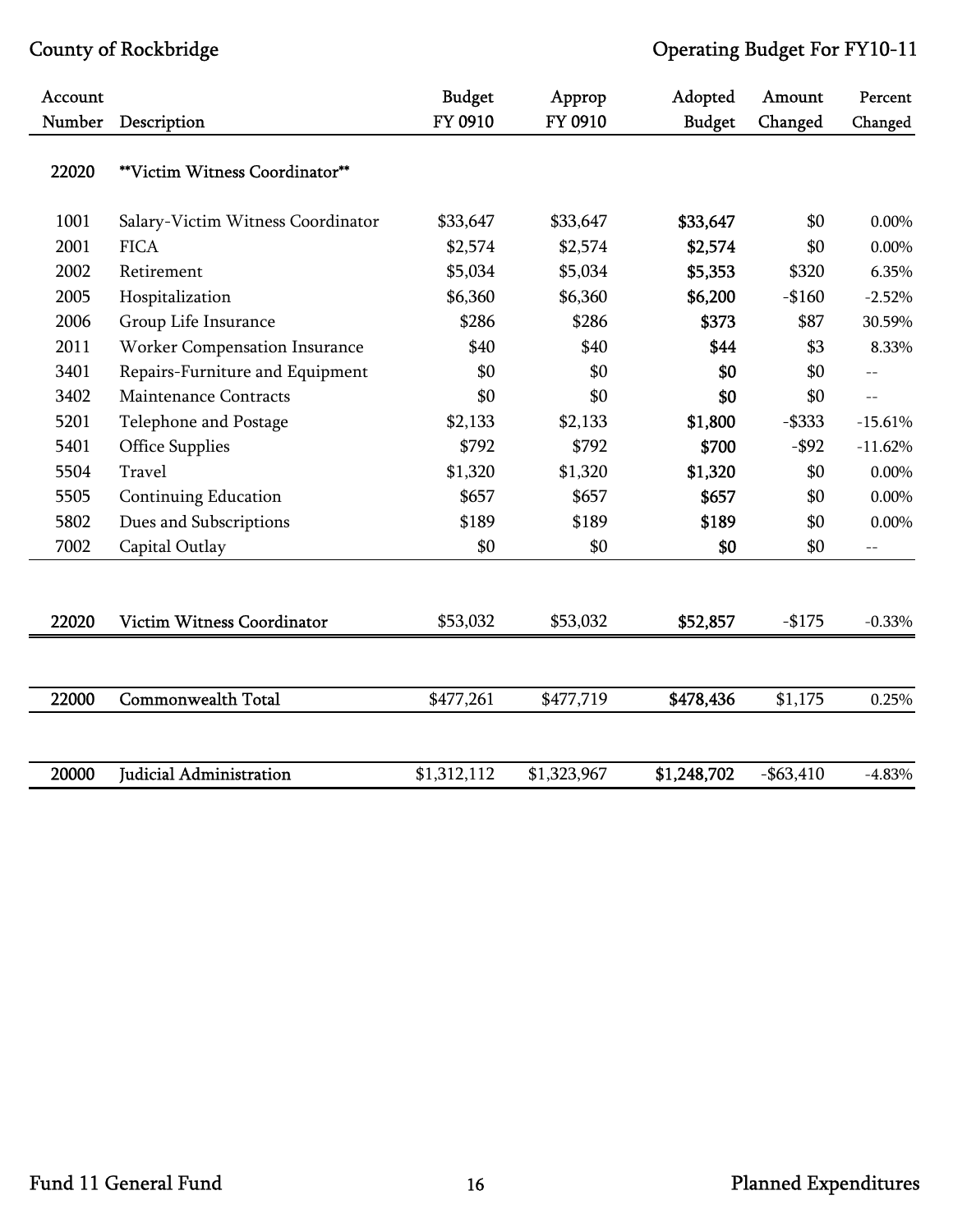| Account |                                   | <b>Budget</b> | Approp      | Adopted       | Amount       | Percent   |
|---------|-----------------------------------|---------------|-------------|---------------|--------------|-----------|
| Number  | Description                       | FY 0910       | FY 0910     | <b>Budget</b> | Changed      | Changed   |
| 22020   | **Victim Witness Coordinator**    |               |             |               |              |           |
| 1001    | Salary-Victim Witness Coordinator | \$33,647      | \$33,647    | \$33,647      | \$0          | 0.00%     |
| 2001    | <b>FICA</b>                       | \$2,574       | \$2,574     | \$2,574       | \$0          | 0.00%     |
| 2002    | Retirement                        | \$5,034       | \$5,034     | \$5,353       | \$320        | 6.35%     |
| 2005    | Hospitalization                   | \$6,360       | \$6,360     | \$6,200       | $-$160$      | $-2.52%$  |
| 2006    | Group Life Insurance              | \$286         | \$286       | \$373         | \$87         | 30.59%    |
| 2011    | Worker Compensation Insurance     | \$40          | \$40        | \$44          | \$3          | 8.33%     |
| 3401    | Repairs-Furniture and Equipment   | \$0           | \$0         | \$0           | \$0          | $-$       |
| 3402    | <b>Maintenance Contracts</b>      | \$0           | \$0         | \$0           | \$0          | $-$       |
| 5201    | Telephone and Postage             | \$2,133       | \$2,133     | \$1,800       | $-$ \$333    | $-15.61%$ |
| 5401    | <b>Office Supplies</b>            | \$792         | \$792       | \$700         | $-$ \$92     | $-11.62%$ |
| 5504    | Travel                            | \$1,320       | \$1,320     | \$1,320       | \$0          | $0.00\%$  |
| 5505    | <b>Continuing Education</b>       | \$657         | \$657       | \$657         | \$0          | 0.00%     |
| 5802    | Dues and Subscriptions            | \$189         | \$189       | \$189         | \$0          | $0.00\%$  |
| 7002    | Capital Outlay                    | \$0           | \$0         | \$0           | \$0          | $ -$      |
|         |                                   |               |             |               |              |           |
| 22020   | <b>Victim Witness Coordinator</b> | \$53,032      | \$53,032    | \$52,857      | $-$175$      | $-0.33%$  |
|         |                                   |               |             |               |              |           |
| 22000   | <b>Commonwealth Total</b>         | \$477,261     | \$477,719   | \$478,436     | \$1,175      | 0.25%     |
|         |                                   |               |             |               |              |           |
| 20000   | Judicial Administration           | \$1,312,112   | \$1,323,967 | \$1,248,702   | $-$ \$63,410 | $-4.83%$  |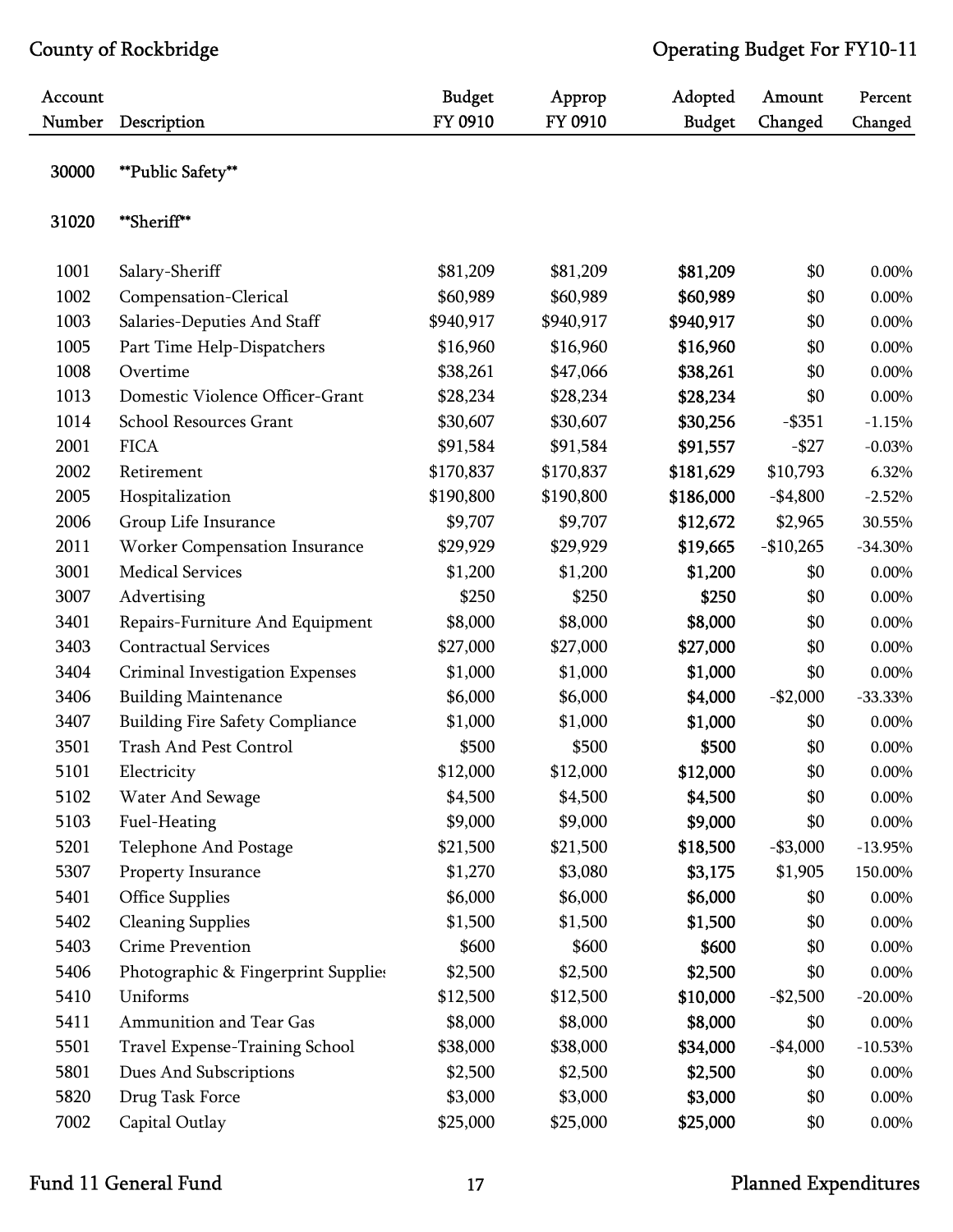| Account<br>Number | Description                            | <b>Budget</b><br>FY 0910 | Approp<br>FY 0910 | Adopted<br><b>Budget</b> | Amount<br>Changed | Percent<br>Changed |
|-------------------|----------------------------------------|--------------------------|-------------------|--------------------------|-------------------|--------------------|
| 30000             | **Public Safety**                      |                          |                   |                          |                   |                    |
| 31020             | **Sheriff**                            |                          |                   |                          |                   |                    |
| 1001              | Salary-Sheriff                         | \$81,209                 | \$81,209          | \$81,209                 | \$0               | 0.00%              |
| 1002              | Compensation-Clerical                  | \$60,989                 | \$60,989          | \$60,989                 | \$0               | 0.00%              |
| 1003              | Salaries-Deputies And Staff            | \$940,917                | \$940,917         | \$940,917                | \$0               | 0.00%              |
| 1005              | Part Time Help-Dispatchers             | \$16,960                 | \$16,960          | \$16,960                 | \$0               | 0.00%              |
| 1008              | Overtime                               | \$38,261                 | \$47,066          | \$38,261                 | \$0               | 0.00%              |
| 1013              | Domestic Violence Officer-Grant        | \$28,234                 | \$28,234          | \$28,234                 | \$0               | $0.00\%$           |
| 1014              | School Resources Grant                 | \$30,607                 | \$30,607          | \$30,256                 | $-$ \$351         | $-1.15%$           |
| 2001              | <b>FICA</b>                            | \$91,584                 | \$91,584          | \$91,557                 | $-$ \$27          | $-0.03%$           |
| 2002              | Retirement                             | \$170,837                | \$170,837         | \$181,629                | \$10,793          | 6.32%              |
| 2005              | Hospitalization                        | \$190,800                | \$190,800         | \$186,000                | $-$4,800$         | $-2.52%$           |
| 2006              | Group Life Insurance                   | \$9,707                  | \$9,707           | \$12,672                 | \$2,965           | 30.55%             |
| 2011              | Worker Compensation Insurance          | \$29,929                 | \$29,929          | \$19,665                 | $-$10,265$        | $-34.30%$          |
| 3001              | <b>Medical Services</b>                | \$1,200                  | \$1,200           | \$1,200                  | \$0               | $0.00\%$           |
| 3007              | Advertising                            | \$250                    | \$250             | \$250                    | \$0               | 0.00%              |
| 3401              | Repairs-Furniture And Equipment        | \$8,000                  | \$8,000           | \$8,000                  | \$0               | 0.00%              |
| 3403              | <b>Contractual Services</b>            | \$27,000                 | \$27,000          | \$27,000                 | \$0               | 0.00%              |
| 3404              | Criminal Investigation Expenses        | \$1,000                  | \$1,000           | \$1,000                  | \$0               | 0.00%              |
| 3406              | <b>Building Maintenance</b>            | \$6,000                  | \$6,000           | \$4,000                  | $-$2,000$         | $-33.33%$          |
| 3407              | <b>Building Fire Safety Compliance</b> | \$1,000                  | \$1,000           | \$1,000                  | \$0               | 0.00%              |
| 3501              | <b>Trash And Pest Control</b>          | \$500                    | \$500             | \$500                    | \$0               | $0.00\%$           |
| 5101              | Electricity                            | \$12,000                 | \$12,000          | \$12,000                 | \$0               | $0.00\%$           |
| 5102              | Water And Sewage                       | \$4,500                  | \$4,500           | \$4,500                  | \$0               | 0.00%              |
| 5103              | Fuel-Heating                           | \$9,000                  | \$9,000           | \$9,000                  | \$0               | 0.00%              |
| 5201              | Telephone And Postage                  | \$21,500                 | \$21,500          | \$18,500                 | $- $3,000$        | $-13.95%$          |
| 5307              | Property Insurance                     | \$1,270                  | \$3,080           | \$3,175                  | \$1,905           | 150.00%            |
| 5401              | Office Supplies                        | \$6,000                  | \$6,000           | \$6,000                  | \$0               | 0.00%              |
| 5402              | <b>Cleaning Supplies</b>               | \$1,500                  | \$1,500           | \$1,500                  | \$0               | 0.00%              |
| 5403              | <b>Crime Prevention</b>                | \$600                    | \$600             | \$600                    | \$0               | $0.00\%$           |
| 5406              | Photographic & Fingerprint Supplies    | \$2,500                  | \$2,500           | \$2,500                  | \$0               | 0.00%              |
| 5410              | Uniforms                               | \$12,500                 | \$12,500          | \$10,000                 | $-$2,500$         | $-20.00\%$         |
| 5411              | Ammunition and Tear Gas                | \$8,000                  | \$8,000           | \$8,000                  | \$0               | $0.00\%$           |
| 5501              | Travel Expense-Training School         | \$38,000                 | \$38,000          | \$34,000                 | $-$4,000$         | $-10.53%$          |
| 5801              | Dues And Subscriptions                 | \$2,500                  | \$2,500           | \$2,500                  | \$0               | 0.00%              |
| 5820              | Drug Task Force                        | \$3,000                  | \$3,000           | \$3,000                  | \$0               | 0.00%              |
| 7002              | Capital Outlay                         | \$25,000                 | \$25,000          | \$25,000                 | \$0               | $0.00\%$           |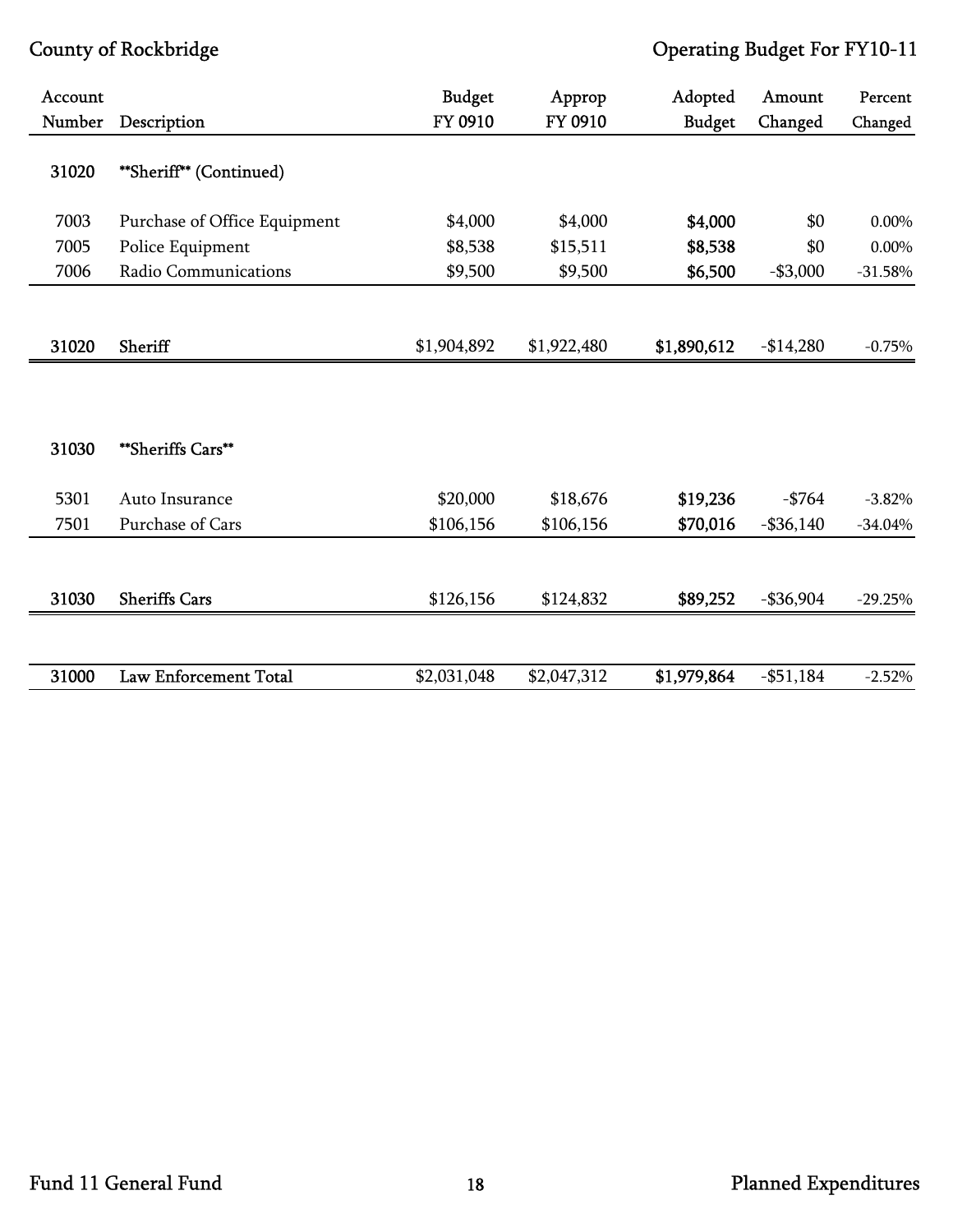| Account |                              | <b>Budget</b> | Approp      | Adopted       | Amount       | Percent   |
|---------|------------------------------|---------------|-------------|---------------|--------------|-----------|
| Number  | Description                  | FY 0910       | FY 0910     | <b>Budget</b> | Changed      | Changed   |
| 31020   | **Sheriff** (Continued)      |               |             |               |              |           |
| 7003    | Purchase of Office Equipment | \$4,000       | \$4,000     | \$4,000       | \$0          | 0.00%     |
| 7005    | Police Equipment             | \$8,538       | \$15,511    | \$8,538       | \$0          | 0.00%     |
| 7006    | Radio Communications         | \$9,500       | \$9,500     | \$6,500       | $- $3,000$   | $-31.58%$ |
| 31020   | Sheriff                      | \$1,904,892   | \$1,922,480 | \$1,890,612   | $-$14,280$   | $-0.75%$  |
|         |                              |               |             |               |              |           |
| 31030   | **Sheriffs Cars**            |               |             |               |              |           |
| 5301    | Auto Insurance               | \$20,000      | \$18,676    | \$19,236      | $-$ \$764    | $-3.82%$  |
| 7501    | Purchase of Cars             | \$106,156     | \$106,156   | \$70,016      | $-$ \$36,140 | $-34.04%$ |
| 31030   | <b>Sheriffs Cars</b>         | \$126,156     | \$124,832   | \$89,252      | $-$ \$36,904 | $-29.25%$ |
| 31000   | <b>Law Enforcement Total</b> | \$2,031,048   | \$2,047,312 | \$1,979,864   | $- $51,184$  | $-2.52%$  |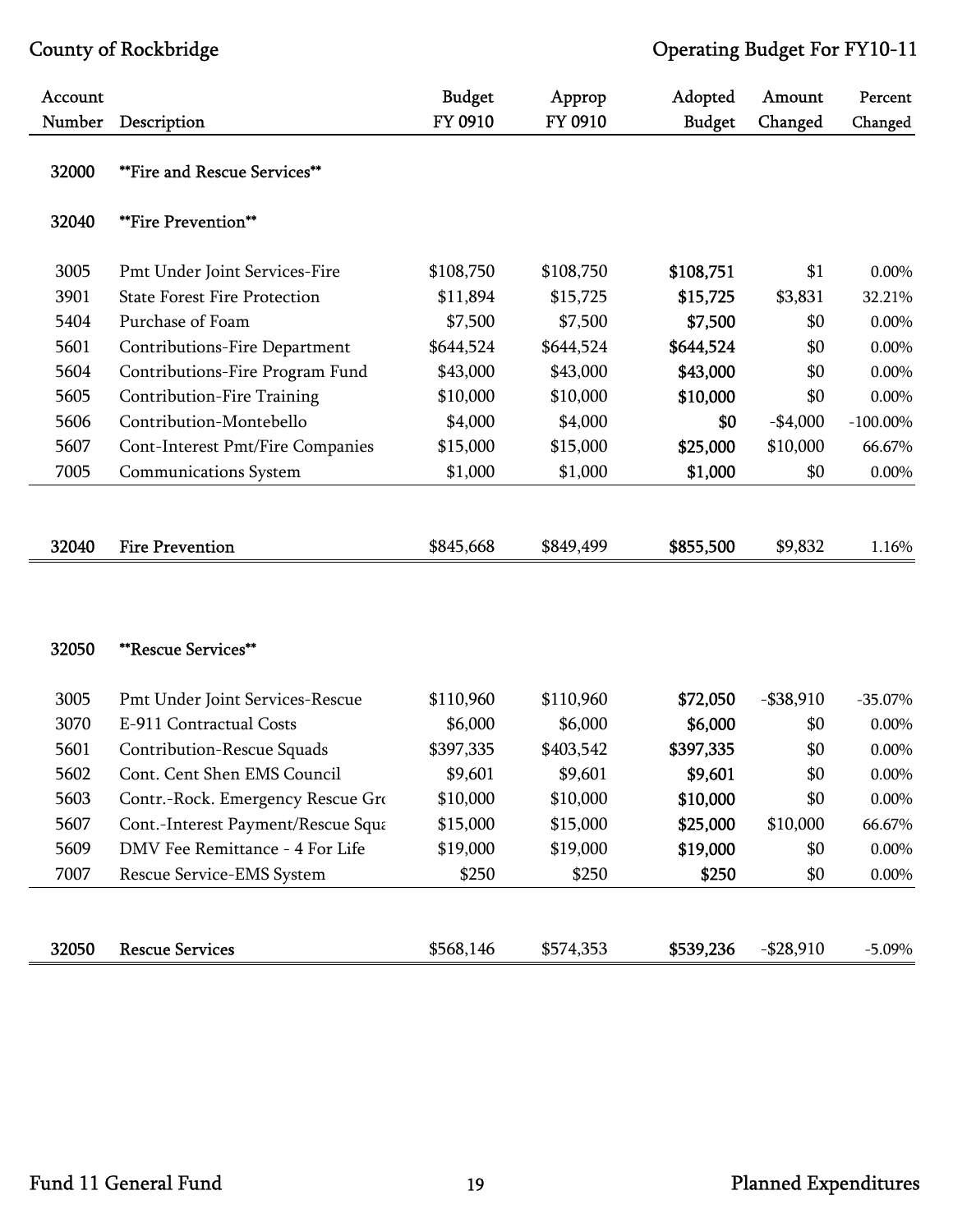| Account |                                     | <b>Budget</b> | Approp    | Adopted       | Amount       | Percent     |
|---------|-------------------------------------|---------------|-----------|---------------|--------------|-------------|
| Number  | Description                         | FY 0910       | FY 0910   | <b>Budget</b> | Changed      | Changed     |
| 32000   | <b>**Fire and Rescue Services**</b> |               |           |               |              |             |
| 32040   | **Fire Prevention**                 |               |           |               |              |             |
| 3005    | Pmt Under Joint Services-Fire       | \$108,750     | \$108,750 | \$108,751     | \$1          | 0.00%       |
| 3901    | <b>State Forest Fire Protection</b> | \$11,894      | \$15,725  | \$15,725      | \$3,831      | 32.21%      |
| 5404    | Purchase of Foam                    | \$7,500       | \$7,500   | \$7,500       | \$0          | 0.00%       |
| 5601    | Contributions-Fire Department       | \$644,524     | \$644,524 | \$644,524     | \$0          | 0.00%       |
| 5604    | Contributions-Fire Program Fund     | \$43,000      | \$43,000  | \$43,000      | \$0          | 0.00%       |
| 5605    | Contribution-Fire Training          | \$10,000      | \$10,000  | \$10,000      | \$0          | 0.00%       |
| 5606    | Contribution-Montebello             | \$4,000       | \$4,000   | \$0           | $-$4,000$    | $-100.00\%$ |
| 5607    | Cont-Interest Pmt/Fire Companies    | \$15,000      | \$15,000  | \$25,000      | \$10,000     | 66.67%      |
| 7005    | <b>Communications System</b>        | \$1,000       | \$1,000   | \$1,000       | \$0          | 0.00%       |
|         |                                     |               |           |               |              |             |
| 32040   | <b>Fire Prevention</b>              | \$845,668     | \$849,499 | \$855,500     | \$9,832      | 1.16%       |
|         |                                     |               |           |               |              |             |
|         |                                     |               |           |               |              |             |
| 32050   | <b>**Rescue Services**</b>          |               |           |               |              |             |
| 3005    | Pmt Under Joint Services-Rescue     | \$110,960     | \$110,960 | \$72,050      | $-$ \$38,910 | $-35.07\%$  |
| 3070    | E-911 Contractual Costs             | \$6,000       | \$6,000   | \$6,000       | \$0          | 0.00%       |
| 5601    | Contribution-Rescue Squads          | \$397,335     | \$403,542 | \$397,335     | \$0          | 0.00%       |
| 5602    | Cont. Cent Shen EMS Council         | \$9,601       | \$9,601   | \$9,601       | \$0          | $0.00\%$    |
| 5603    | Contr.-Rock. Emergency Rescue Gro   | \$10,000      | \$10,000  | \$10,000      | \$0          | 0.00%       |
| 5607    | Cont.-Interest Payment/Rescue Squa  | \$15,000      | \$15,000  | \$25,000      | \$10,000     | 66.67%      |
| 5609    | DMV Fee Remittance - 4 For Life     | \$19,000      | \$19,000  | \$19,000      | \$0          | 0.00%       |
| 7007    | Rescue Service-EMS System           | \$250         | \$250     | \$250         | \$0          | $0.00\%$    |
|         |                                     |               |           |               |              |             |
| 32050   | <b>Rescue Services</b>              | \$568,146     | \$574,353 | \$539,236     | $-$28,910$   | $-5.09\%$   |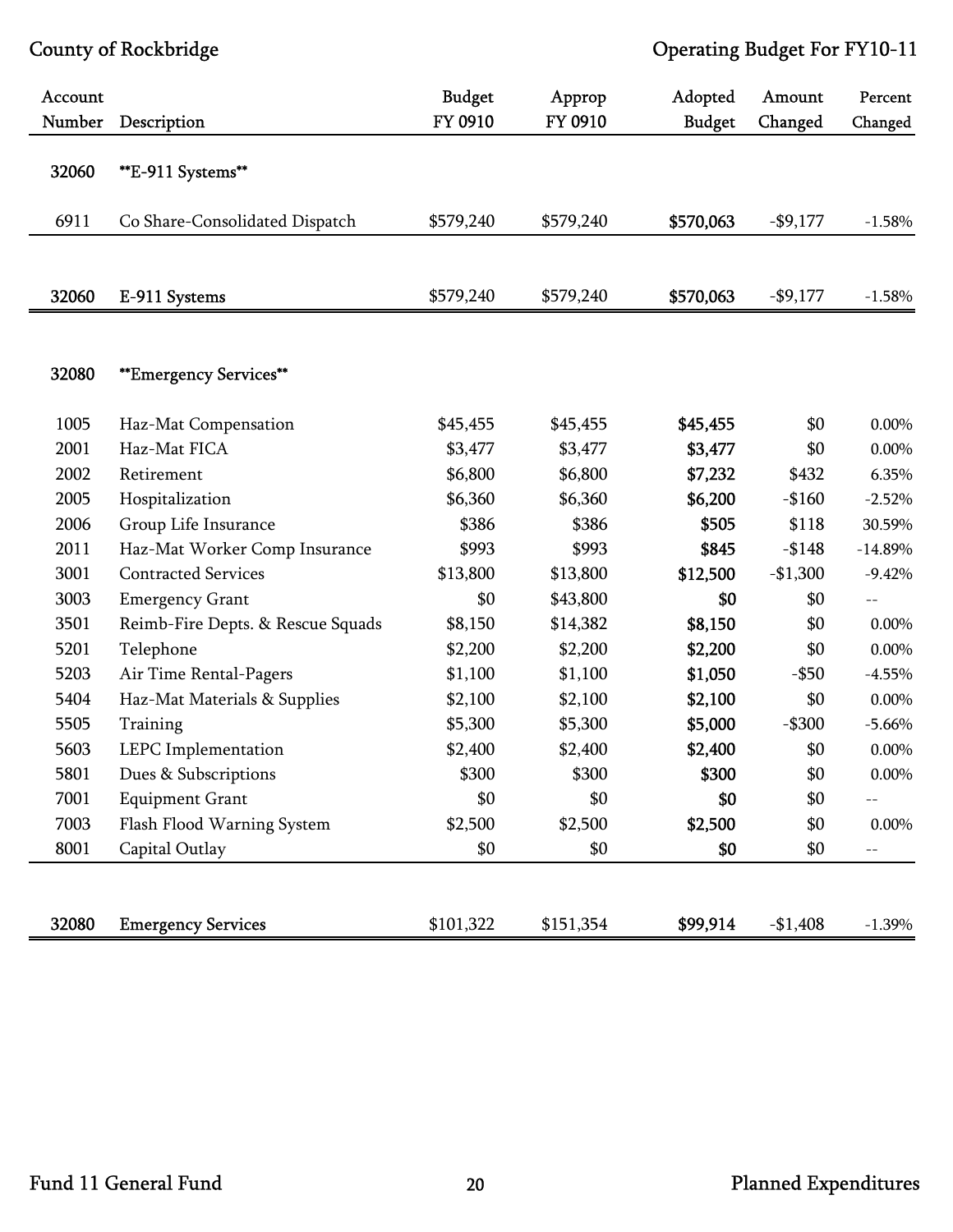| Account<br>Number | Description                       | <b>Budget</b><br>FY 0910 | Approp<br>FY 0910 | Adopted<br><b>Budget</b> | Amount<br>Changed | Percent<br>Changed |
|-------------------|-----------------------------------|--------------------------|-------------------|--------------------------|-------------------|--------------------|
| 32060             | **E-911 Systems**                 |                          |                   |                          |                   |                    |
| 6911              | Co Share-Consolidated Dispatch    | \$579,240                | \$579,240         | \$570,063                | $-$9,177$         | $-1.58%$           |
| 32060             | E-911 Systems                     | \$579,240                | \$579,240         | \$570,063                | $-$9,177$         | $-1.58%$           |
| 32080             | <b>**Emergency Services**</b>     |                          |                   |                          |                   |                    |
| 1005              | Haz-Mat Compensation              | \$45,455                 | \$45,455          | \$45,455                 | \$0               | 0.00%              |
| 2001              | Haz-Mat FICA                      | \$3,477                  | \$3,477           | \$3,477                  | \$0               | 0.00%              |
| 2002              | Retirement                        | \$6,800                  | \$6,800           | \$7,232                  | \$432             | 6.35%              |
| 2005              | Hospitalization                   | \$6,360                  | \$6,360           | \$6,200                  | $-$160$           | $-2.52%$           |
| 2006              | Group Life Insurance              | \$386                    | \$386             | \$505                    | \$118             | 30.59%             |
| 2011              | Haz-Mat Worker Comp Insurance     | \$993                    | \$993             | \$845                    | $-$148$           | $-14.89%$          |
| 3001              | <b>Contracted Services</b>        | \$13,800                 | \$13,800          | \$12,500                 | $-$1,300$         | $-9.42%$           |
| 3003              | <b>Emergency Grant</b>            | \$0                      | \$43,800          | \$0                      | \$0               | $-$                |
| 3501              | Reimb-Fire Depts. & Rescue Squads | \$8,150                  | \$14,382          | \$8,150                  | \$0               | 0.00%              |
| 5201              | Telephone                         | \$2,200                  | \$2,200           | \$2,200                  | \$0               | 0.00%              |
| 5203              | Air Time Rental-Pagers            | \$1,100                  | \$1,100           | \$1,050                  | $-$ \$50          | $-4.55%$           |
| 5404              | Haz-Mat Materials & Supplies      | \$2,100                  | \$2,100           | \$2,100                  | \$0               | 0.00%              |
| 5505              | Training                          | \$5,300                  | \$5,300           | \$5,000                  | $-$ \$300         | $-5.66%$           |
| 5603              | LEPC Implementation               | \$2,400                  | \$2,400           | \$2,400                  | \$0               | $0.00\%$           |
| 5801              | Dues & Subscriptions              | \$300                    | \$300             | \$300                    | \$0               | $0.00\%$           |
| 7001              | <b>Equipment Grant</b>            | \$0                      | \$0               | \$0                      | \$0               | $-$                |
| 7003              | Flash Flood Warning System        | \$2,500                  | \$2,500           | \$2,500                  | \$0               | $0.00\%$           |
| 8001              | Capital Outlay                    | \$0                      | \$0               | \$0                      | \$0               | $--$               |
| 32080             | <b>Emergency Services</b>         | \$101,322                | \$151,354         | \$99,914                 | $-$1,408$         | $-1.39%$           |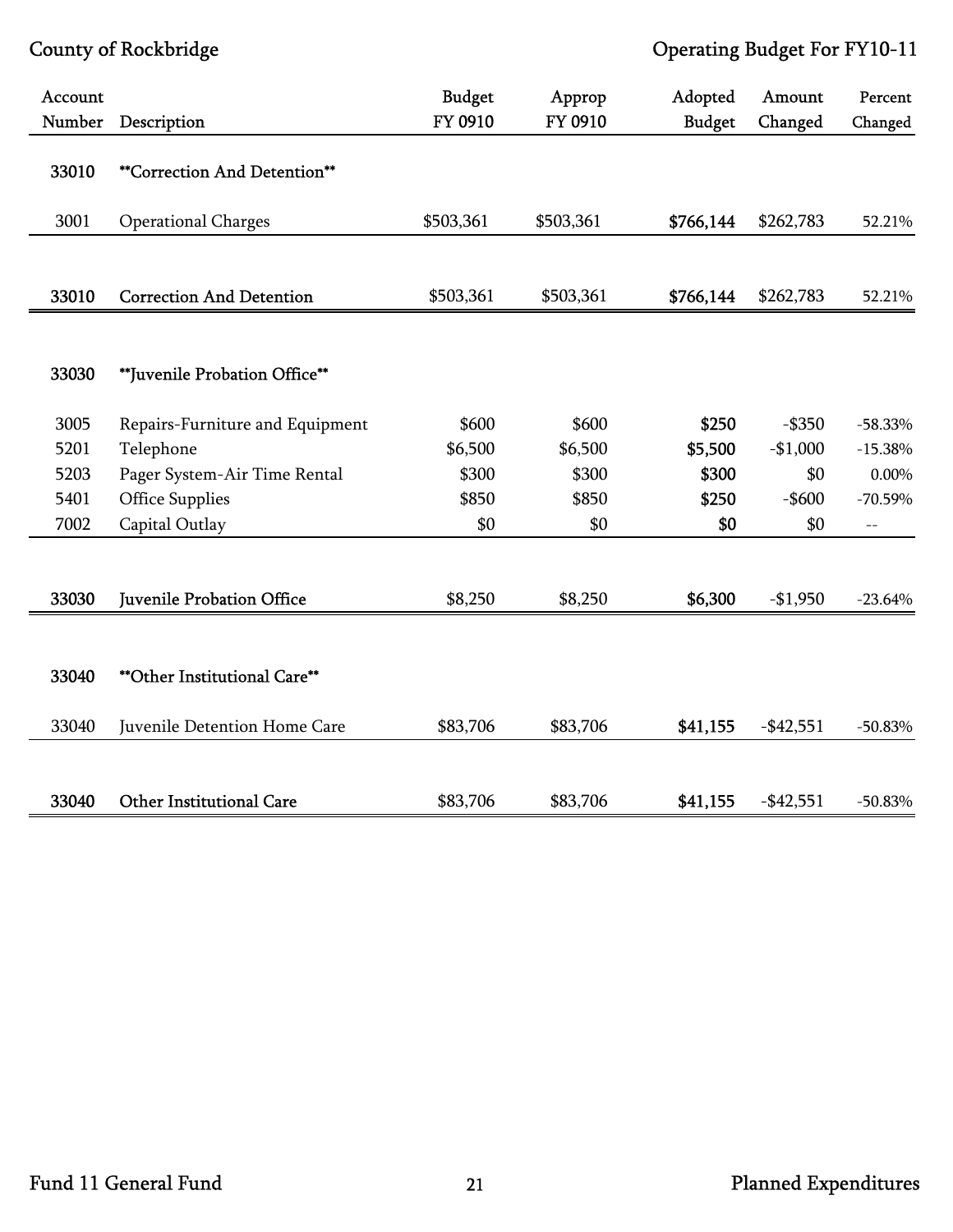| Account<br>Number | Description                         | <b>Budget</b><br>FY 0910 | Approp<br>FY 0910 | Adopted<br><b>Budget</b> | Amount<br>Changed | Percent<br>Changed |
|-------------------|-------------------------------------|--------------------------|-------------------|--------------------------|-------------------|--------------------|
| 33010             | <b>**Correction And Detention**</b> |                          |                   |                          |                   |                    |
| 3001              | <b>Operational Charges</b>          | \$503,361                | \$503,361         | \$766,144                | \$262,783         | 52.21%             |
|                   |                                     |                          |                   |                          |                   |                    |
| 33010             | <b>Correction And Detention</b>     | \$503,361                | \$503,361         | \$766,144                | \$262,783         | 52.21%             |
|                   |                                     |                          |                   |                          |                   |                    |
| 33030             | **Juvenile Probation Office**       |                          |                   |                          |                   |                    |
| 3005              | Repairs-Furniture and Equipment     | \$600                    | \$600             | \$250                    | $-$ \$350         | $-58.33%$          |
| 5201              | Telephone                           | \$6,500                  | \$6,500           | \$5,500                  | $-$1,000$         | $-15.38%$          |
| 5203              | Pager System-Air Time Rental        | \$300                    | \$300             | \$300                    | \$0               | $0.00\%$           |
| 5401              | <b>Office Supplies</b>              | \$850                    | \$850             | \$250                    | $-$ \$600         | $-70.59%$          |
| 7002              | Capital Outlay                      | \$0                      | \$0               | \$0                      | \$0               | $-$                |
|                   |                                     |                          |                   |                          |                   |                    |
| 33030             | Juvenile Probation Office           | \$8,250                  | \$8,250           | \$6,300                  | $-$1,950$         | $-23.64%$          |
|                   |                                     |                          |                   |                          |                   |                    |
| 33040             | ** Other Institutional Care**       |                          |                   |                          |                   |                    |
| 33040             | Juvenile Detention Home Care        | \$83,706                 | \$83,706          | \$41,155                 | $-$ \$42,551      | $-50.83%$          |
|                   |                                     |                          |                   |                          |                   |                    |
| 33040             | <b>Other Institutional Care</b>     | \$83,706                 | \$83,706          | \$41,155                 | $-$ \$42,551      | $-50.83%$          |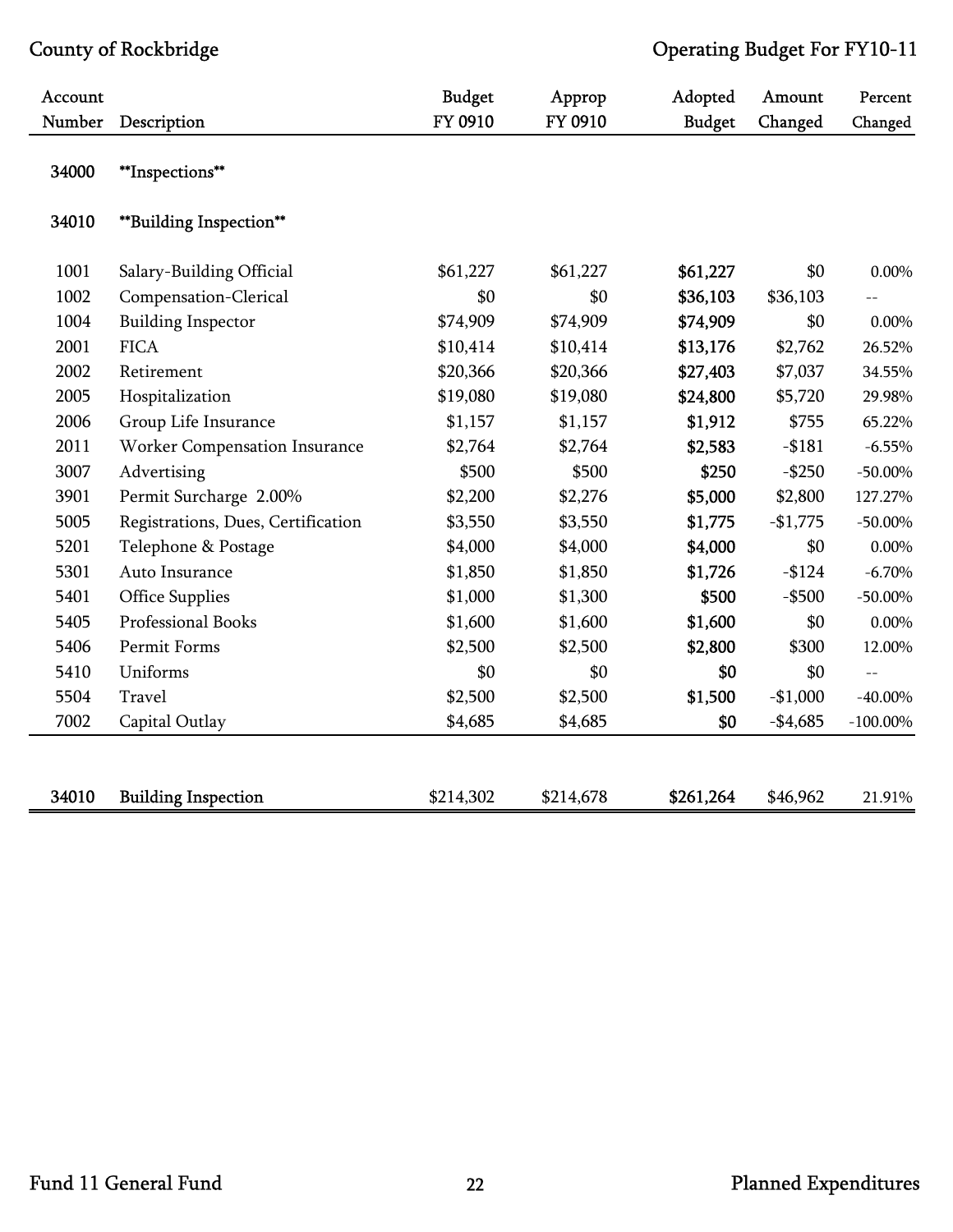| Account |                                    | <b>Budget</b> | Approp    | Adopted       | Amount    | Percent     |
|---------|------------------------------------|---------------|-----------|---------------|-----------|-------------|
| Number  | Description                        | FY 0910       | FY 0910   | <b>Budget</b> | Changed   | Changed     |
| 34000   | **Inspections**                    |               |           |               |           |             |
| 34010   | **Building Inspection**            |               |           |               |           |             |
| 1001    | Salary-Building Official           | \$61,227      | \$61,227  | \$61,227      | \$0       | 0.00%       |
| 1002    | Compensation-Clerical              | \$0           | \$0       | \$36,103      | \$36,103  |             |
| 1004    | <b>Building Inspector</b>          | \$74,909      | \$74,909  | \$74,909      | \$0       | $0.00\%$    |
| 2001    | <b>FICA</b>                        | \$10,414      | \$10,414  | \$13,176      | \$2,762   | 26.52%      |
| 2002    | Retirement                         | \$20,366      | \$20,366  | \$27,403      | \$7,037   | 34.55%      |
| 2005    | Hospitalization                    | \$19,080      | \$19,080  | \$24,800      | \$5,720   | 29.98%      |
| 2006    | Group Life Insurance               | \$1,157       | \$1,157   | \$1,912       | \$755     | 65.22%      |
| 2011    | Worker Compensation Insurance      | \$2,764       | \$2,764   | \$2,583       | $- $181$  | $-6.55%$    |
| 3007    | Advertising                        | \$500         | \$500     | \$250         | $-$ \$250 | $-50.00\%$  |
| 3901    | Permit Surcharge 2.00%             | \$2,200       | \$2,276   | \$5,000       | \$2,800   | 127.27%     |
| 5005    | Registrations, Dues, Certification | \$3,550       | \$3,550   | \$1,775       | $-$1,775$ | $-50.00\%$  |
| 5201    | Telephone & Postage                | \$4,000       | \$4,000   | \$4,000       | \$0       | $0.00\%$    |
| 5301    | Auto Insurance                     | \$1,850       | \$1,850   | \$1,726       | $-124$    | $-6.70%$    |
| 5401    | <b>Office Supplies</b>             | \$1,000       | \$1,300   | \$500         | $-$ \$500 | $-50.00\%$  |
| 5405    | Professional Books                 | \$1,600       | \$1,600   | \$1,600       | \$0       | $0.00\%$    |
| 5406    | Permit Forms                       | \$2,500       | \$2,500   | \$2,800       | \$300     | 12.00%      |
| 5410    | Uniforms                           | \$0           | \$0       | \$0           | \$0       | $-$         |
| 5504    | Travel                             | \$2,500       | \$2,500   | \$1,500       | $-$1,000$ | $-40.00\%$  |
| 7002    | Capital Outlay                     | \$4,685       | \$4,685   | \$0           | $-$4,685$ | $-100.00\%$ |
|         |                                    |               |           |               |           |             |
| 34010   | <b>Building Inspection</b>         | \$214,302     | \$214,678 | \$261,264     | \$46,962  | 21.91%      |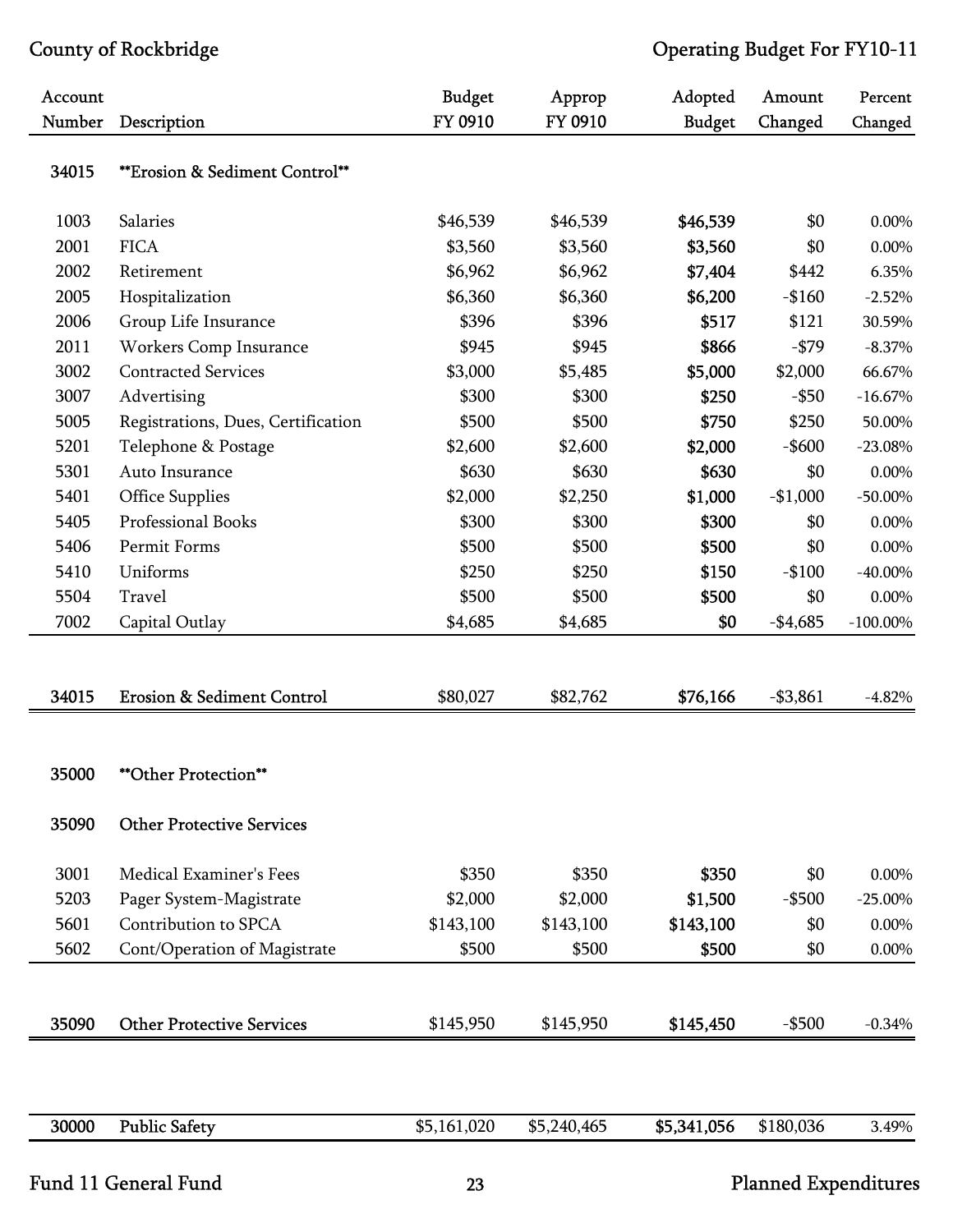| Account |                                       | <b>Budget</b> | Approp      | Adopted       | Amount     | Percent     |
|---------|---------------------------------------|---------------|-------------|---------------|------------|-------------|
| Number  | Description                           | FY 0910       | FY 0910     | <b>Budget</b> | Changed    | Changed     |
| 34015   | **Erosion & Sediment Control**        |               |             |               |            |             |
| 1003    | Salaries                              | \$46,539      | \$46,539    | \$46,539      | \$0        | 0.00%       |
| 2001    | <b>FICA</b>                           | \$3,560       | \$3,560     | \$3,560       | \$0        | $0.00\%$    |
| 2002    | Retirement                            | \$6,962       | \$6,962     | \$7,404       | \$442      | 6.35%       |
| 2005    | Hospitalization                       | \$6,360       | \$6,360     | \$6,200       | $-$160$    | $-2.52%$    |
| 2006    | Group Life Insurance                  | \$396         | \$396       | \$517         | \$121      | 30.59%      |
| 2011    | Workers Comp Insurance                | \$945         | \$945       | \$866         | $-$ \$79   | $-8.37\%$   |
| 3002    | <b>Contracted Services</b>            | \$3,000       | \$5,485     | \$5,000       | \$2,000    | 66.67%      |
| 3007    | Advertising                           | \$300         | \$300       | \$250         | $-$ \$50   | $-16.67%$   |
| 5005    | Registrations, Dues, Certification    | \$500         | \$500       | \$750         | \$250      | 50.00%      |
| 5201    | Telephone & Postage                   | \$2,600       | \$2,600     | \$2,000       | $-$ \$600  | $-23.08%$   |
| 5301    | Auto Insurance                        | \$630         | \$630       | \$630         | \$0        | 0.00%       |
| 5401    | <b>Office Supplies</b>                | \$2,000       | \$2,250     | \$1,000       | $-$1,000$  | $-50.00\%$  |
| 5405    | Professional Books                    | \$300         | \$300       | \$300         | \$0        | $0.00\%$    |
| 5406    | Permit Forms                          | \$500         | \$500       | \$500         | \$0        | $0.00\%$    |
| 5410    | Uniforms                              | \$250         | \$250       | \$150         | $-$100$    | $-40.00\%$  |
| 5504    | Travel                                | \$500         | \$500       | \$500         | \$0        | $0.00\%$    |
| 7002    | Capital Outlay                        | \$4,685       | \$4,685     | \$0           | $-$4,685$  | $-100.00\%$ |
|         |                                       |               |             |               |            |             |
|         |                                       |               |             |               |            |             |
| 34015   | <b>Erosion &amp; Sediment Control</b> | \$80,027      | \$82,762    | \$76,166      | $- $3,861$ | $-4.82%$    |
|         |                                       |               |             |               |            |             |
| 35000   | **Other Protection**                  |               |             |               |            |             |
| 35090   | <b>Other Protective Services</b>      |               |             |               |            |             |
|         |                                       |               |             |               |            |             |
| 3001    | Medical Examiner's Fees               | \$350         | \$350       | \$350         | \$0        | 0.00%       |
| 5203    | Pager System-Magistrate               | \$2,000       | \$2,000     | \$1,500       | $-$ \$500  | $-25.00\%$  |
| 5601    | Contribution to SPCA                  | \$143,100     | \$143,100   | \$143,100     | \$0        | 0.00%       |
| 5602    | Cont/Operation of Magistrate          | \$500         | \$500       | \$500         | \$0        | 0.00%       |
|         |                                       |               |             |               |            |             |
| 35090   | <b>Other Protective Services</b>      | \$145,950     | \$145,950   | \$145,450     | $-$ \$500  | $-0.34%$    |
|         |                                       |               |             |               |            |             |
| 30000   | <b>Public Safety</b>                  | \$5,161,020   | \$5,240,465 | \$5,341,056   | \$180,036  | 3.49%       |
|         |                                       |               |             |               |            |             |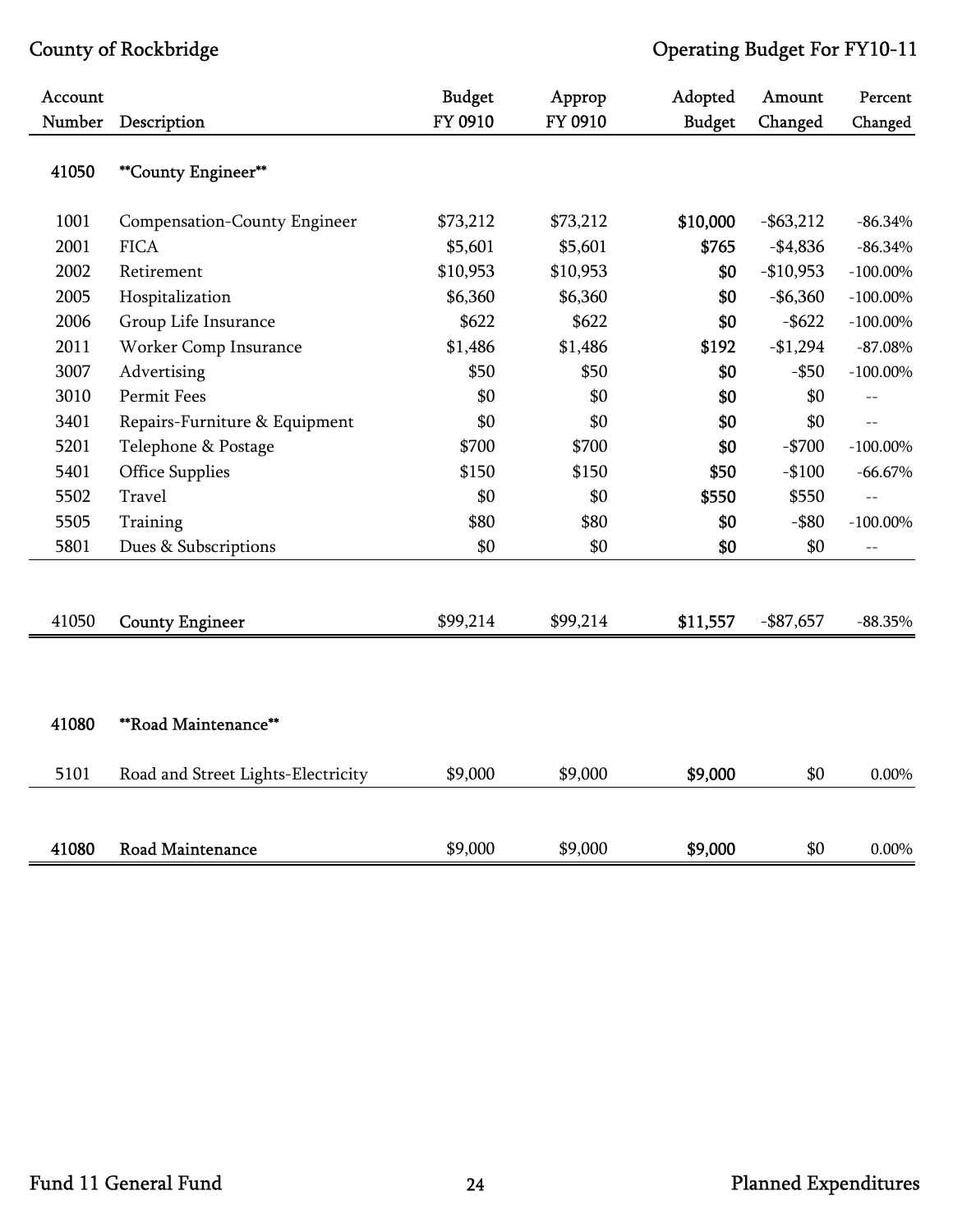| Account<br>Number | Description                         | <b>Budget</b><br>FY 0910 | Approp<br>FY 0910 | Adopted<br><b>Budget</b> | Amount<br>Changed | Percent<br>Changed |
|-------------------|-------------------------------------|--------------------------|-------------------|--------------------------|-------------------|--------------------|
| 41050             |                                     |                          |                   |                          |                   |                    |
|                   | **County Engineer**                 |                          |                   |                          |                   |                    |
| 1001              | <b>Compensation-County Engineer</b> | \$73,212                 | \$73,212          | \$10,000                 | $-$ \$63,212      | $-86.34%$          |
| 2001              | <b>FICA</b>                         | \$5,601                  | \$5,601           | \$765                    | $-$4,836$         | $-86.34%$          |
| 2002              | Retirement                          | \$10,953                 | \$10,953          | \$0                      | $-$10,953$        | $-100.00\%$        |
| 2005              | Hospitalization                     | \$6,360                  | \$6,360           | \$0                      | $-$ \$6,360       | $-100.00\%$        |
| 2006              | Group Life Insurance                | \$622                    | \$622             | \$0                      | $-$ \$622         | $-100.00\%$        |
| 2011              | Worker Comp Insurance               | \$1,486                  | \$1,486           | \$192                    | $-$1,294$         | $-87.08%$          |
| 3007              | Advertising                         | \$50                     | \$50              | \$0                      | $-$ \$50          | $-100.00\%$        |
| 3010              | Permit Fees                         | \$0                      | \$0               | \$0                      | \$0               | $-$                |
| 3401              | Repairs-Furniture & Equipment       | \$0                      | \$0               | \$0                      | \$0               | $\overline{a}$     |
| 5201              | Telephone & Postage                 | \$700                    | \$700             | \$0                      | $-$700$           | $-100.00\%$        |
| 5401              | <b>Office Supplies</b>              | \$150                    | \$150             | \$50                     | $-$100$           | $-66.67\%$         |
| 5502              | Travel                              | \$0                      | \$0               | \$550                    | \$550             | $-$                |
| 5505              | Training                            | \$80                     | \$80              | \$0                      | $-$ \$80          | $-100.00\%$        |
| 5801              | Dues & Subscriptions                | \$0                      | \$0               | \$0                      | \$0               | $- \, -$           |
|                   |                                     |                          |                   |                          |                   |                    |
| 41050             | <b>County Engineer</b>              | \$99,214                 | \$99,214          | \$11,557                 | $-$ \$87,657      | $-88.35%$          |
|                   |                                     |                          |                   |                          |                   |                    |
|                   |                                     |                          |                   |                          |                   |                    |
| 41080             | **Road Maintenance**                |                          |                   |                          |                   |                    |
| 5101              | Road and Street Lights-Electricity  | \$9,000                  | \$9,000           | \$9,000                  | \$0               | $0.00\%$           |
|                   |                                     |                          |                   |                          |                   |                    |
| 41080             | <b>Road Maintenance</b>             | \$9,000                  | \$9,000           | \$9,000                  | \$0               | $0.00\%$           |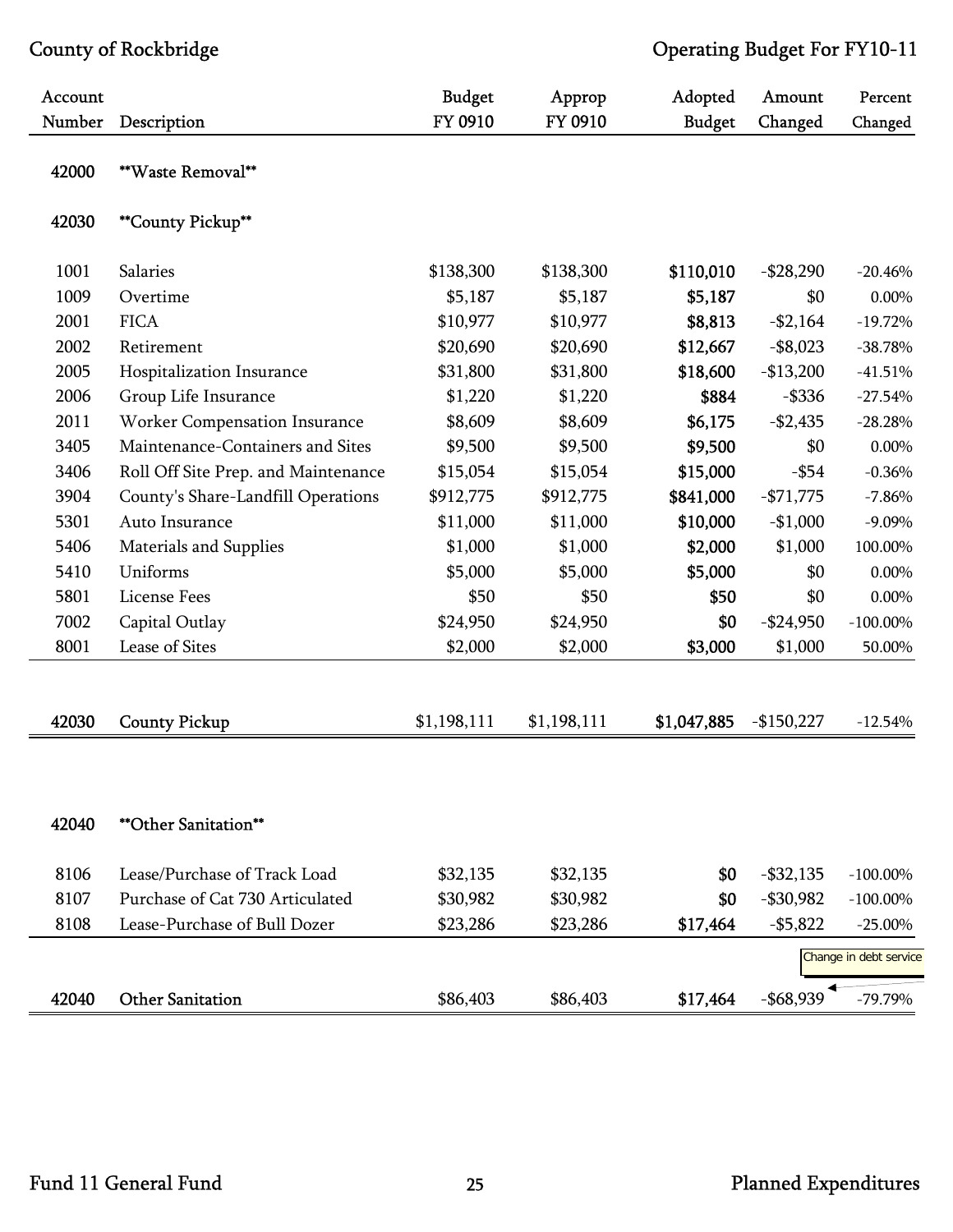| Account<br>Number | Description                         | <b>Budget</b><br>FY 0910 | Approp<br>FY 0910 | Adopted<br><b>Budget</b> | Amount<br>Changed | Percent<br>Changed     |
|-------------------|-------------------------------------|--------------------------|-------------------|--------------------------|-------------------|------------------------|
|                   |                                     |                          |                   |                          |                   |                        |
| 42000             | **Waste Removal**                   |                          |                   |                          |                   |                        |
| 42030             | <b>**County Pickup**</b>            |                          |                   |                          |                   |                        |
| 1001              | Salaries                            | \$138,300                | \$138,300         | \$110,010                | $-$ \$28,290      | $-20.46%$              |
| 1009              | Overtime                            | \$5,187                  | \$5,187           | \$5,187                  | \$0               | 0.00%                  |
| 2001              | <b>FICA</b>                         | \$10,977                 | \$10,977          | \$8,813                  | $- $2,164$        | $-19.72%$              |
| 2002              | Retirement                          | \$20,690                 | \$20,690          | \$12,667                 | $-$ \$8,023       | $-38.78%$              |
| 2005              | Hospitalization Insurance           | \$31,800                 | \$31,800          | \$18,600                 | $-$13,200$        | $-41.51%$              |
| 2006              | Group Life Insurance                | \$1,220                  | \$1,220           | \$884                    | $-$ \$336         | $-27.54%$              |
| 2011              | Worker Compensation Insurance       | \$8,609                  | \$8,609           | \$6,175                  | $-$2,435$         | $-28.28%$              |
| 3405              | Maintenance-Containers and Sites    | \$9,500                  | \$9,500           | \$9,500                  | \$0               | $0.00\%$               |
| 3406              | Roll Off Site Prep. and Maintenance | \$15,054                 | \$15,054          | \$15,000                 | $-$ \$54          | $-0.36%$               |
| 3904              | County's Share-Landfill Operations  | \$912,775                | \$912,775         | \$841,000                | $-$71,775$        | $-7.86%$               |
| 5301              | Auto Insurance                      | \$11,000                 | \$11,000          | \$10,000                 | $-$1,000$         | $-9.09\%$              |
| 5406              | Materials and Supplies              | \$1,000                  | \$1,000           | \$2,000                  | \$1,000           | 100.00%                |
| 5410              | Uniforms                            | \$5,000                  | \$5,000           | \$5,000                  | \$0               | 0.00%                  |
| 5801              | License Fees                        | \$50                     | \$50              | \$50                     | \$0               | 0.00%                  |
| 7002              | Capital Outlay                      | \$24,950                 | \$24,950          | \$0                      | $-$ \$24,950      | $-100.00\%$            |
| 8001              | Lease of Sites                      | \$2,000                  | \$2,000           | \$3,000                  | \$1,000           | 50.00%                 |
|                   |                                     |                          |                   |                          |                   |                        |
| 42030             | <b>County Pickup</b>                | \$1,198,111              | \$1,198,111       | \$1,047,885              | $-$150,227$       | $-12.54%$              |
|                   |                                     |                          |                   |                          |                   |                        |
| 42040             | <b>**Other Sanitation**</b>         |                          |                   |                          |                   |                        |
| 8106              | Lease/Purchase of Track Load        | \$32,135                 | \$32,135          | \$0                      | $-$ \$32,135      | $-100.00\%$            |
| 8107              | Purchase of Cat 730 Articulated     | \$30,982                 | \$30,982          | \$0                      | $-$ \$30,982      | $-100.00\%$            |
| 8108              | Lease-Purchase of Bull Dozer        | \$23,286                 | \$23,286          | \$17,464                 | $- $5,822$        | $-25.00\%$             |
|                   |                                     |                          |                   |                          |                   | Change in debt service |
| 42040             | <b>Other Sanitation</b>             | \$86,403                 | \$86,403          | \$17,464                 | $-$ \$68,939      | $-79.79%$              |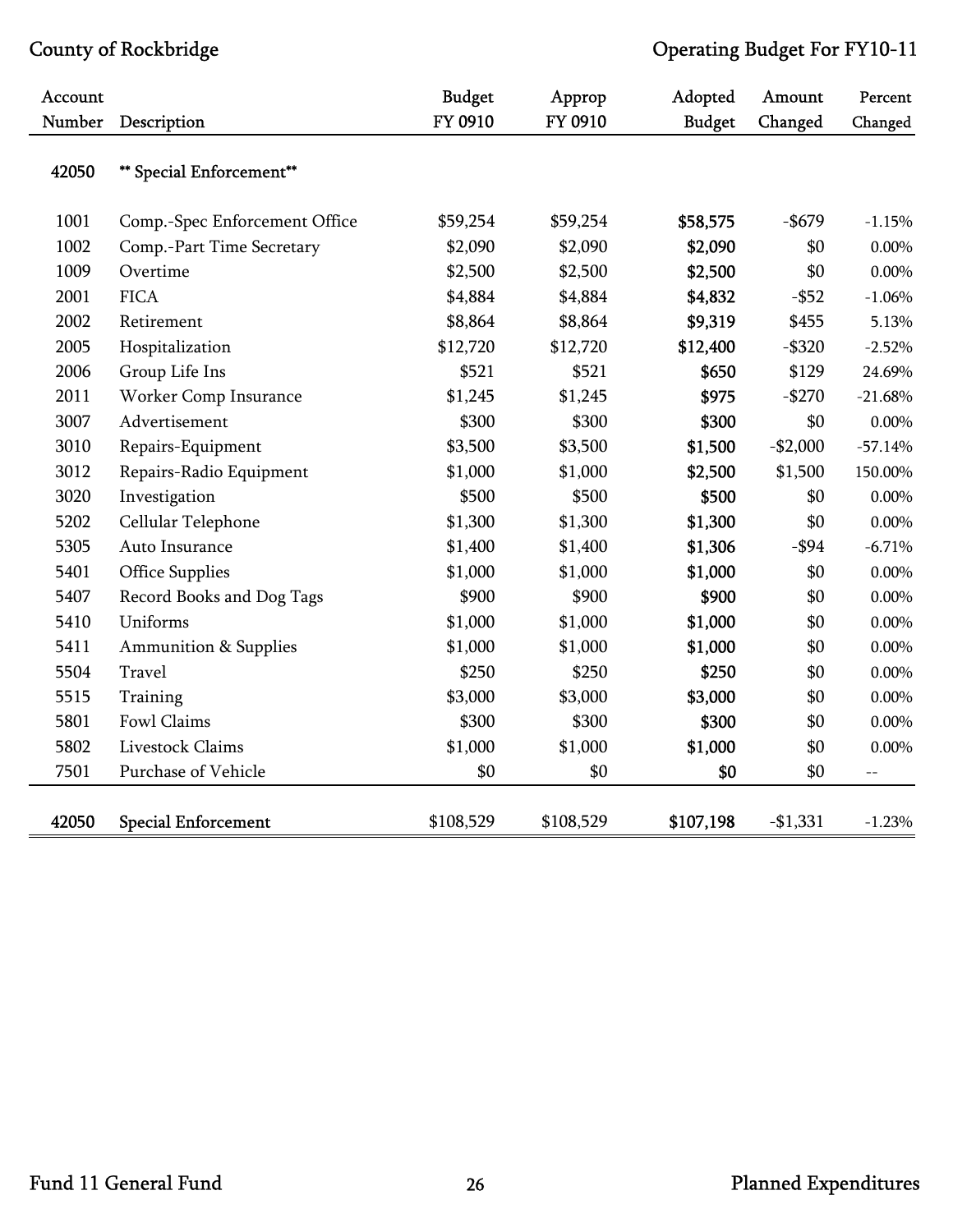| Account |                                  | <b>Budget</b> | Approp    | Adopted       | Amount    | Percent   |
|---------|----------------------------------|---------------|-----------|---------------|-----------|-----------|
| Number  | Description                      | FY 0910       | FY 0910   | <b>Budget</b> | Changed   | Changed   |
| 42050   | ** Special Enforcement**         |               |           |               |           |           |
| 1001    | Comp.-Spec Enforcement Office    | \$59,254      | \$59,254  | \$58,575      | $-$ \$679 | $-1.15%$  |
| 1002    | Comp.-Part Time Secretary        | \$2,090       | \$2,090   | \$2,090       | \$0       | $0.00\%$  |
| 1009    | Overtime                         | \$2,500       | \$2,500   | \$2,500       | \$0       | 0.00%     |
| 2001    | <b>FICA</b>                      | \$4,884       | \$4,884   | \$4,832       | $-$ \$52  | $-1.06%$  |
| 2002    | Retirement                       | \$8,864       | \$8,864   | \$9,319       | \$455     | 5.13%     |
| 2005    | Hospitalization                  | \$12,720      | \$12,720  | \$12,400      | $-$ \$320 | $-2.52%$  |
| 2006    | Group Life Ins                   | \$521         | \$521     | \$650         | \$129     | 24.69%    |
| 2011    | Worker Comp Insurance            | \$1,245       | \$1,245   | \$975         | $-$270$   | $-21.68%$ |
| 3007    | Advertisement                    | \$300         | \$300     | \$300         | \$0       | $0.00\%$  |
| 3010    | Repairs-Equipment                | \$3,500       | \$3,500   | \$1,500       | $-$2,000$ | $-57.14%$ |
| 3012    | Repairs-Radio Equipment          | \$1,000       | \$1,000   | \$2,500       | \$1,500   | 150.00%   |
| 3020    | Investigation                    | \$500         | \$500     | \$500         | \$0       | $0.00\%$  |
| 5202    | Cellular Telephone               | \$1,300       | \$1,300   | \$1,300       | \$0       | $0.00\%$  |
| 5305    | Auto Insurance                   | \$1,400       | \$1,400   | \$1,306       | $-$ \$94  | $-6.71%$  |
| 5401    | Office Supplies                  | \$1,000       | \$1,000   | \$1,000       | \$0       | $0.00\%$  |
| 5407    | Record Books and Dog Tags        | \$900         | \$900     | \$900         | \$0       | $0.00\%$  |
| 5410    | Uniforms                         | \$1,000       | \$1,000   | \$1,000       | \$0       | $0.00\%$  |
| 5411    | <b>Ammunition &amp; Supplies</b> | \$1,000       | \$1,000   | \$1,000       | \$0       | $0.00\%$  |
| 5504    | Travel                           | \$250         | \$250     | \$250         | \$0       | $0.00\%$  |
| 5515    | Training                         | \$3,000       | \$3,000   | \$3,000       | \$0       | $0.00\%$  |
| 5801    | Fowl Claims                      | \$300         | \$300     | \$300         | \$0       | $0.00\%$  |
| 5802    | Livestock Claims                 | \$1,000       | \$1,000   | \$1,000       | \$0       | $0.00\%$  |
| 7501    | Purchase of Vehicle              | \$0           | \$0       | \$0           | \$0       | $-$       |
| 42050   | <b>Special Enforcement</b>       | \$108,529     | \$108,529 | \$107,198     | $-$1,331$ | $-1.23%$  |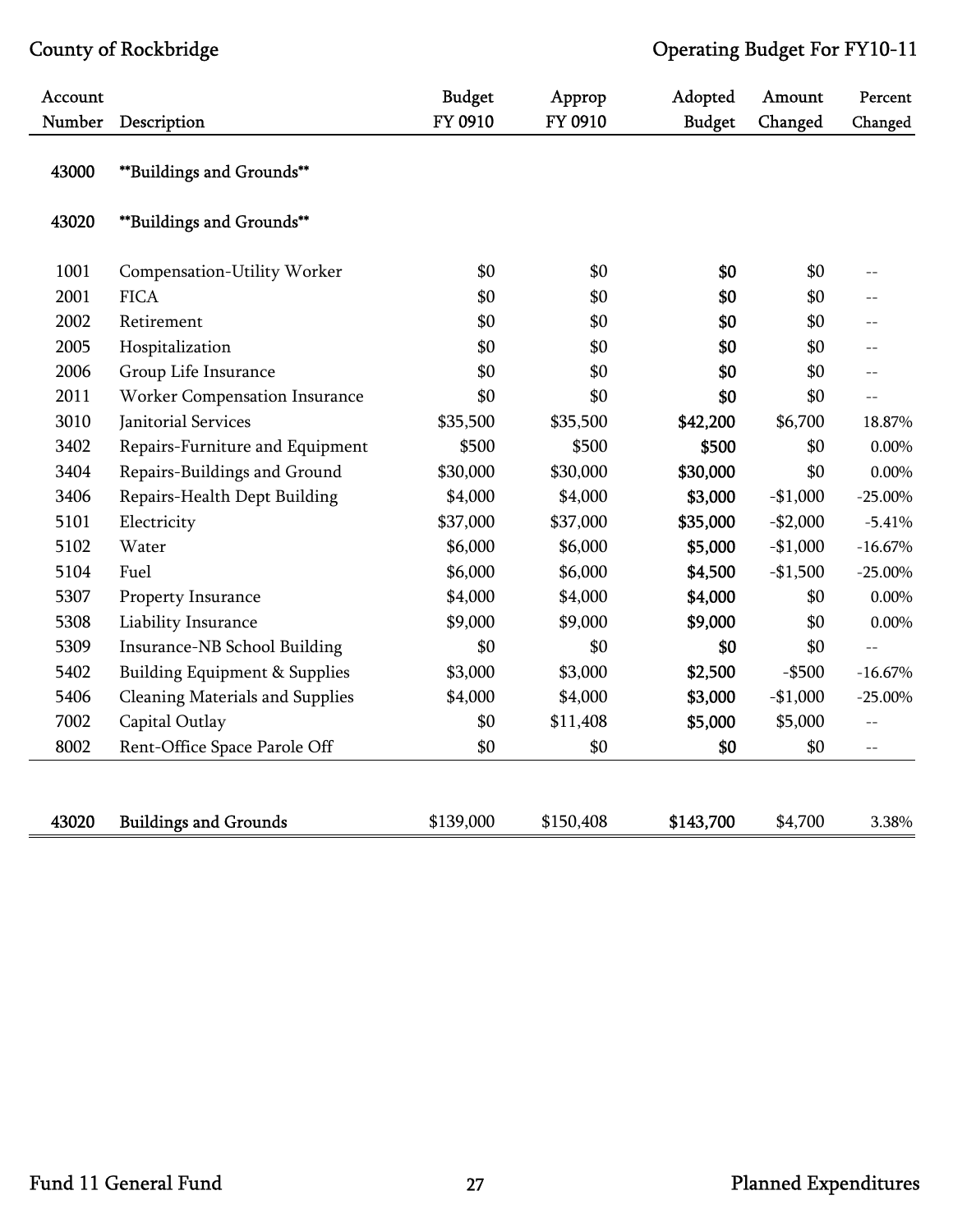| Account |                                          | <b>Budget</b> | Approp    | Adopted       | Amount    | Percent    |
|---------|------------------------------------------|---------------|-----------|---------------|-----------|------------|
| Number  | Description                              | FY 0910       | FY 0910   | <b>Budget</b> | Changed   | Changed    |
| 43000   | **Buildings and Grounds**                |               |           |               |           |            |
| 43020   | **Buildings and Grounds**                |               |           |               |           |            |
| 1001    | Compensation-Utility Worker              | \$0           | \$0       | \$0           | \$0       |            |
| 2001    | <b>FICA</b>                              | \$0           | \$0       | \$0           | \$0       |            |
| 2002    | Retirement                               | \$0           | \$0       | \$0           | \$0       | $-$        |
| 2005    | Hospitalization                          | \$0           | \$0       | \$0           | \$0       | $-$        |
| 2006    | Group Life Insurance                     | \$0           | \$0       | \$0           | \$0       | $-$        |
| 2011    | Worker Compensation Insurance            | \$0           | \$0       | \$0           | \$0       | $-$        |
| 3010    | Janitorial Services                      | \$35,500      | \$35,500  | \$42,200      | \$6,700   | 18.87%     |
| 3402    | Repairs-Furniture and Equipment          | \$500         | \$500     | \$500         | \$0       | $0.00\%$   |
| 3404    | Repairs-Buildings and Ground             | \$30,000      | \$30,000  | \$30,000      | \$0       | 0.00%      |
| 3406    | Repairs-Health Dept Building             | \$4,000       | \$4,000   | \$3,000       | $-$1,000$ | $-25.00\%$ |
| 5101    | Electricity                              | \$37,000      | \$37,000  | \$35,000      | $-$2,000$ | $-5.41%$   |
| 5102    | Water                                    | \$6,000       | \$6,000   | \$5,000       | $-$1,000$ | $-16.67%$  |
| 5104    | Fuel                                     | \$6,000       | \$6,000   | \$4,500       | $-$1,500$ | $-25.00\%$ |
| 5307    | Property Insurance                       | \$4,000       | \$4,000   | \$4,000       | \$0       | 0.00%      |
| 5308    | Liability Insurance                      | \$9,000       | \$9,000   | \$9,000       | \$0       | 0.00%      |
| 5309    | Insurance-NB School Building             | \$0           | \$0       | \$0           | \$0       | $-$        |
| 5402    | <b>Building Equipment &amp; Supplies</b> | \$3,000       | \$3,000   | \$2,500       | $-$ \$500 | $-16.67%$  |
| 5406    | <b>Cleaning Materials and Supplies</b>   | \$4,000       | \$4,000   | \$3,000       | $-$1,000$ | $-25.00\%$ |
| 7002    | Capital Outlay                           | \$0           | \$11,408  | \$5,000       | \$5,000   | $-$        |
| 8002    | Rent-Office Space Parole Off             | \$0           | \$0       | \$0           | \$0       | $-$        |
|         |                                          |               |           |               |           |            |
| 43020   | <b>Buildings and Grounds</b>             | \$139,000     | \$150,408 | \$143,700     | \$4,700   | 3.38%      |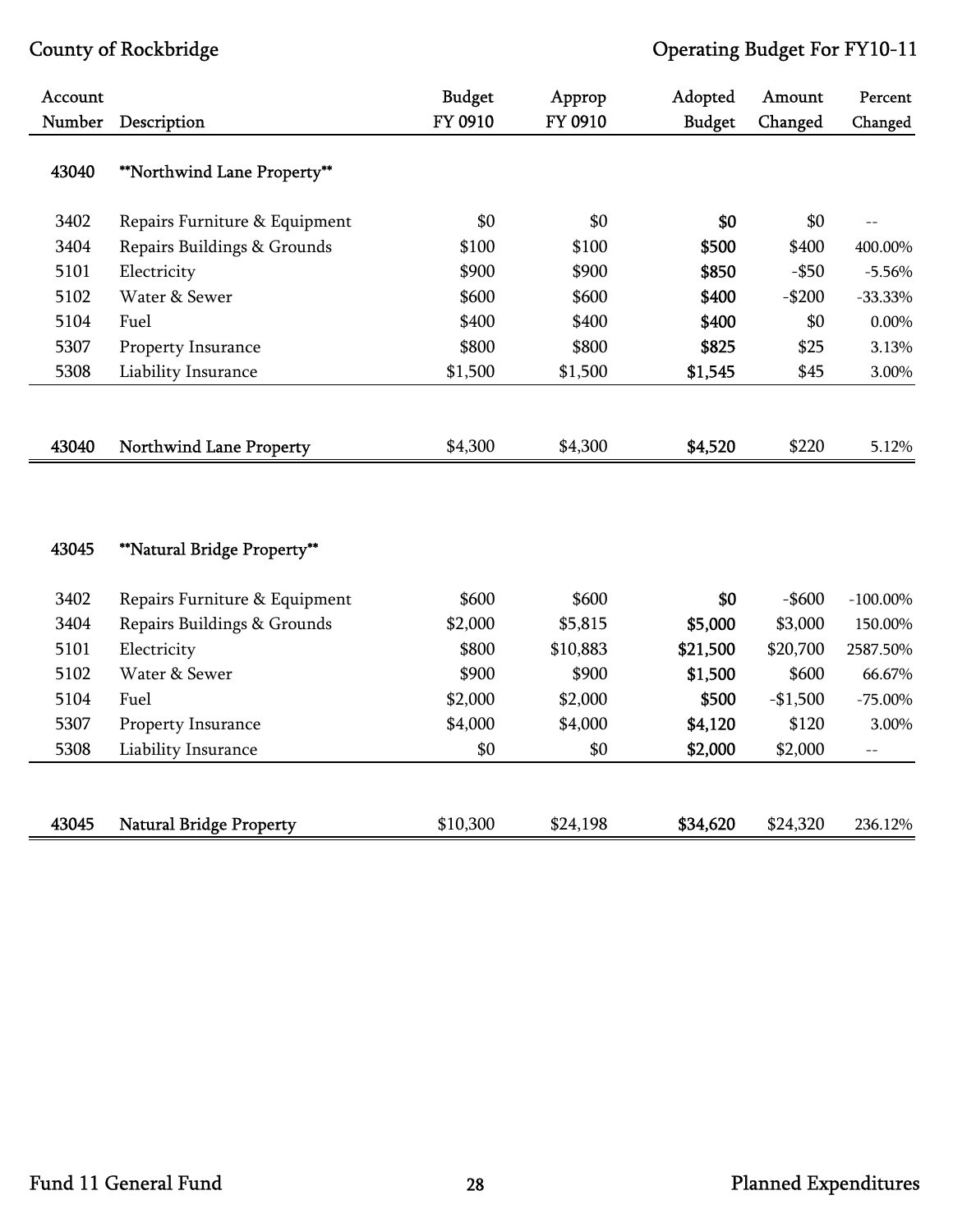| Account |                                | <b>Budget</b> | Approp   | Adopted       | Amount    | Percent     |
|---------|--------------------------------|---------------|----------|---------------|-----------|-------------|
| Number  | Description                    | FY 0910       | FY 0910  | <b>Budget</b> | Changed   | Changed     |
| 43040   | **Northwind Lane Property**    |               |          |               |           |             |
| 3402    | Repairs Furniture & Equipment  | \$0           | \$0      | \$0           | \$0       |             |
| 3404    | Repairs Buildings & Grounds    | \$100         | \$100    | \$500         | \$400     | 400.00%     |
| 5101    | Electricity                    | \$900         | \$900    | \$850         | $-$ \$50  | $-5.56%$    |
| 5102    | Water & Sewer                  | \$600         | \$600    | \$400         | $-$200$   | $-33.33%$   |
| 5104    | Fuel                           | \$400         | \$400    | \$400         | \$0       | 0.00%       |
| 5307    | Property Insurance             | \$800         | \$800    | \$825         | \$25      | 3.13%       |
| 5308    | Liability Insurance            | \$1,500       | \$1,500  | \$1,545       | \$45      | 3.00%       |
|         |                                |               |          |               |           |             |
| 43040   | <b>Northwind Lane Property</b> | \$4,300       | \$4,300  | \$4,520       | \$220     | 5.12%       |
| 43045   | **Natural Bridge Property**    |               |          |               |           |             |
| 3402    | Repairs Furniture & Equipment  | \$600         | \$600    | \$0           | $-$ \$600 | $-100.00\%$ |
| 3404    | Repairs Buildings & Grounds    | \$2,000       | \$5,815  | \$5,000       | \$3,000   | 150.00%     |
| 5101    | Electricity                    | \$800         | \$10,883 | \$21,500      | \$20,700  | 2587.50%    |
| 5102    | Water & Sewer                  | \$900         | \$900    | \$1,500       | \$600     | 66.67%      |
| 5104    | Fuel                           | \$2,000       | \$2,000  | \$500         | $-$1,500$ | $-75.00\%$  |
| 5307    | Property Insurance             | \$4,000       | \$4,000  | \$4,120       | \$120     | 3.00%       |
| 5308    | Liability Insurance            | \$0           | \$0      | \$2,000       | \$2,000   | $-$         |
|         |                                |               |          |               |           |             |
| 43045   | <b>Natural Bridge Property</b> | \$10,300      | \$24,198 | \$34,620      | \$24,320  | 236.12%     |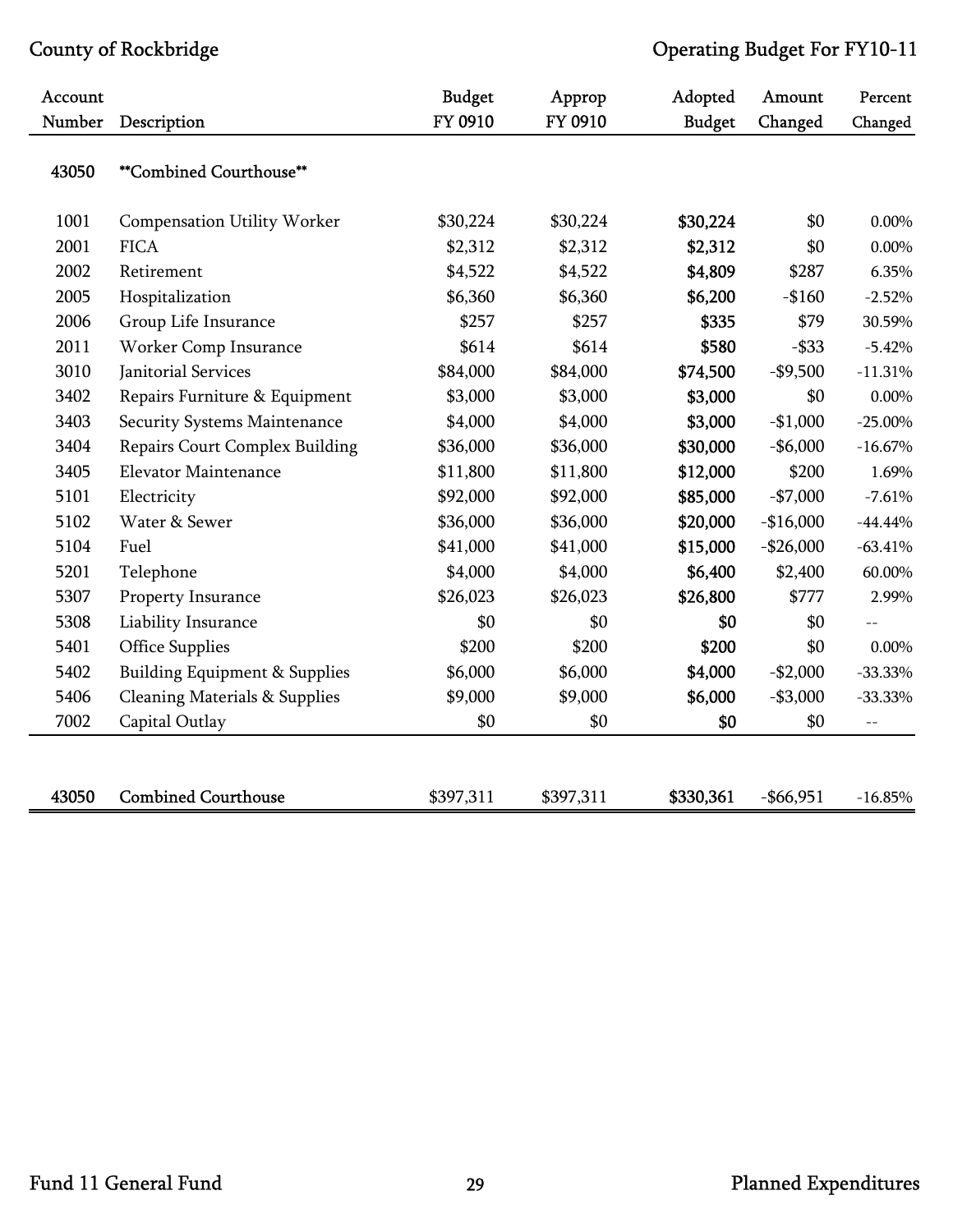| Account |                                          | <b>Budget</b> | Approp    | Adopted       | Amount       | Percent    |
|---------|------------------------------------------|---------------|-----------|---------------|--------------|------------|
| Number  | Description                              | FY 0910       | FY 0910   | <b>Budget</b> | Changed      | Changed    |
| 43050   | **Combined Courthouse**                  |               |           |               |              |            |
| 1001    | Compensation Utility Worker              | \$30,224      | \$30,224  | \$30,224      | \$0          | 0.00%      |
| 2001    | <b>FICA</b>                              | \$2,312       | \$2,312   | \$2,312       | \$0          | 0.00%      |
| 2002    | Retirement                               | \$4,522       | \$4,522   | \$4,809       | \$287        | 6.35%      |
| 2005    | Hospitalization                          | \$6,360       | \$6,360   | \$6,200       | $-$160$      | $-2.52%$   |
| 2006    | Group Life Insurance                     | \$257         | \$257     | \$335         | \$79         | 30.59%     |
| 2011    | Worker Comp Insurance                    | \$614         | \$614     | \$580         | $-$ \$33     | $-5.42%$   |
| 3010    | Janitorial Services                      | \$84,000      | \$84,000  | \$74,500      | $-$9,500$    | $-11.31%$  |
| 3402    | Repairs Furniture & Equipment            | \$3,000       | \$3,000   | \$3,000       | \$0          | $0.00\%$   |
| 3403    | Security Systems Maintenance             | \$4,000       | \$4,000   | \$3,000       | $-$1,000$    | $-25.00\%$ |
| 3404    | <b>Repairs Court Complex Building</b>    | \$36,000      | \$36,000  | \$30,000      | $-$6,000$    | $-16.67%$  |
| 3405    | <b>Elevator Maintenance</b>              | \$11,800      | \$11,800  | \$12,000      | \$200        | 1.69%      |
| 5101    | Electricity                              | \$92,000      | \$92,000  | \$85,000      | $-$7,000$    | $-7.61%$   |
| 5102    | Water & Sewer                            | \$36,000      | \$36,000  | \$20,000      | $-$16,000$   | $-44.44%$  |
| 5104    | Fuel                                     | \$41,000      | \$41,000  | \$15,000      | $-$26,000$   | $-63.41%$  |
| 5201    | Telephone                                | \$4,000       | \$4,000   | \$6,400       | \$2,400      | 60.00%     |
| 5307    | Property Insurance                       | \$26,023      | \$26,023  | \$26,800      | \$777        | 2.99%      |
| 5308    | Liability Insurance                      | \$0           | \$0       | \$0           | \$0          |            |
| 5401    | <b>Office Supplies</b>                   | \$200         | \$200     | \$200         | \$0          | $0.00\%$   |
| 5402    | <b>Building Equipment &amp; Supplies</b> | \$6,000       | \$6,000   | \$4,000       | $-$2,000$    | $-33.33%$  |
| 5406    | <b>Cleaning Materials &amp; Supplies</b> | \$9,000       | \$9,000   | \$6,000       | $- $3,000$   | $-33.33%$  |
| 7002    | Capital Outlay                           | \$0           | \$0       | \$0           | \$0          | $-$        |
|         |                                          |               |           |               |              |            |
| 43050   | <b>Combined Courthouse</b>               | \$397,311     | \$397,311 | \$330,361     | $-$ \$66,951 | $-16.85%$  |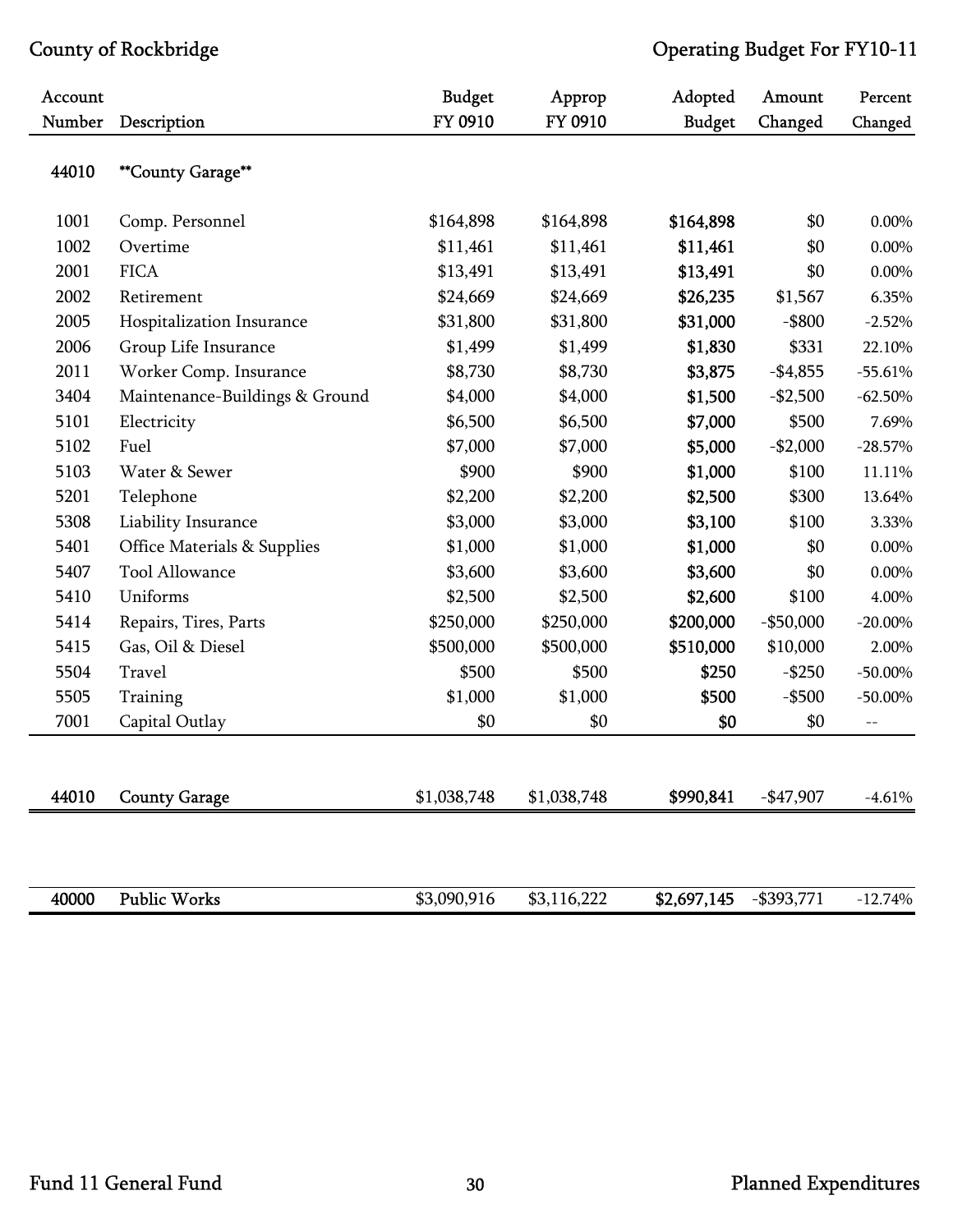| Account |                                | <b>Budget</b> | Approp      | Adopted       | Amount        | Percent    |
|---------|--------------------------------|---------------|-------------|---------------|---------------|------------|
| Number  | Description                    | FY 0910       | FY 0910     | <b>Budget</b> | Changed       | Changed    |
| 44010   | **County Garage**              |               |             |               |               |            |
| 1001    | Comp. Personnel                | \$164,898     | \$164,898   | \$164,898     | \$0           | 0.00%      |
| 1002    | Overtime                       | \$11,461      | \$11,461    | \$11,461      | \$0           | $0.00\%$   |
| 2001    | <b>FICA</b>                    | \$13,491      | \$13,491    | \$13,491      | \$0           | 0.00%      |
| 2002    | Retirement                     | \$24,669      | \$24,669    | \$26,235      | \$1,567       | 6.35%      |
| 2005    | Hospitalization Insurance      | \$31,800      | \$31,800    | \$31,000      | $-$ \$800     | $-2.52%$   |
| 2006    | Group Life Insurance           | \$1,499       | \$1,499     | \$1,830       | \$331         | 22.10%     |
| 2011    | Worker Comp. Insurance         | \$8,730       | \$8,730     | \$3,875       | $-$4,855$     | $-55.61%$  |
| 3404    | Maintenance-Buildings & Ground | \$4,000       | \$4,000     | \$1,500       | $-$2,500$     | $-62.50%$  |
| 5101    | Electricity                    | \$6,500       | \$6,500     | \$7,000       | \$500         | 7.69%      |
| 5102    | Fuel                           | \$7,000       | \$7,000     | \$5,000       | $-$2,000$     | $-28.57%$  |
| 5103    | Water & Sewer                  | \$900         | \$900       | \$1,000       | \$100         | 11.11%     |
| 5201    | Telephone                      | \$2,200       | \$2,200     | \$2,500       | \$300         | 13.64%     |
| 5308    | Liability Insurance            | \$3,000       | \$3,000     | \$3,100       | \$100         | 3.33%      |
| 5401    | Office Materials & Supplies    | \$1,000       | \$1,000     | \$1,000       | \$0           | 0.00%      |
| 5407    | <b>Tool Allowance</b>          | \$3,600       | \$3,600     | \$3,600       | \$0           | $0.00\%$   |
| 5410    | Uniforms                       | \$2,500       | \$2,500     | \$2,600       | \$100         | 4.00%      |
| 5414    | Repairs, Tires, Parts          | \$250,000     | \$250,000   | \$200,000     | $-$ \$50,000  | $-20.00\%$ |
| 5415    | Gas, Oil & Diesel              | \$500,000     | \$500,000   | \$510,000     | \$10,000      | 2.00%      |
| 5504    | Travel                         | \$500         | \$500       | \$250         | $-$ \$250     | $-50.00\%$ |
| 5505    | Training                       | \$1,000       | \$1,000     | \$500         | $-$ \$500     | $-50.00\%$ |
| 7001    | Capital Outlay                 | \$0           | \$0         | \$0           | \$0           | $-$        |
|         |                                |               |             |               |               |            |
| 44010   | <b>County Garage</b>           | \$1,038,748   | \$1,038,748 | \$990,841     | $-$ \$47,907  | $-4.61%$   |
|         |                                |               |             |               |               |            |
| 40000   | <b>Public Works</b>            | \$3,090,916   | \$3,116,222 | \$2,697,145   | $-$ \$393,771 | $-12.74%$  |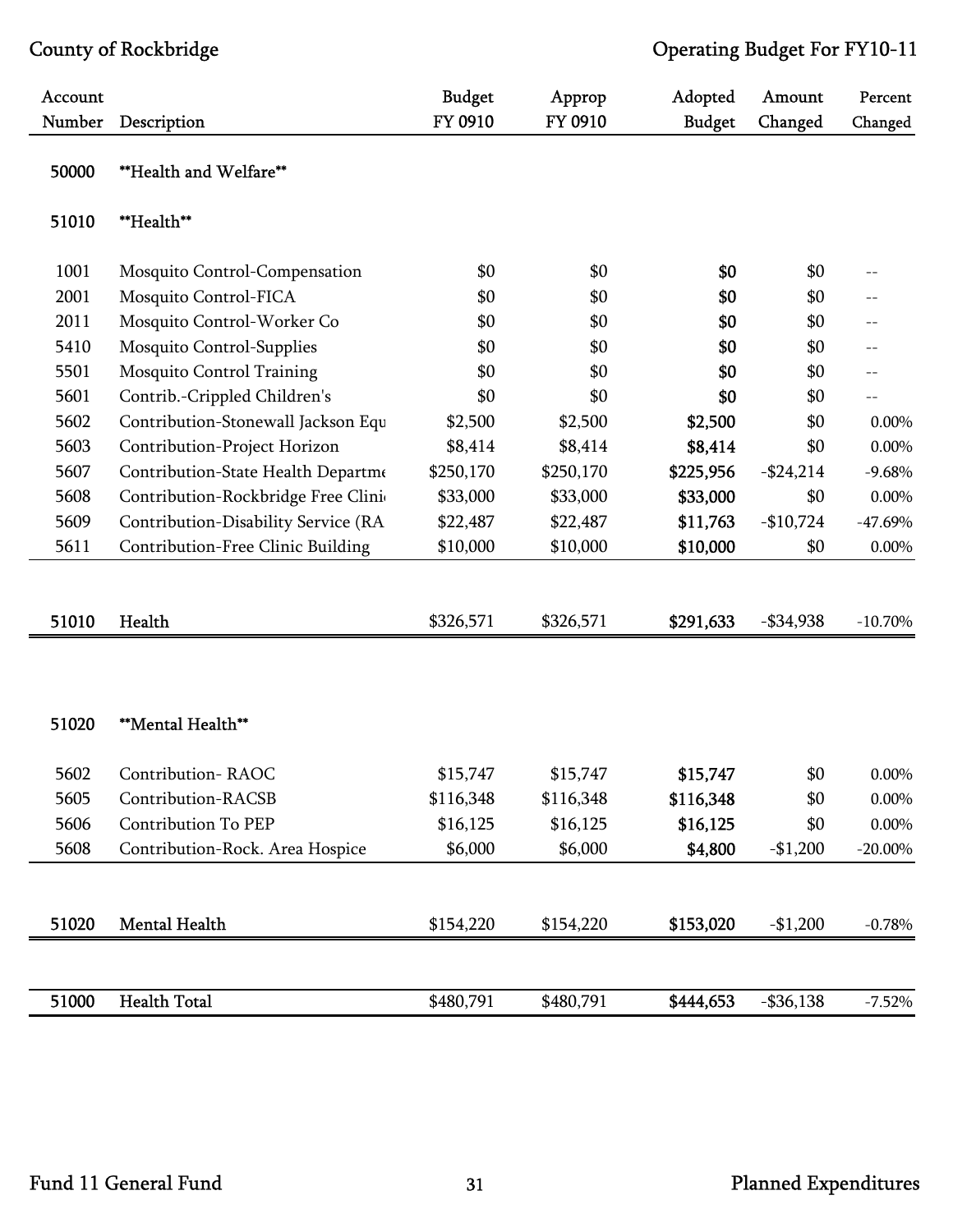| Account |                                     | <b>Budget</b> | Approp    | Adopted       | Amount       | Percent    |
|---------|-------------------------------------|---------------|-----------|---------------|--------------|------------|
| Number  | Description                         | FY 0910       | FY 0910   | <b>Budget</b> | Changed      | Changed    |
| 50000   | **Health and Welfare**              |               |           |               |              |            |
| 51010   | **Health**                          |               |           |               |              |            |
| 1001    | Mosquito Control-Compensation       | \$0           | \$0       | \$0           | \$0          |            |
| 2001    | Mosquito Control-FICA               | \$0           | \$0       | \$0           | \$0          |            |
| 2011    | Mosquito Control-Worker Co          | \$0           | \$0       | \$0           | \$0          | $-$        |
| 5410    | Mosquito Control-Supplies           | \$0           | \$0       | \$0           | \$0          | $-$        |
| 5501    | Mosquito Control Training           | \$0           | \$0       | \$0           | \$0          | $-$        |
| 5601    | Contrib.-Crippled Children's        | \$0           | \$0       | \$0           | \$0          | $-$        |
| 5602    | Contribution-Stonewall Jackson Equ  | \$2,500       | \$2,500   | \$2,500       | \$0          | 0.00%      |
| 5603    | Contribution-Project Horizon        | \$8,414       | \$8,414   | \$8,414       | \$0          | 0.00%      |
| 5607    | Contribution-State Health Departme  | \$250,170     | \$250,170 | \$225,956     | $-$24,214$   | $-9.68%$   |
| 5608    | Contribution-Rockbridge Free Clini  | \$33,000      | \$33,000  | \$33,000      | \$0          | 0.00%      |
| 5609    | Contribution-Disability Service (RA | \$22,487      | \$22,487  | \$11,763      | $-$10,724$   | $-47.69%$  |
| 5611    | Contribution-Free Clinic Building   | \$10,000      | \$10,000  | \$10,000      | \$0          | 0.00%      |
|         |                                     |               |           |               |              |            |
|         |                                     |               |           |               |              |            |
| 51010   | Health                              | \$326,571     | \$326,571 | \$291,633     | $- $34,938$  | $-10.70\%$ |
|         |                                     |               |           |               |              |            |
|         |                                     |               |           |               |              |            |
|         |                                     |               |           |               |              |            |
| 51020   | **Mental Health**                   |               |           |               |              |            |
|         |                                     |               |           |               |              |            |
| 5602    | Contribution-RAOC                   | \$15,747      | \$15,747  | \$15,747      | \$0          | 0.00%      |
| 5605    | Contribution-RACSB                  | \$116,348     | \$116,348 | \$116,348     | \$0          | 0.00%      |
| 5606    | <b>Contribution To PEP</b>          | \$16,125      | \$16,125  | \$16,125      | \$0          | 0.00%      |
| 5608    | Contribution-Rock. Area Hospice     | \$6,000       | \$6,000   | \$4,800       | $-$1,200$    | $-20.00\%$ |
|         |                                     |               |           |               |              |            |
|         |                                     |               |           |               |              |            |
| 51020   | <b>Mental Health</b>                | \$154,220     | \$154,220 | \$153,020     | $-$1,200$    | $-0.78%$   |
|         |                                     |               |           |               |              |            |
|         |                                     |               |           |               |              |            |
| 51000   | <b>Health Total</b>                 | \$480,791     | \$480,791 | \$444,653     | $-$ \$36,138 | $-7.52%$   |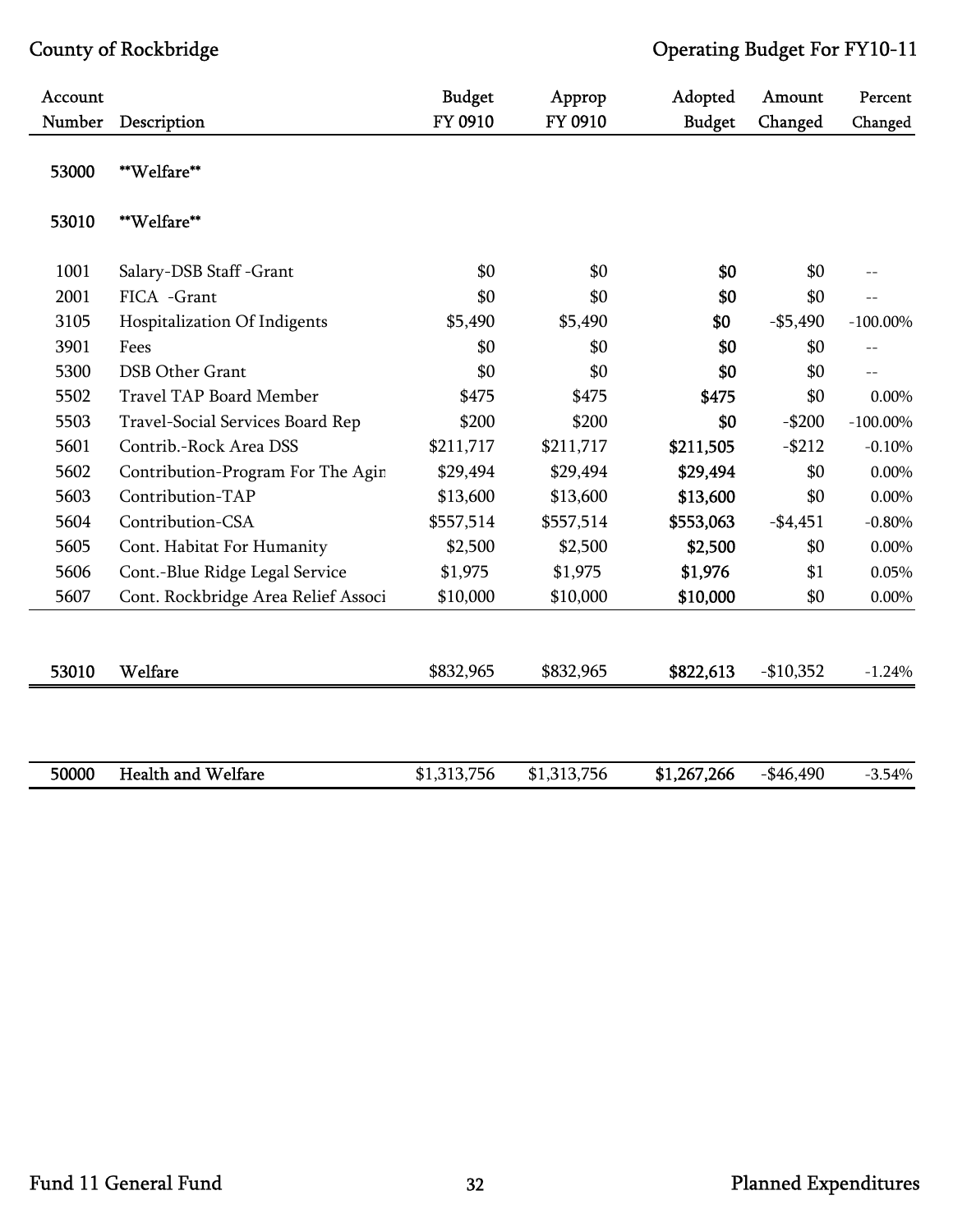| Account |                                     | <b>Budget</b> | Approp      | Adopted       | Amount     | Percent     |
|---------|-------------------------------------|---------------|-------------|---------------|------------|-------------|
| Number  | Description                         | FY 0910       | FY 0910     | <b>Budget</b> | Changed    | Changed     |
| 53000   | **Welfare**                         |               |             |               |            |             |
| 53010   | **Welfare**                         |               |             |               |            |             |
| 1001    | Salary-DSB Staff -Grant             | \$0           | \$0         | \$0           | \$0        |             |
| 2001    | FICA -Grant                         | \$0           | \$0         | \$0           | \$0        | $-$         |
| 3105    | Hospitalization Of Indigents        | \$5,490       | \$5,490     | \$0           | $- $5,490$ | $-100.00\%$ |
| 3901    | Fees                                | \$0           | \$0         | \$0           | \$0        | $-$         |
| 5300    | <b>DSB Other Grant</b>              | \$0           | \$0         | \$0           | \$0        | $-$         |
| 5502    | <b>Travel TAP Board Member</b>      | \$475         | \$475       | \$475         | \$0        | 0.00%       |
| 5503    | Travel-Social Services Board Rep    | \$200         | \$200       | \$0           | $-$200$    | $-100.00\%$ |
| 5601    | Contrib.-Rock Area DSS              | \$211,717     | \$211,717   | \$211,505     | $-$ \$212  | $-0.10%$    |
| 5602    | Contribution-Program For The Agin   | \$29,494      | \$29,494    | \$29,494      | \$0        | $0.00\%$    |
| 5603    | Contribution-TAP                    | \$13,600      | \$13,600    | \$13,600      | \$0        | $0.00\%$    |
| 5604    | Contribution-CSA                    | \$557,514     | \$557,514   | \$553,063     | $-$4,451$  | $-0.80%$    |
| 5605    | Cont. Habitat For Humanity          | \$2,500       | \$2,500     | \$2,500       | \$0        | $0.00\%$    |
| 5606    | Cont.-Blue Ridge Legal Service      | \$1,975       | \$1,975     | \$1,976       | \$1        | 0.05%       |
| 5607    | Cont. Rockbridge Area Relief Associ | \$10,000      | \$10,000    | \$10,000      | \$0        | 0.00%       |
|         |                                     |               |             |               |            |             |
| 53010   | Welfare                             | \$832,965     | \$832,965   | \$822,613     | $-$10,352$ | $-1.24%$    |
|         |                                     |               |             |               |            |             |
| 50000   | <b>Health and Welfare</b>           | \$1,313,756   | \$1,313,756 | \$1,267,266   | $-$46,490$ | $-3.54%$    |
|         |                                     |               |             |               |            |             |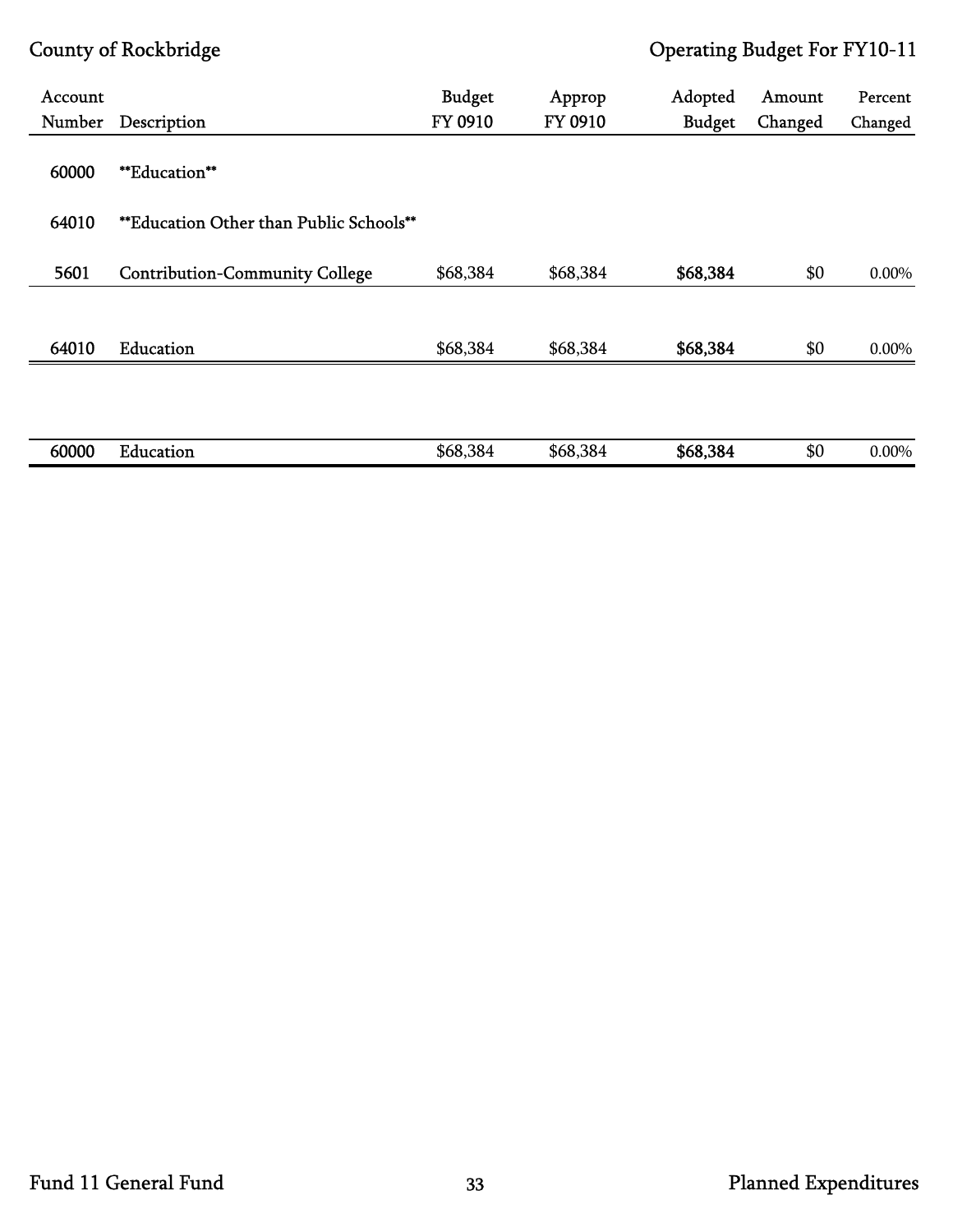| Account |                                         | <b>Budget</b> | Approp   | Adopted       | Amount  | Percent  |
|---------|-----------------------------------------|---------------|----------|---------------|---------|----------|
| Number  | Description                             | FY 0910       | FY 0910  | <b>Budget</b> | Changed | Changed  |
| 60000   | <b>**Education**</b>                    |               |          |               |         |          |
| 64010   | **Education Other than Public Schools** |               |          |               |         |          |
|         |                                         |               |          |               |         |          |
| 5601    | <b>Contribution-Community College</b>   | \$68,384      | \$68,384 | \$68,384      | \$0     | $0.00\%$ |
|         |                                         |               |          |               |         |          |
| 64010   | Education                               | \$68,384      | \$68,384 | \$68,384      | \$0     | 0.00%    |
|         |                                         |               |          |               |         |          |
|         |                                         |               |          |               |         |          |
| 60000   | Education                               | \$68,384      | \$68,384 | \$68,384      | \$0     | 0.00%    |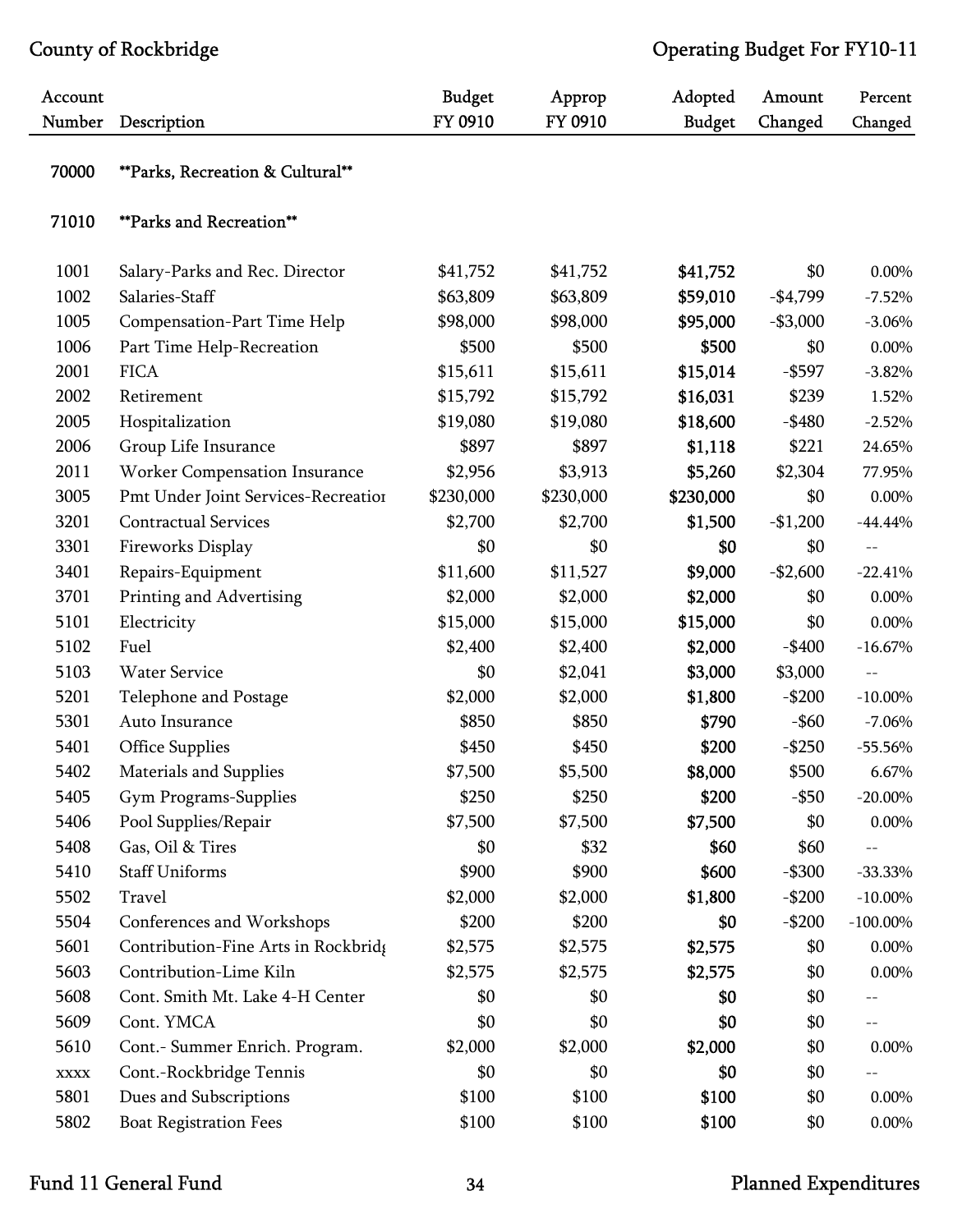| Account     |                                     | <b>Budget</b> | Approp    | Adopted       | Amount     | Percent     |
|-------------|-------------------------------------|---------------|-----------|---------------|------------|-------------|
| Number      | Description                         | FY 0910       | FY 0910   | <b>Budget</b> | Changed    | Changed     |
| 70000       | **Parks, Recreation & Cultural**    |               |           |               |            |             |
| 71010       | <b>**Parks and Recreation**</b>     |               |           |               |            |             |
| 1001        | Salary-Parks and Rec. Director      | \$41,752      | \$41,752  | \$41,752      | \$0        | 0.00%       |
| 1002        | Salaries-Staff                      | \$63,809      | \$63,809  | \$59,010      | $-$4,799$  | $-7.52%$    |
| 1005        | Compensation-Part Time Help         | \$98,000      | \$98,000  | \$95,000      | $- $3,000$ | $-3.06%$    |
| 1006        | Part Time Help-Recreation           | \$500         | \$500     | \$500         | \$0        | 0.00%       |
| 2001        | <b>FICA</b>                         | \$15,611      | \$15,611  | \$15,014      | $-$ \$597  | $-3.82%$    |
| 2002        | Retirement                          | \$15,792      | \$15,792  | \$16,031      | \$239      | 1.52%       |
| 2005        | Hospitalization                     | \$19,080      | \$19,080  | \$18,600      | $-$ \$480  | $-2.52%$    |
| 2006        | Group Life Insurance                | \$897         | \$897     | \$1,118       | \$221      | 24.65%      |
| 2011        | Worker Compensation Insurance       | \$2,956       | \$3,913   | \$5,260       | \$2,304    | 77.95%      |
| 3005        | Pmt Under Joint Services-Recreation | \$230,000     | \$230,000 | \$230,000     | \$0        | $0.00\%$    |
| 3201        | <b>Contractual Services</b>         | \$2,700       | \$2,700   | \$1,500       | $-$1,200$  | $-44.44%$   |
| 3301        | Fireworks Display                   | \$0           | \$0       | \$0           | \$0        | $-$         |
| 3401        | Repairs-Equipment                   | \$11,600      | \$11,527  | \$9,000       | $-$2,600$  | $-22.41%$   |
| 3701        | Printing and Advertising            | \$2,000       | \$2,000   | \$2,000       | \$0        | $0.00\%$    |
| 5101        | Electricity                         | \$15,000      | \$15,000  | \$15,000      | \$0        | 0.00%       |
| 5102        | Fuel                                | \$2,400       | \$2,400   | \$2,000       | $-$ \$400  | $-16.67%$   |
| 5103        | Water Service                       | \$0           | \$2,041   | \$3,000       | \$3,000    | $ -$        |
| 5201        | Telephone and Postage               | \$2,000       | \$2,000   | \$1,800       | $-$200$    | $-10.00\%$  |
| 5301        | Auto Insurance                      | \$850         | \$850     | \$790         | $-$ \$60   | $-7.06%$    |
| 5401        | Office Supplies                     | \$450         | \$450     | \$200         | $-$ \$250  | $-55.56%$   |
| 5402        | Materials and Supplies              | \$7,500       | \$5,500   | \$8,000       | \$500      | 6.67%       |
| 5405        | Gym Programs-Supplies               | \$250         | \$250     | \$200         | $-$ \$50   | $-20.00\%$  |
| 5406        | Pool Supplies/Repair                | \$7,500       | \$7,500   | \$7,500       | \$0        | 0.00%       |
| 5408        | Gas, Oil & Tires                    | \$0           | \$32      | \$60          | \$60       |             |
| 5410        | <b>Staff Uniforms</b>               | \$900         | \$900     | \$600         | $-$ \$300  | $-33.33%$   |
| 5502        | Travel                              | \$2,000       | \$2,000   | \$1,800       | $-$200$    | $-10.00\%$  |
| 5504        | Conferences and Workshops           | \$200         | \$200     | \$0           | $-$200$    | $-100.00\%$ |
| 5601        | Contribution-Fine Arts in Rockbrid; | \$2,575       | \$2,575   | \$2,575       | \$0        | 0.00%       |
| 5603        | Contribution-Lime Kiln              | \$2,575       | \$2,575   | \$2,575       | \$0        | 0.00%       |
| 5608        | Cont. Smith Mt. Lake 4-H Center     | \$0           | \$0       | \$0           | \$0        | $-\,-$      |
| 5609        | Cont. YMCA                          | \$0           | \$0       | \$0           | \$0        | $-$         |
| 5610        | Cont.- Summer Enrich. Program.      | \$2,000       | \$2,000   | \$2,000       | \$0        | 0.00%       |
| <b>XXXX</b> | Cont.-Rockbridge Tennis             | \$0           | \$0       | \$0           | \$0        |             |
| 5801        | Dues and Subscriptions              | \$100         | \$100     | \$100         | \$0        | 0.00%       |
| 5802        | <b>Boat Registration Fees</b>       | \$100         | \$100     | \$100         | \$0        | 0.00%       |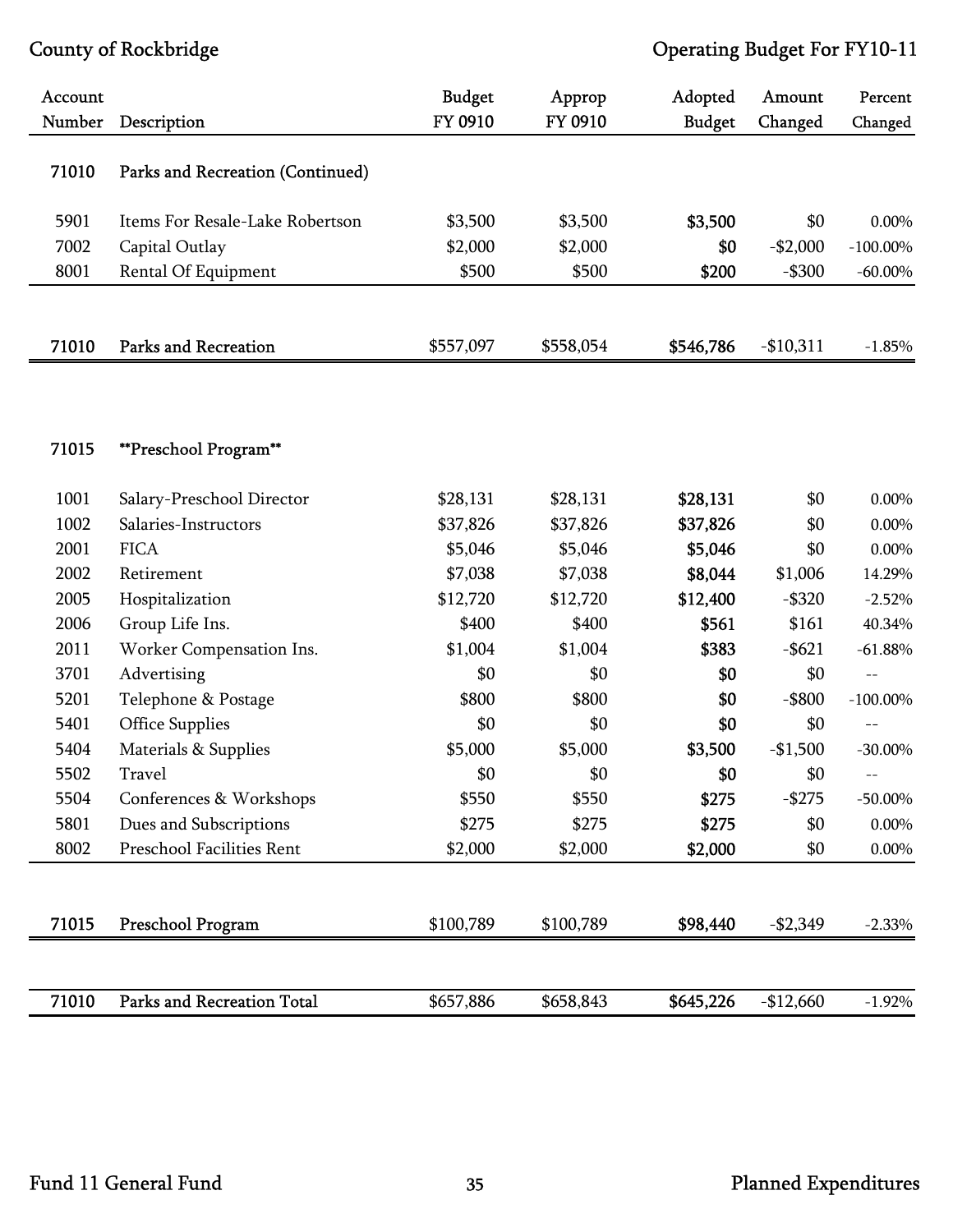| Account |                                   | <b>Budget</b> | Approp    | Adopted       | Amount     | Percent     |
|---------|-----------------------------------|---------------|-----------|---------------|------------|-------------|
| Number  | Description                       | FY 0910       | FY 0910   | <b>Budget</b> | Changed    | Changed     |
| 71010   | Parks and Recreation (Continued)  |               |           |               |            |             |
| 5901    | Items For Resale-Lake Robertson   | \$3,500       | \$3,500   | \$3,500       | \$0        | 0.00%       |
| 7002    | Capital Outlay                    | \$2,000       | \$2,000   | \$0           | $-$2,000$  | $-100.00\%$ |
| 8001    | Rental Of Equipment               | \$500         | \$500     | \$200         | $-$ \$300  | $-60.00\%$  |
|         |                                   |               |           |               |            |             |
| 71010   | <b>Parks and Recreation</b>       | \$557,097     | \$558,054 | \$546,786     | $-$10,311$ | $-1.85%$    |
|         |                                   |               |           |               |            |             |
|         |                                   |               |           |               |            |             |
| 71015   | **Preschool Program**             |               |           |               |            |             |
| 1001    | Salary-Preschool Director         | \$28,131      | \$28,131  | \$28,131      | \$0        | 0.00%       |
| 1002    | Salaries-Instructors              | \$37,826      | \$37,826  | \$37,826      | \$0        | $0.00\%$    |
| 2001    | <b>FICA</b>                       | \$5,046       | \$5,046   | \$5,046       | \$0        | $0.00\%$    |
| 2002    | Retirement                        | \$7,038       | \$7,038   | \$8,044       | \$1,006    | 14.29%      |
| 2005    | Hospitalization                   | \$12,720      | \$12,720  | \$12,400      | $-$ \$320  | $-2.52%$    |
| 2006    | Group Life Ins.                   | \$400         | \$400     | \$561         | \$161      | 40.34%      |
| 2011    | Worker Compensation Ins.          | \$1,004       | \$1,004   | \$383         | $-$ \$621  | $-61.88%$   |
| 3701    | Advertising                       | \$0           | \$0       | \$0           | \$0        | $-$         |
| 5201    | Telephone & Postage               | \$800         | \$800     | \$0           | $-$ \$800  | $-100.00\%$ |
| 5401    | <b>Office Supplies</b>            | \$0           | \$0       | \$0           | \$0        | $-$         |
| 5404    | Materials & Supplies              | \$5,000       | \$5,000   | \$3,500       | $-$1,500$  | $-30.00\%$  |
| 5502    | Travel                            | \$0           | \$0       | \$0           | \$0        |             |
| 5504    | Conferences & Workshops           | \$550         | \$550     | \$275         | $-$ \$275  | $-50.00\%$  |
| 5801    | Dues and Subscriptions            | \$275         | \$275     | \$275         | \$0        | 0.00%       |
| 8002    | Preschool Facilities Rent         | \$2,000       | \$2,000   | \$2,000       | \$0        | $0.00\%$    |
|         |                                   |               |           |               |            |             |
| 71015   | Preschool Program                 | \$100,789     | \$100,789 | \$98,440      | $-$2,349$  | $-2.33%$    |
|         |                                   |               |           |               |            |             |
| 71010   | <b>Parks and Recreation Total</b> | \$657,886     | \$658,843 | \$645,226     | $-$12,660$ | $-1.92%$    |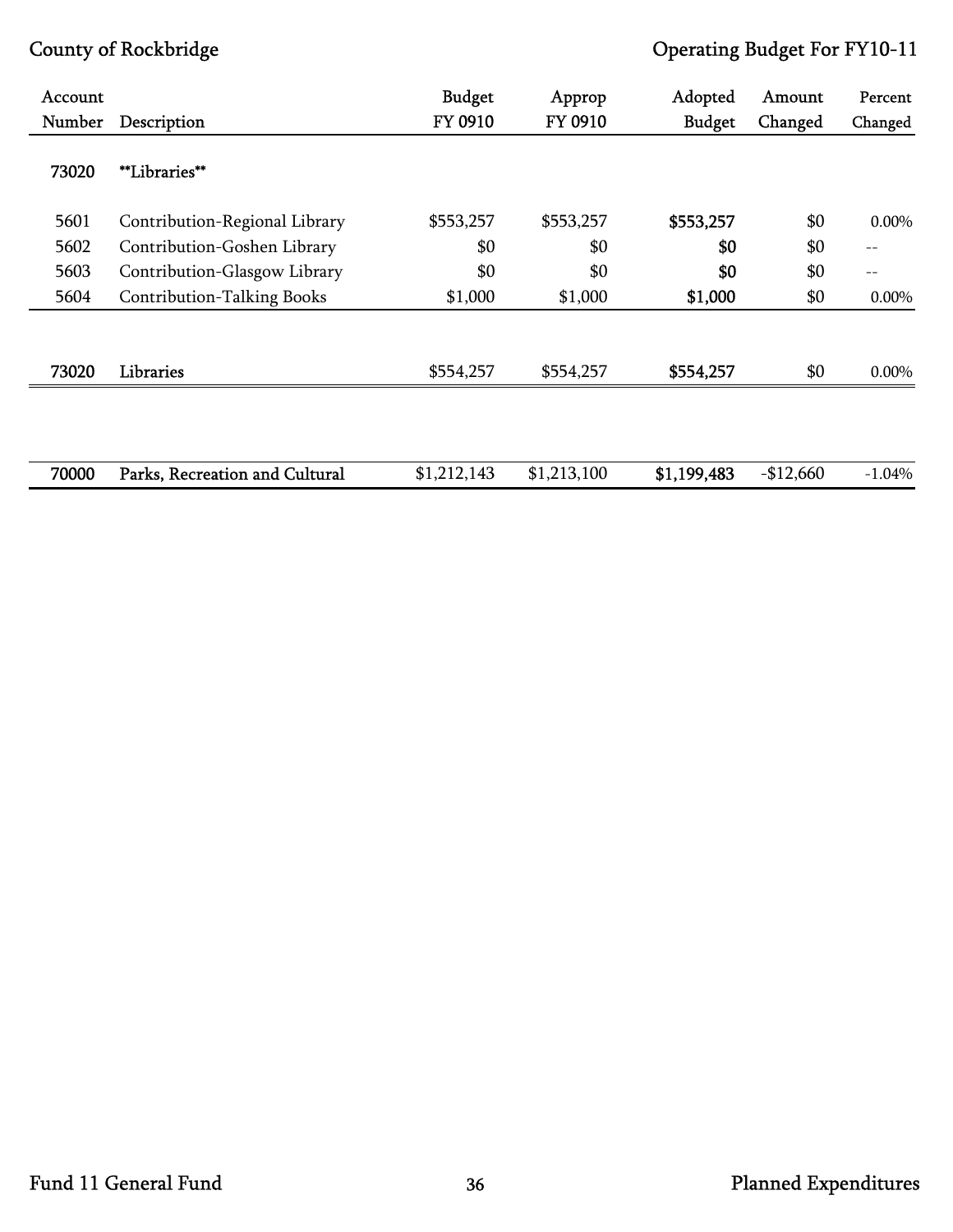| <b>Account</b> |                                   | <b>Budget</b> | Approp      | Adopted       | Amount     | Percent  |
|----------------|-----------------------------------|---------------|-------------|---------------|------------|----------|
| Number         | Description                       | FY 0910       | FY 0910     | <b>Budget</b> | Changed    | Changed  |
| 73020          | <i>**Libraries**</i>              |               |             |               |            |          |
| 5601           | Contribution-Regional Library     | \$553,257     | \$553,257   | \$553,257     | \$0        | 0.00%    |
| 5602           | Contribution-Goshen Library       | \$0           | \$0         | \$0           | \$0        | $-\,-$   |
| 5603           | Contribution-Glasgow Library      | \$0           | \$0         | \$0           | \$0        | $-$      |
| 5604           | <b>Contribution-Talking Books</b> | \$1,000       | \$1,000     | \$1,000       | \$0        | $0.00\%$ |
| 73020          | Libraries                         | \$554,257     | \$554,257   | \$554,257     | \$0        | 0.00%    |
|                |                                   |               |             |               |            |          |
| 70000          | Parks, Recreation and Cultural    | \$1,212,143   | \$1,213,100 | \$1,199,483   | $-$12,660$ | $-1.04%$ |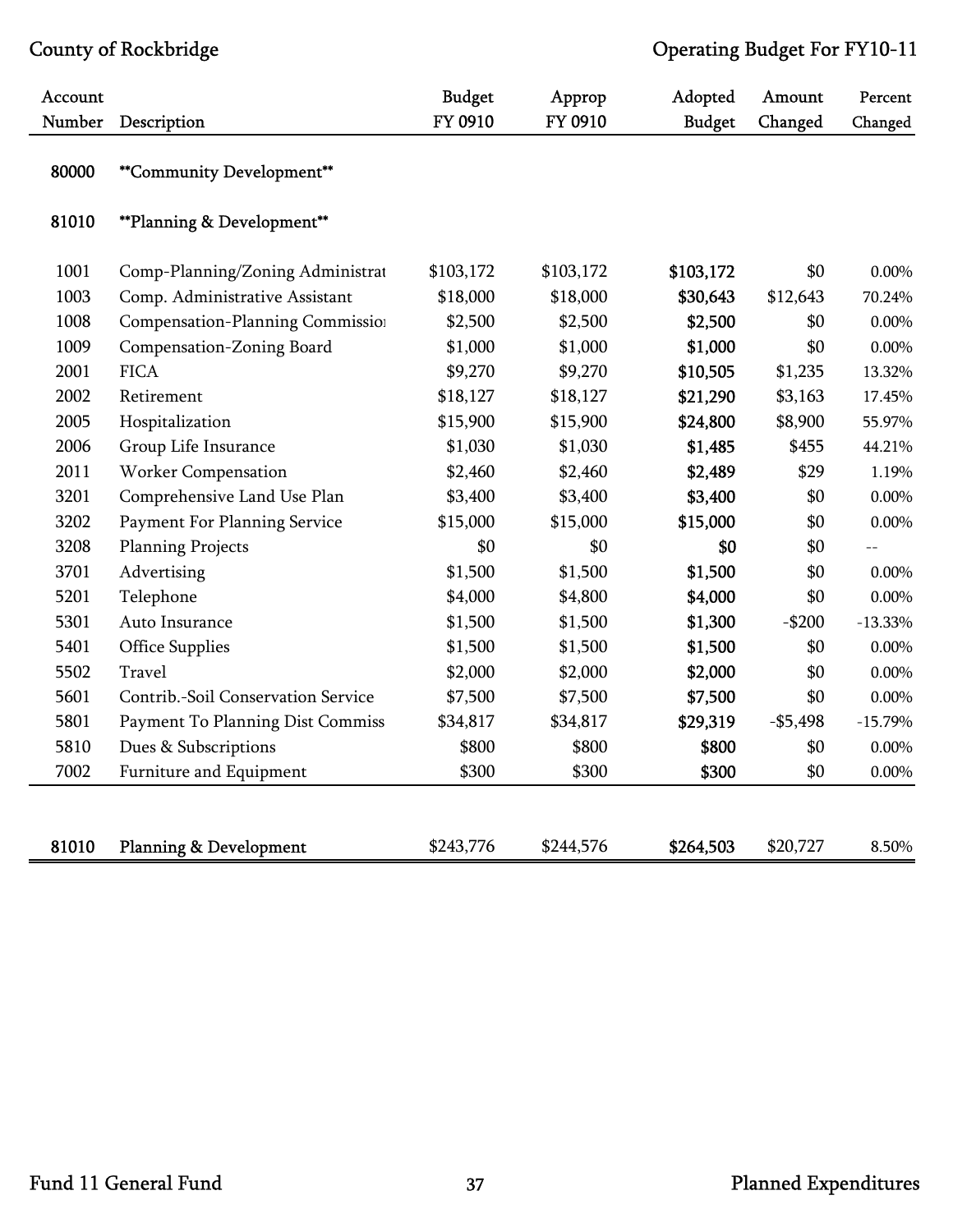| Account |                                    | <b>Budget</b> | Approp    | Adopted       | Amount     | Percent   |
|---------|------------------------------------|---------------|-----------|---------------|------------|-----------|
| Number  | Description                        | FY 0910       | FY 0910   | <b>Budget</b> | Changed    | Changed   |
| 80000   | **Community Development**          |               |           |               |            |           |
| 81010   | **Planning & Development**         |               |           |               |            |           |
| 1001    | Comp-Planning/Zoning Administrat   | \$103,172     | \$103,172 | \$103,172     | \$0        | 0.00%     |
| 1003    | Comp. Administrative Assistant     | \$18,000      | \$18,000  | \$30,643      | \$12,643   | 70.24%    |
| 1008    | Compensation-Planning Commission   | \$2,500       | \$2,500   | \$2,500       | \$0        | 0.00%     |
| 1009    | Compensation-Zoning Board          | \$1,000       | \$1,000   | \$1,000       | \$0        | $0.00\%$  |
| 2001    | <b>FICA</b>                        | \$9,270       | \$9,270   | \$10,505      | \$1,235    | 13.32%    |
| 2002    | Retirement                         | \$18,127      | \$18,127  | \$21,290      | \$3,163    | 17.45%    |
| 2005    | Hospitalization                    | \$15,900      | \$15,900  | \$24,800      | \$8,900    | 55.97%    |
| 2006    | Group Life Insurance               | \$1,030       | \$1,030   | \$1,485       | \$455      | 44.21%    |
| 2011    | <b>Worker Compensation</b>         | \$2,460       | \$2,460   | \$2,489       | \$29       | 1.19%     |
| 3201    | Comprehensive Land Use Plan        | \$3,400       | \$3,400   | \$3,400       | \$0        | $0.00\%$  |
| 3202    | Payment For Planning Service       | \$15,000      | \$15,000  | \$15,000      | \$0        | 0.00%     |
| 3208    | <b>Planning Projects</b>           | \$0           | \$0       | \$0           | \$0        |           |
| 3701    | Advertising                        | \$1,500       | \$1,500   | \$1,500       | \$0        | 0.00%     |
| 5201    | Telephone                          | \$4,000       | \$4,800   | \$4,000       | \$0        | $0.00\%$  |
| 5301    | Auto Insurance                     | \$1,500       | \$1,500   | \$1,300       | $-$200$    | $-13.33%$ |
| 5401    | <b>Office Supplies</b>             | \$1,500       | \$1,500   | \$1,500       | \$0        | $0.00\%$  |
| 5502    | Travel                             | \$2,000       | \$2,000   | \$2,000       | \$0        | 0.00%     |
| 5601    | Contrib.-Soil Conservation Service | \$7,500       | \$7,500   | \$7,500       | \$0        | 0.00%     |
| 5801    | Payment To Planning Dist Commiss   | \$34,817      | \$34,817  | \$29,319      | $- $5,498$ | $-15.79%$ |
| 5810    | Dues & Subscriptions               | \$800         | \$800     | \$800         | \$0        | $0.00\%$  |
| 7002    | Furniture and Equipment            | \$300         | \$300     | \$300         | \$0        | $0.00\%$  |
|         |                                    |               |           |               |            |           |
| 81010   | <b>Planning &amp; Development</b>  | \$243,776     | \$244,576 | \$264,503     | \$20,727   | 8.50%     |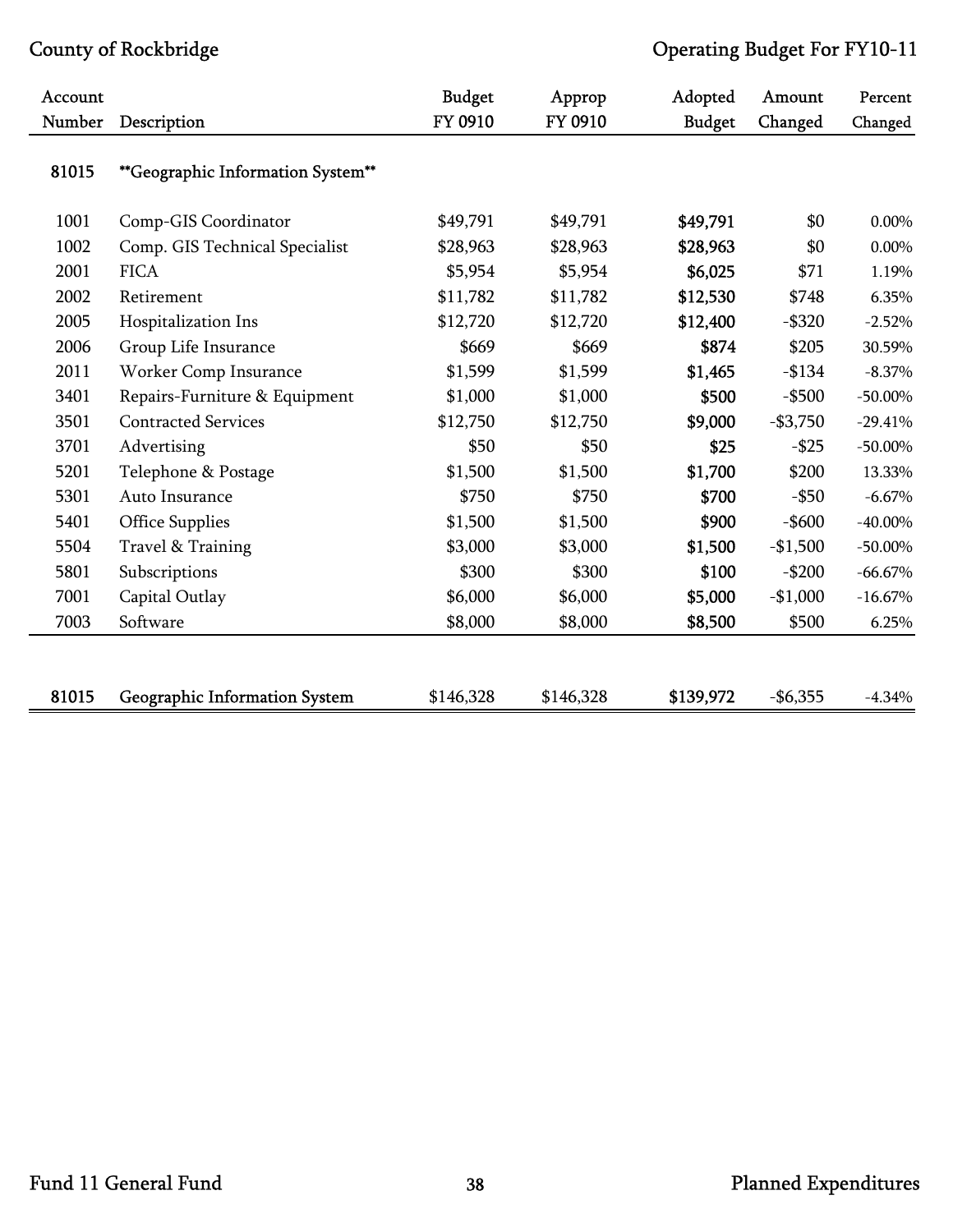| Account |                                   | <b>Budget</b> | Approp    | Adopted       | Amount      | Percent    |
|---------|-----------------------------------|---------------|-----------|---------------|-------------|------------|
| Number  | Description                       | FY 0910       | FY 0910   | <b>Budget</b> | Changed     | Changed    |
| 81015   | **Geographic Information System** |               |           |               |             |            |
| 1001    | Comp-GIS Coordinator              | \$49,791      | \$49,791  | \$49,791      | \$0         | 0.00%      |
| 1002    | Comp. GIS Technical Specialist    | \$28,963      | \$28,963  | \$28,963      | \$0         | 0.00%      |
| 2001    | <b>FICA</b>                       | \$5,954       | \$5,954   | \$6,025       | \$71        | 1.19%      |
| 2002    | Retirement                        | \$11,782      | \$11,782  | \$12,530      | \$748       | 6.35%      |
| 2005    | Hospitalization Ins               | \$12,720      | \$12,720  | \$12,400      | $-$ \$320   | $-2.52%$   |
| 2006    | Group Life Insurance              | \$669         | \$669     | \$874         | \$205       | 30.59%     |
| 2011    | Worker Comp Insurance             | \$1,599       | \$1,599   | \$1,465       | $-$134$     | $-8.37\%$  |
| 3401    | Repairs-Furniture & Equipment     | \$1,000       | \$1,000   | \$500         | $-$ \$500   | $-50.00\%$ |
| 3501    | <b>Contracted Services</b>        | \$12,750      | \$12,750  | \$9,000       | $-$3,750$   | $-29.41%$  |
| 3701    | Advertising                       | \$50          | \$50      | \$25          | $-$ \$25    | $-50.00\%$ |
| 5201    | Telephone & Postage               | \$1,500       | \$1,500   | \$1,700       | \$200       | 13.33%     |
| 5301    | Auto Insurance                    | \$750         | \$750     | \$700         | $-$ \$50    | $-6.67\%$  |
| 5401    | <b>Office Supplies</b>            | \$1,500       | \$1,500   | \$900         | $-$ \$600   | $-40.00\%$ |
| 5504    | Travel & Training                 | \$3,000       | \$3,000   | \$1,500       | $-$1,500$   | $-50.00\%$ |
| 5801    | Subscriptions                     | \$300         | \$300     | \$100         | $-$200$     | $-66.67\%$ |
| 7001    | Capital Outlay                    | \$6,000       | \$6,000   | \$5,000       | $-$1,000$   | $-16.67%$  |
| 7003    | Software                          | \$8,000       | \$8,000   | \$8,500       | \$500       | 6.25%      |
|         |                                   |               |           |               |             |            |
| 81015   | Geographic Information System     | \$146,328     | \$146,328 | \$139,972     | $-$ \$6,355 | $-4.34%$   |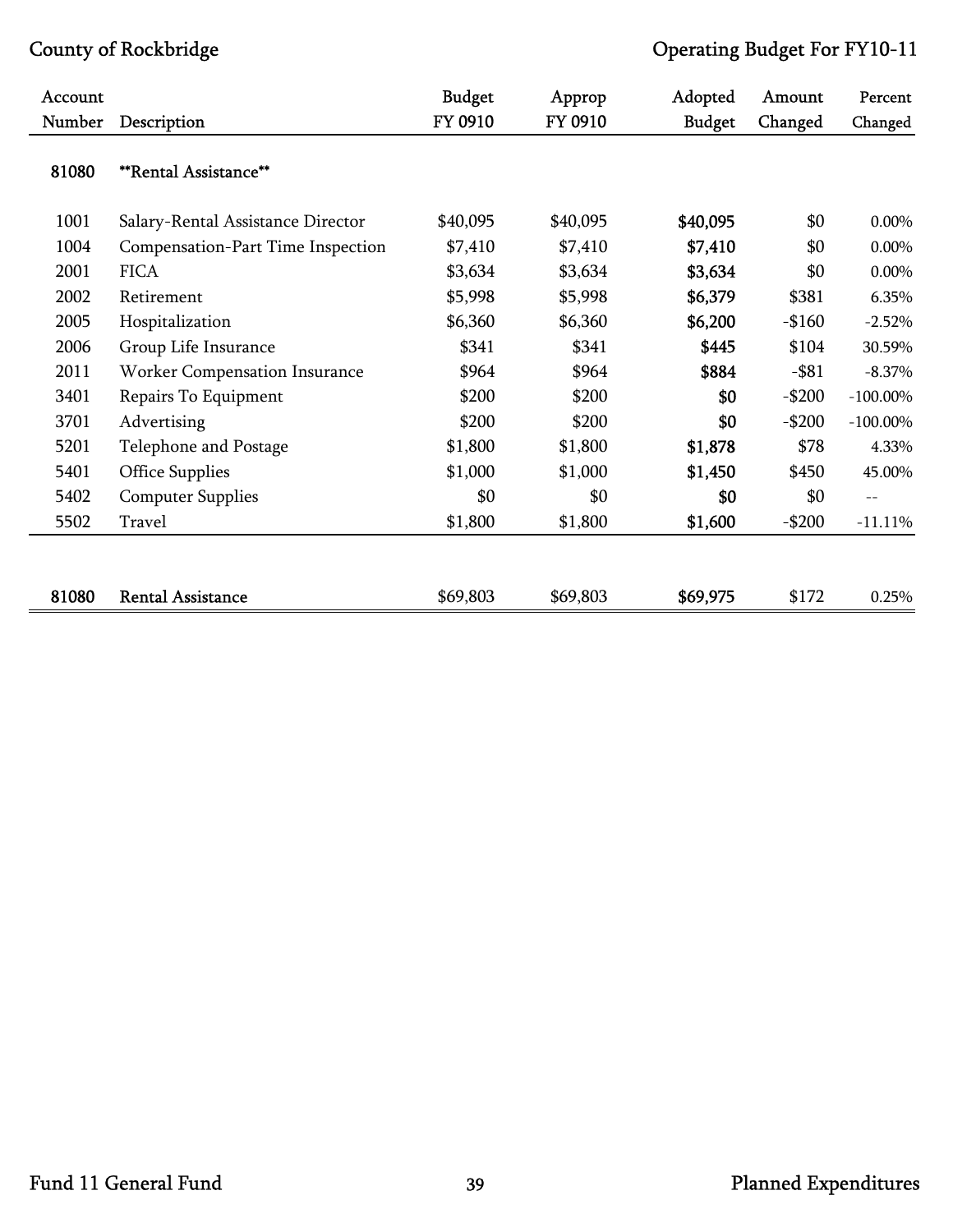| Account |                                   | <b>Budget</b> | Approp   | Adopted       | Amount   | Percent     |
|---------|-----------------------------------|---------------|----------|---------------|----------|-------------|
| Number  | Description                       | FY 0910       | FY 0910  | <b>Budget</b> | Changed  | Changed     |
| 81080   | <b>**Rental Assistance**</b>      |               |          |               |          |             |
| 1001    | Salary-Rental Assistance Director | \$40,095      | \$40,095 | \$40,095      | \$0      | 0.00%       |
| 1004    | Compensation-Part Time Inspection | \$7,410       | \$7,410  | \$7,410       | \$0      | 0.00%       |
| 2001    | <b>FICA</b>                       | \$3,634       | \$3,634  | \$3,634       | \$0      | 0.00%       |
| 2002    | Retirement                        | \$5,998       | \$5,998  | \$6,379       | \$381    | 6.35%       |
| 2005    | Hospitalization                   | \$6,360       | \$6,360  | \$6,200       | $-$160$  | $-2.52%$    |
| 2006    | Group Life Insurance              | \$341         | \$341    | \$445         | \$104    | 30.59%      |
| 2011    | Worker Compensation Insurance     | \$964         | \$964    | \$884         | $-$ \$81 | $-8.37\%$   |
| 3401    | Repairs To Equipment              | \$200         | \$200    | \$0           | $-$200$  | $-100.00\%$ |
| 3701    | Advertising                       | \$200         | \$200    | \$0           | $-$200$  | $-100.00\%$ |
| 5201    | Telephone and Postage             | \$1,800       | \$1,800  | \$1,878       | \$78     | 4.33%       |
| 5401    | <b>Office Supplies</b>            | \$1,000       | \$1,000  | \$1,450       | \$450    | 45.00%      |
| 5402    | <b>Computer Supplies</b>          | \$0           | \$0      | \$0           | \$0      | $- -$       |
| 5502    | Travel                            | \$1,800       | \$1,800  | \$1,600       | $-$200$  | $-11.11%$   |
| 81080   | <b>Rental Assistance</b>          | \$69,803      | \$69,803 | \$69,975      | \$172    | 0.25%       |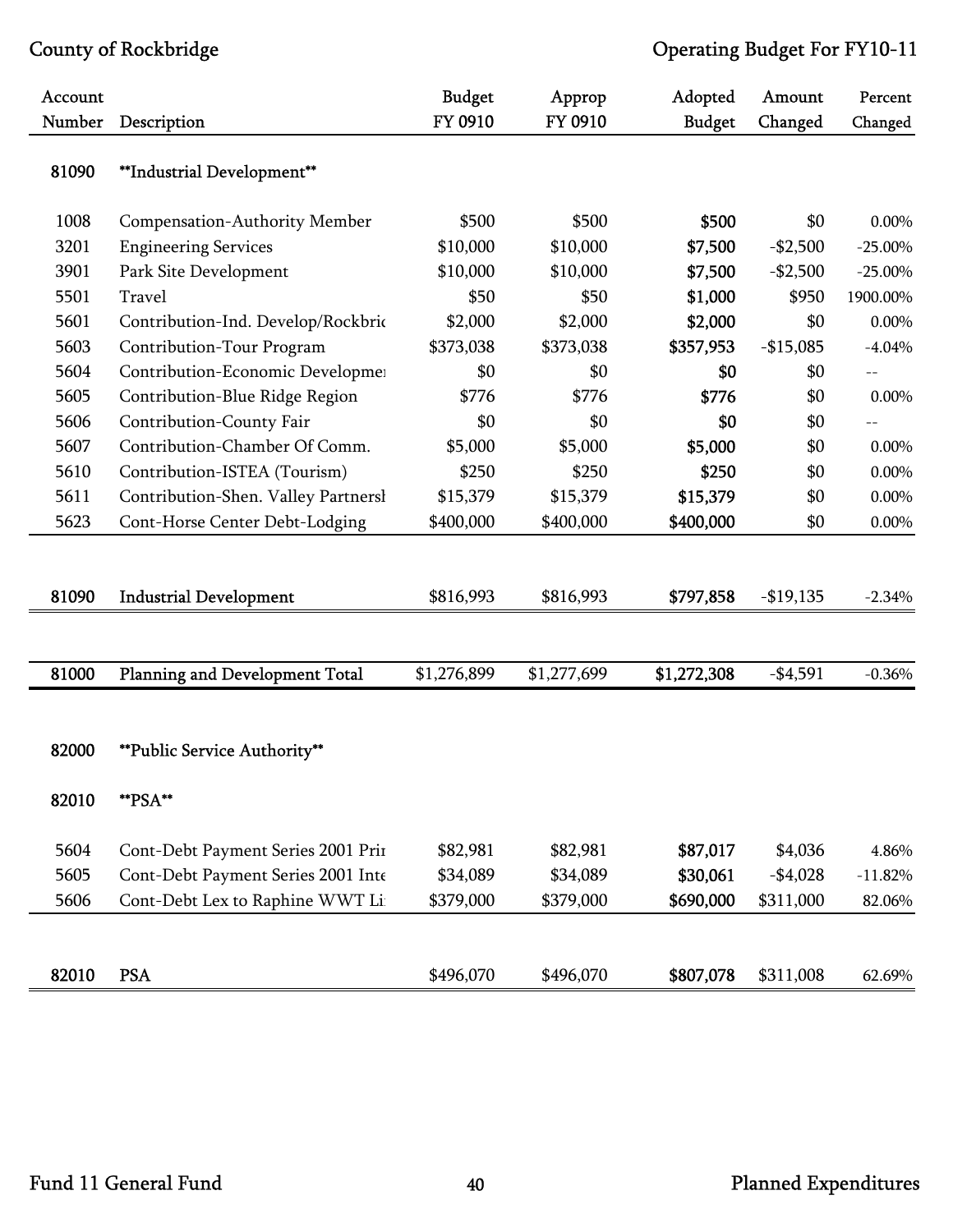| Account<br>Number | Description                         | <b>Budget</b><br>FY 0910 | Approp<br>FY 0910 | Adopted<br><b>Budget</b> | Amount<br>Changed | Percent<br>Changed |
|-------------------|-------------------------------------|--------------------------|-------------------|--------------------------|-------------------|--------------------|
| 81090             | **Industrial Development**          |                          |                   |                          |                   |                    |
| 1008              | Compensation-Authority Member       | \$500                    | \$500             | \$500                    | \$0               | 0.00%              |
| 3201              | <b>Engineering Services</b>         | \$10,000                 | \$10,000          | \$7,500                  | $-$2,500$         | $-25.00\%$         |
| 3901              | Park Site Development               | \$10,000                 | \$10,000          | \$7,500                  | $-$2,500$         | $-25.00\%$         |
| 5501              | Travel                              | \$50                     | \$50              | \$1,000                  | \$950             | 1900.00%           |
| 5601              | Contribution-Ind. Develop/Rockbric  | \$2,000                  | \$2,000           | \$2,000                  | \$0               | $0.00\%$           |
| 5603              | Contribution-Tour Program           | \$373,038                | \$373,038         | \$357,953                | $-$15,085$        | $-4.04%$           |
| 5604              | Contribution-Economic Developmen    | \$0                      | \$0               | \$0                      | \$0               | $-$                |
| 5605              | Contribution-Blue Ridge Region      | \$776                    | \$776             | \$776                    | \$0               | $0.00\%$           |
| 5606              | Contribution-County Fair            | \$0                      | \$0               | \$0                      | \$0               |                    |
| 5607              | Contribution-Chamber Of Comm.       | \$5,000                  | \$5,000           | \$5,000                  | \$0               | $0.00\%$           |
| 5610              | Contribution-ISTEA (Tourism)        | \$250                    | \$250             | \$250                    | \$0               | $0.00\%$           |
| 5611              | Contribution-Shen. Valley Partnersl | \$15,379                 | \$15,379          | \$15,379                 | \$0               | $0.00\%$           |
| 5623              | Cont-Horse Center Debt-Lodging      | \$400,000                | \$400,000         | \$400,000                | \$0               | $0.00\%$           |
|                   |                                     |                          |                   |                          |                   |                    |
| 81090             | <b>Industrial Development</b>       | \$816,993                | \$816,993         | \$797,858                | $-$19,135$        | $-2.34%$           |
|                   |                                     |                          |                   |                          |                   |                    |
| 81000             | Planning and Development Total      | \$1,276,899              | \$1,277,699       | \$1,272,308              | $-$4,591$         | $-0.36%$           |
|                   |                                     |                          |                   |                          |                   |                    |
| 82000             | <b>**Public Service Authority**</b> |                          |                   |                          |                   |                    |
| 82010             | **PSA**                             |                          |                   |                          |                   |                    |
| 5604              | Cont-Debt Payment Series 2001 Prin  | \$82,981                 | \$82,981          | \$87,017                 | \$4,036           | 4.86%              |
| 5605              | Cont-Debt Payment Series 2001 Inte  | \$34,089                 | \$34,089          | \$30,061                 | $-$4,028$         | $-11.82%$          |
| 5606              | Cont-Debt Lex to Raphine WWT Li     | \$379,000                | \$379,000         | \$690,000                | \$311,000         | 82.06%             |
|                   |                                     |                          |                   |                          |                   |                    |
| 82010             | <b>PSA</b>                          | \$496,070                | \$496,070         | \$807,078                | \$311,008         | 62.69%             |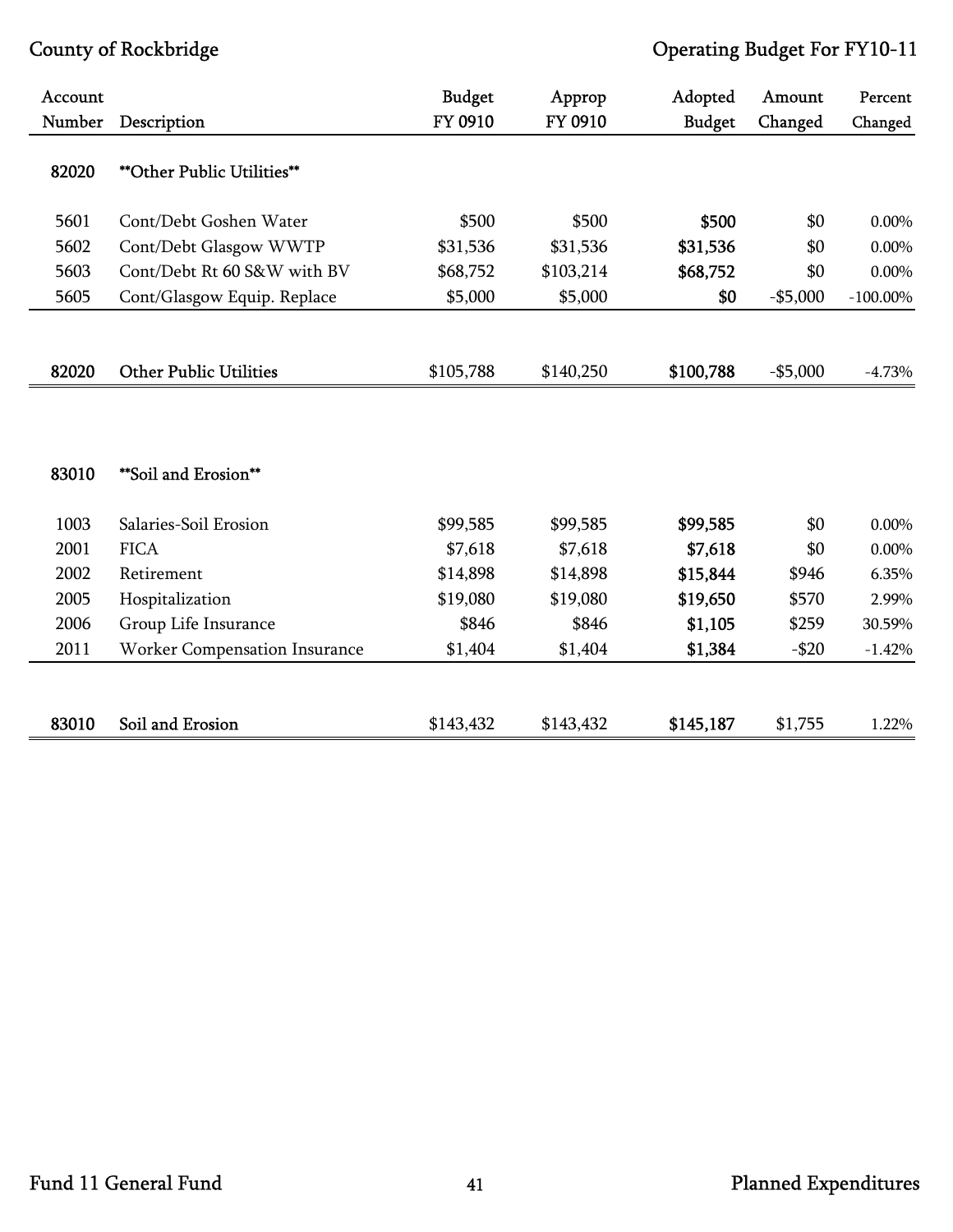| Account<br>Number | Description                       | <b>Budget</b><br>FY 0910 | Approp<br>FY 0910 | Adopted<br><b>Budget</b> | Amount<br>Changed | Percent<br>Changed |
|-------------------|-----------------------------------|--------------------------|-------------------|--------------------------|-------------------|--------------------|
|                   |                                   |                          |                   |                          |                   |                    |
| 82020             | <b>**Other Public Utilities**</b> |                          |                   |                          |                   |                    |
| 5601              | Cont/Debt Goshen Water            | \$500                    | \$500             | \$500                    | \$0               | $0.00\%$           |
| 5602              | Cont/Debt Glasgow WWTP            | \$31,536                 | \$31,536          | \$31,536                 | \$0               | $0.00\%$           |
| 5603              | Cont/Debt Rt 60 S&W with BV       | \$68,752                 | \$103,214         | \$68,752                 | \$0               | $0.00\%$           |
| 5605              | Cont/Glasgow Equip. Replace       | \$5,000                  | \$5,000           | \$0                      | $-$5,000$         | $-100.00\%$        |
|                   |                                   |                          |                   |                          |                   |                    |
| 82020             | <b>Other Public Utilities</b>     | \$105,788                | \$140,250         | \$100,788                | $-$5,000$         | $-4.73%$           |
|                   |                                   |                          |                   |                          |                   |                    |
|                   |                                   |                          |                   |                          |                   |                    |
| 83010             | **Soil and Erosion**              |                          |                   |                          |                   |                    |
| 1003              | Salaries-Soil Erosion             | \$99,585                 | \$99,585          | \$99,585                 | \$0               | 0.00%              |
| 2001              | <b>FICA</b>                       | \$7,618                  | \$7,618           | \$7,618                  | \$0               | $0.00\%$           |
| 2002              | Retirement                        | \$14,898                 | \$14,898          | \$15,844                 | \$946             | 6.35%              |
| 2005              | Hospitalization                   | \$19,080                 | \$19,080          | \$19,650                 | \$570             | 2.99%              |
| 2006              | Group Life Insurance              | \$846                    | \$846             | \$1,105                  | \$259             | 30.59%             |
| 2011              | Worker Compensation Insurance     | \$1,404                  | \$1,404           | \$1,384                  | $- $20$           | $-1.42%$           |
|                   |                                   |                          |                   |                          |                   |                    |
| 83010             | Soil and Erosion                  | \$143,432                | \$143,432         | \$145,187                | \$1,755           | 1.22%              |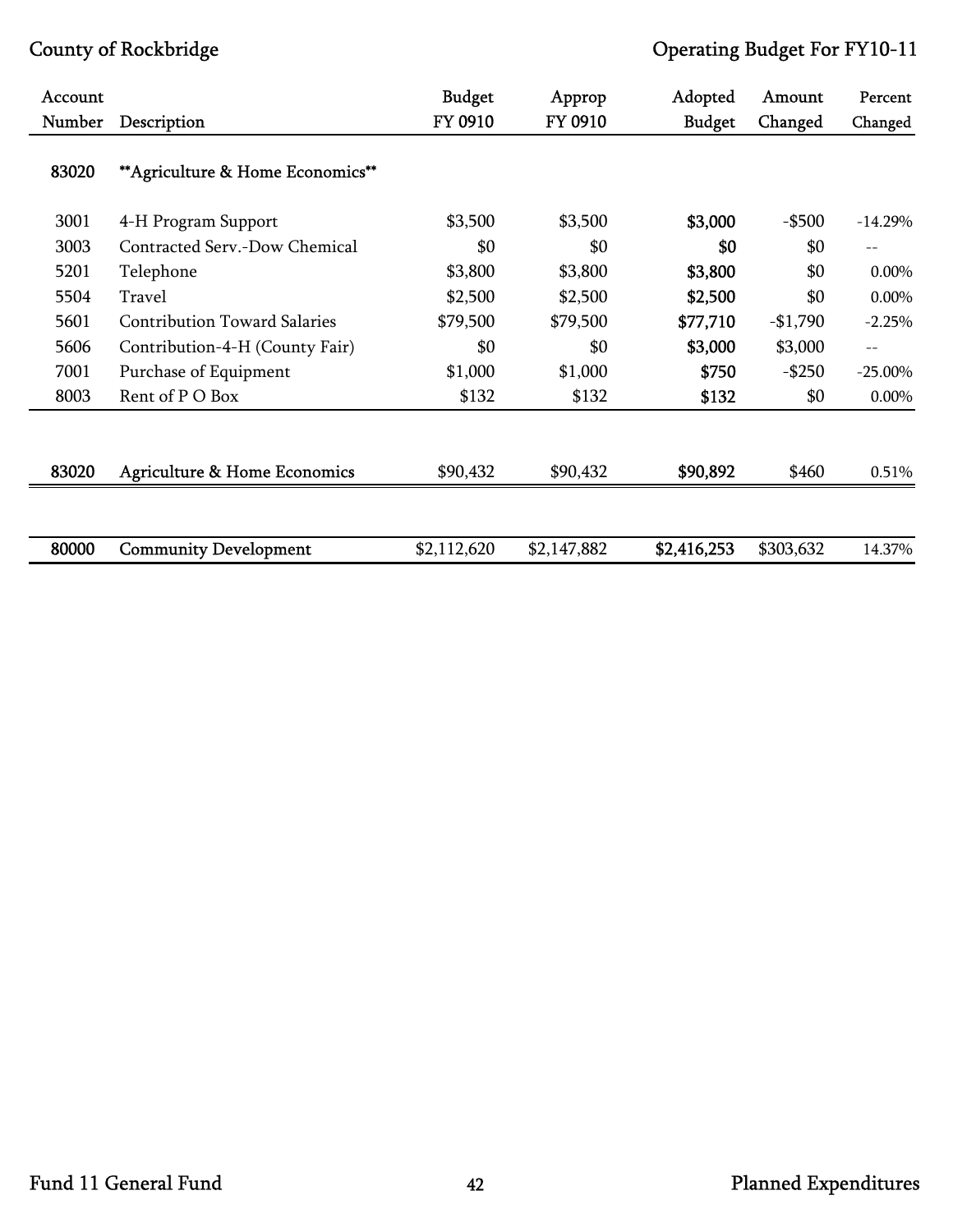| Account |                                         | <b>Budget</b> | Approp      | Adopted       | Amount    | Percent    |
|---------|-----------------------------------------|---------------|-------------|---------------|-----------|------------|
| Number  | Description                             | FY 0910       | FY 0910     | <b>Budget</b> | Changed   | Changed    |
| 83020   | ** Agriculture & Home Economics**       |               |             |               |           |            |
| 3001    | 4-H Program Support                     | \$3,500       | \$3,500     | \$3,000       | $-$ \$500 | $-14.29%$  |
| 3003    | Contracted Serv.-Dow Chemical           | \$0           | \$0         | \$0           | \$0       | $-$        |
| 5201    | Telephone                               | \$3,800       | \$3,800     | \$3,800       | \$0       | 0.00%      |
| 5504    | Travel                                  | \$2,500       | \$2,500     | \$2,500       | \$0       | $0.00\%$   |
| 5601    | <b>Contribution Toward Salaries</b>     | \$79,500      | \$79,500    | \$77,710      | $-$1,790$ | $-2.25%$   |
| 5606    | Contribution-4-H (County Fair)          | \$0           | \$0         | \$3,000       | \$3,000   | $-$        |
| 7001    | Purchase of Equipment                   | \$1,000       | \$1,000     | \$750         | $-$ \$250 | $-25.00\%$ |
| 8003    | Rent of P O Box                         | \$132         | \$132       | \$132         | \$0       | 0.00%      |
| 83020   | <b>Agriculture &amp; Home Economics</b> | \$90,432      | \$90,432    | \$90,892      | \$460     | 0.51%      |
|         |                                         |               |             |               |           |            |
| 80000   | <b>Community Development</b>            | \$2,112,620   | \$2,147,882 | \$2,416,253   | \$303,632 | 14.37%     |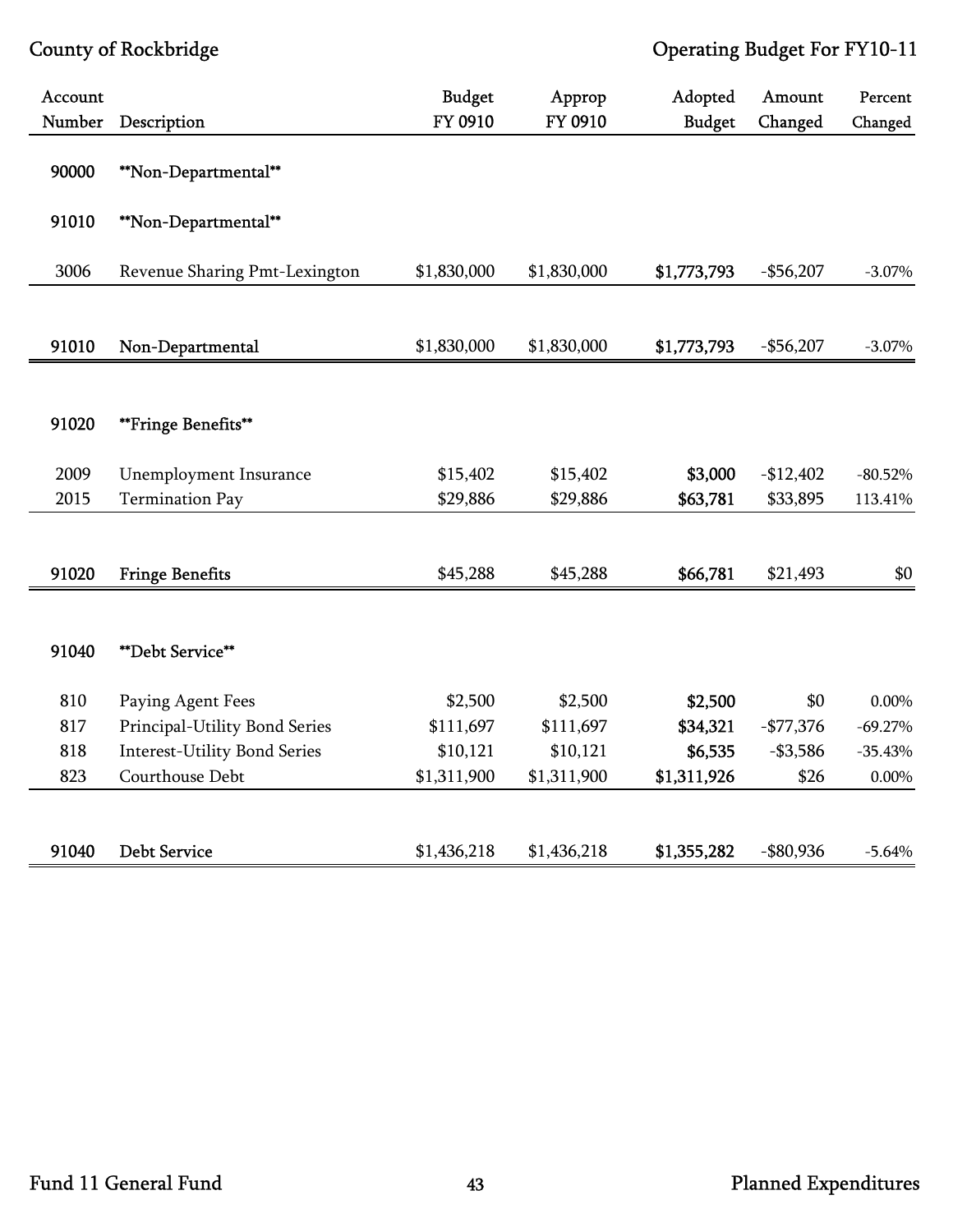| Account<br>Number | Description                         | <b>Budget</b><br>FY 0910 | Approp<br>FY 0910 | Adopted<br><b>Budget</b> | Amount<br>Changed | Percent<br>Changed |
|-------------------|-------------------------------------|--------------------------|-------------------|--------------------------|-------------------|--------------------|
| 90000             | **Non-Departmental**                |                          |                   |                          |                   |                    |
| 91010             | **Non-Departmental**                |                          |                   |                          |                   |                    |
| 3006              | Revenue Sharing Pmt-Lexington       | \$1,830,000              | \$1,830,000       | \$1,773,793              | $-$56,207$        | $-3.07\%$          |
| 91010             | Non-Departmental                    | \$1,830,000              | \$1,830,000       | \$1,773,793              | $-$56,207$        | $-3.07\%$          |
|                   |                                     |                          |                   |                          |                   |                    |
| 91020             | **Fringe Benefits**                 |                          |                   |                          |                   |                    |
| 2009              | Unemployment Insurance              | \$15,402                 | \$15,402          | \$3,000                  | $-$12,402$        | $-80.52%$          |
| 2015              | <b>Termination Pay</b>              | \$29,886                 | \$29,886          | \$63,781                 | \$33,895          | 113.41%            |
|                   |                                     |                          |                   |                          |                   |                    |
| 91020             | <b>Fringe Benefits</b>              | \$45,288                 | \$45,288          | \$66,781                 | \$21,493          | \$0                |
|                   |                                     |                          |                   |                          |                   |                    |
| 91040             | **Debt Service**                    |                          |                   |                          |                   |                    |
| 810               | Paying Agent Fees                   | \$2,500                  | \$2,500           | \$2,500                  | \$0               | 0.00%              |
| 817               | Principal-Utility Bond Series       | \$111,697                | \$111,697         | \$34,321                 | $-$77,376$        | $-69.27%$          |
| 818               | <b>Interest-Utility Bond Series</b> | \$10,121                 | \$10,121          | \$6,535                  | $- $3,586$        | $-35.43%$          |
| 823               | Courthouse Debt                     | \$1,311,900              | \$1,311,900       | \$1,311,926              | \$26              | 0.00%              |
|                   |                                     |                          |                   |                          |                   |                    |
| 91040             | <b>Debt Service</b>                 | \$1,436,218              | \$1,436,218       | \$1,355,282              | $-$ \$80,936      | $-5.64%$           |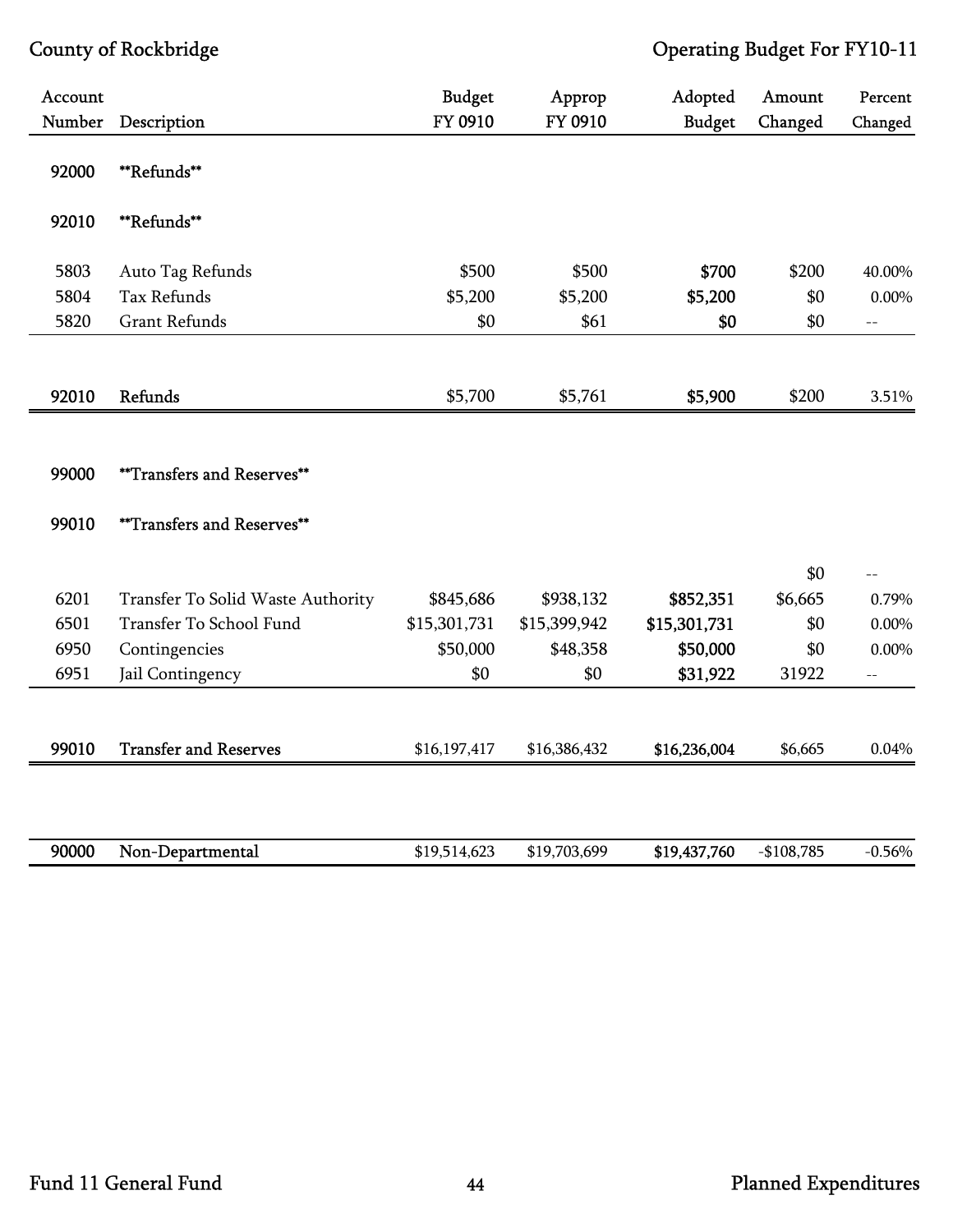| Account |                                   | <b>Budget</b> | Approp       | Adopted       | Amount      | Percent                  |
|---------|-----------------------------------|---------------|--------------|---------------|-------------|--------------------------|
| Number  | Description                       | FY 0910       | FY 0910      | <b>Budget</b> | Changed     | Changed                  |
| 92000   | **Refunds**                       |               |              |               |             |                          |
| 92010   | **Refunds**                       |               |              |               |             |                          |
| 5803    | Auto Tag Refunds                  | \$500         | \$500        | \$700         | \$200       | 40.00%                   |
| 5804    | <b>Tax Refunds</b>                | \$5,200       | \$5,200      | \$5,200       | \$0         | $0.00\%$                 |
| 5820    | <b>Grant Refunds</b>              | \$0           | \$61         | \$0           | \$0         | $-$                      |
|         |                                   |               |              |               |             |                          |
| 92010   | Refunds                           | \$5,700       | \$5,761      | \$5,900       | \$200       | 3.51%                    |
|         |                                   |               |              |               |             |                          |
| 99000   | **Transfers and Reserves**        |               |              |               |             |                          |
| 99010   | <b>**Transfers and Reserves**</b> |               |              |               |             |                          |
|         |                                   |               |              |               | \$0         | $=$                      |
| 6201    | Transfer To Solid Waste Authority | \$845,686     | \$938,132    | \$852,351     | \$6,665     | 0.79%                    |
| 6501    | Transfer To School Fund           | \$15,301,731  | \$15,399,942 | \$15,301,731  | \$0         | $0.00\%$                 |
| 6950    | Contingencies                     | \$50,000      | \$48,358     | \$50,000      | \$0         | $0.00\%$                 |
| 6951    | Jail Contingency                  | \$0           | \$0          | \$31,922      | 31922       | $\overline{\phantom{a}}$ |
|         |                                   |               |              |               |             |                          |
| 99010   | <b>Transfer and Reserves</b>      | \$16,197,417  | \$16,386,432 | \$16,236,004  | \$6,665     | 0.04%                    |
|         |                                   |               |              |               |             |                          |
| 90000   | Non-Departmental                  | \$19,514,623  | \$19,703,699 | \$19,437,760  | $-$108,785$ | $-0.56%$                 |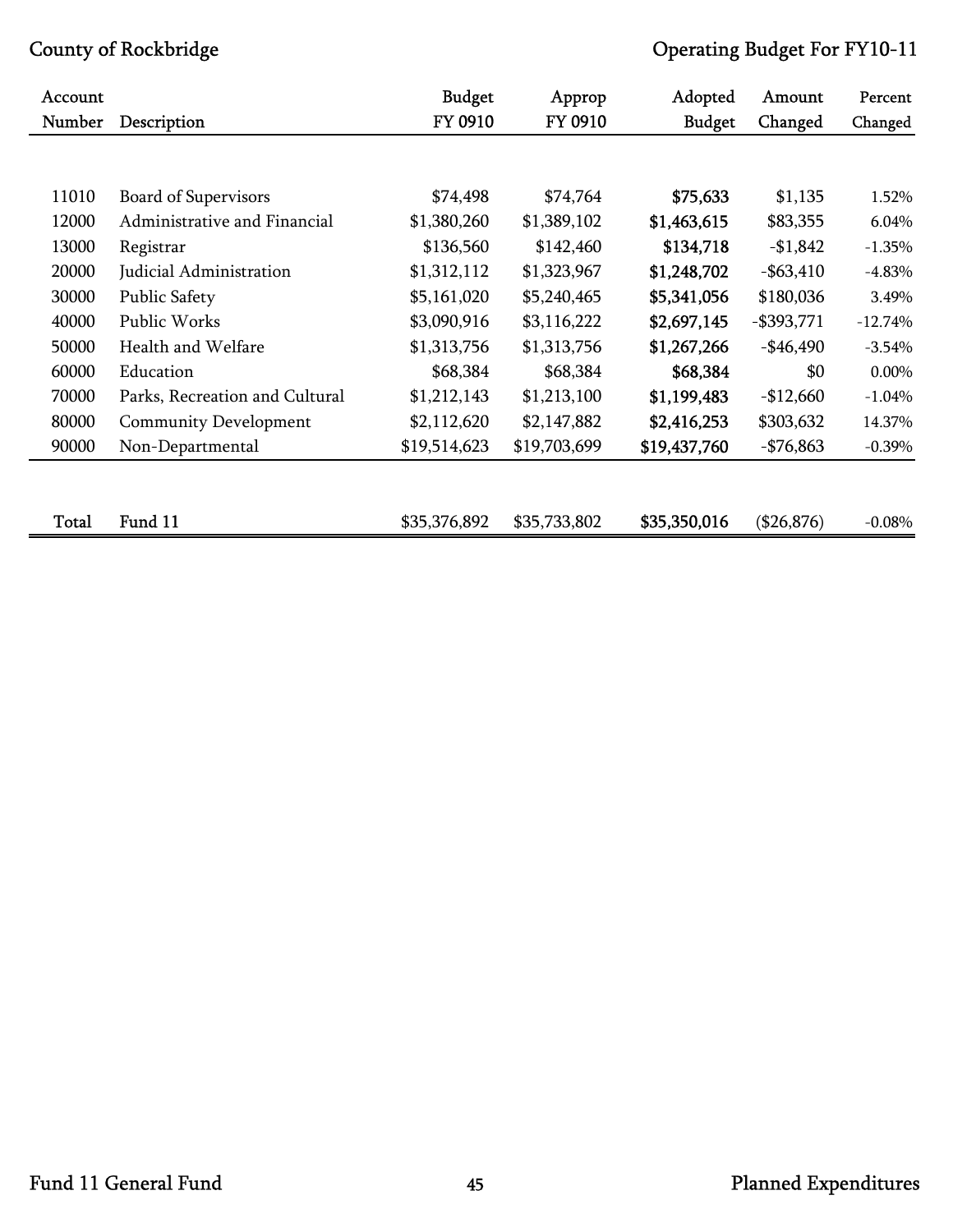| Account<br>Number | Description                    | <b>Budget</b><br>FY 0910 | Approp<br>FY 0910 | Adopted<br><b>Budget</b> | Amount<br>Changed | Percent<br>Changed |
|-------------------|--------------------------------|--------------------------|-------------------|--------------------------|-------------------|--------------------|
|                   |                                |                          |                   |                          |                   |                    |
|                   |                                |                          |                   |                          |                   |                    |
| 11010             | <b>Board of Supervisors</b>    | \$74,498                 | \$74,764          | \$75,633                 | \$1,135           | 1.52%              |
| 12000             | Administrative and Financial   | \$1,380,260              | \$1,389,102       | \$1,463,615              | \$83,355          | 6.04%              |
| 13000             | Registrar                      | \$136,560                | \$142,460         | \$134,718                | $-$1,842$         | $-1.35%$           |
| 20000             | Judicial Administration        | \$1,312,112              | \$1,323,967       | \$1,248,702              | $-$ \$63,410      | $-4.83%$           |
| 30000             | Public Safety                  | \$5,161,020              | \$5,240,465       | \$5,341,056              | \$180,036         | 3.49%              |
| 40000             | Public Works                   | \$3,090,916              | \$3,116,222       | \$2,697,145              | $-$ \$393,771     | $-12.74%$          |
| 50000             | Health and Welfare             | \$1,313,756              | \$1,313,756       | \$1,267,266              | $-$ \$46,490      | $-3.54%$           |
| 60000             | Education                      | \$68,384                 | \$68,384          | \$68,384                 | \$0               | 0.00%              |
| 70000             | Parks, Recreation and Cultural | \$1,212,143              | \$1,213,100       | \$1,199,483              | $-$12,660$        | $-1.04%$           |
| 80000             | <b>Community Development</b>   | \$2,112,620              | \$2,147,882       | \$2,416,253              | \$303,632         | 14.37%             |
| 90000             | Non-Departmental               | \$19,514,623             | \$19,703,699      | \$19,437,760             | $-$76,863$        | $-0.39\%$          |
|                   |                                |                          |                   |                          |                   |                    |
|                   |                                |                          |                   |                          |                   |                    |
| Total             | Fund 11                        | \$35,376,892             | \$35,733,802      | \$35,350,016             | (\$26,876)        | $-0.08%$           |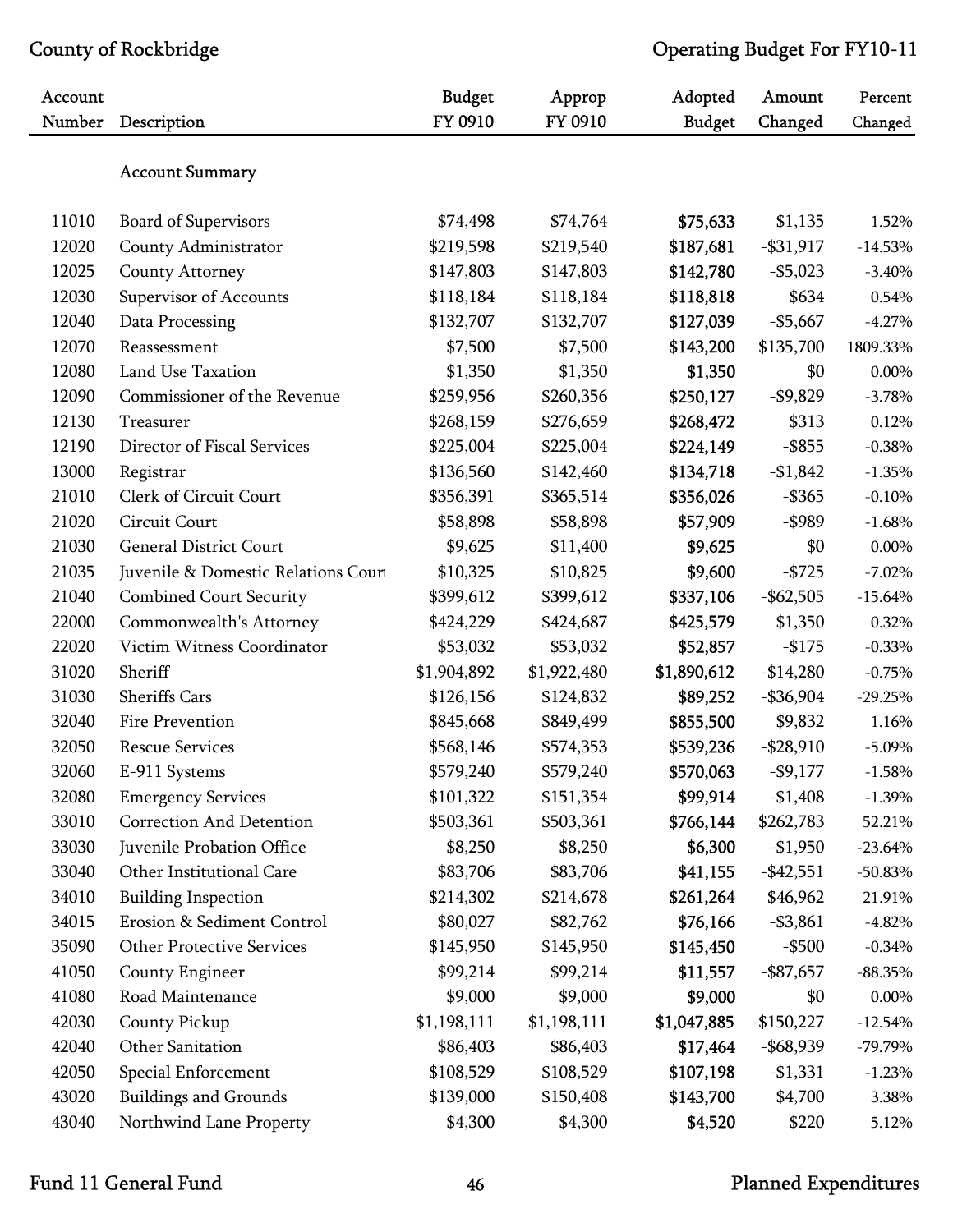| Account<br>Number | Description                         | <b>Budget</b><br>FY 0910 | Approp<br>FY 0910 | Adopted<br><b>Budget</b> | Amount<br>Changed | Percent<br>Changed |
|-------------------|-------------------------------------|--------------------------|-------------------|--------------------------|-------------------|--------------------|
|                   | <b>Account Summary</b>              |                          |                   |                          |                   |                    |
|                   |                                     |                          |                   |                          |                   |                    |
| 11010             | <b>Board of Supervisors</b>         | \$74,498                 | \$74,764          | \$75,633                 | \$1,135           | 1.52%              |
| 12020             | County Administrator                | \$219,598                | \$219,540         | \$187,681                | $-$ \$31,917      | $-14.53%$          |
| 12025             | County Attorney                     | \$147,803                | \$147,803         | \$142,780                | $-$ \$5,023       | $-3.40%$           |
| 12030             | Supervisor of Accounts              | \$118,184                | \$118,184         | \$118,818                | \$634             | 0.54%              |
| 12040             | Data Processing                     | \$132,707                | \$132,707         | \$127,039                | $-$5,667$         | $-4.27%$           |
| 12070             | Reassessment                        | \$7,500                  | \$7,500           | \$143,200                | \$135,700         | 1809.33%           |
| 12080             | Land Use Taxation                   | \$1,350                  | \$1,350           | \$1,350                  | \$0               | 0.00%              |
| 12090             | Commissioner of the Revenue         | \$259,956                | \$260,356         | \$250,127                | $-$9,829$         | $-3.78%$           |
| 12130             | Treasurer                           | \$268,159                | \$276,659         | \$268,472                | \$313             | 0.12%              |
| 12190             | Director of Fiscal Services         | \$225,004                | \$225,004         | \$224,149                | $-$ \$855         | $-0.38%$           |
| 13000             | Registrar                           | \$136,560                | \$142,460         | \$134,718                | $-$1,842$         | $-1.35%$           |
| 21010             | Clerk of Circuit Court              | \$356,391                | \$365,514         | \$356,026                | $-$ \$365         | $-0.10%$           |
| 21020             | Circuit Court                       | \$58,898                 | \$58,898          | \$57,909                 | $-$ \$989         | $-1.68%$           |
| 21030             | <b>General District Court</b>       | \$9,625                  | \$11,400          | \$9,625                  | \$0               | 0.00%              |
| 21035             | Juvenile & Domestic Relations Court | \$10,325                 | \$10,825          | \$9,600                  | $-$ \$725         | $-7.02%$           |
| 21040             | <b>Combined Court Security</b>      | \$399,612                | \$399,612         | \$337,106                | $-$ \$62,505      | $-15.64%$          |
| 22000             | Commonwealth's Attorney             | \$424,229                | \$424,687         | \$425,579                | \$1,350           | 0.32%              |
| 22020             | Victim Witness Coordinator          | \$53,032                 | \$53,032          | \$52,857                 | $-$ \$175         | $-0.33%$           |
| 31020             | Sheriff                             | \$1,904,892              | \$1,922,480       | \$1,890,612              | $-$14,280$        | $-0.75%$           |
| 31030             | <b>Sheriffs Cars</b>                | \$126,156                | \$124,832         | \$89,252                 | $-$ \$36,904      | $-29.25%$          |
| 32040             | Fire Prevention                     | \$845,668                | \$849,499         | \$855,500                | \$9,832           | 1.16%              |
| 32050             | <b>Rescue Services</b>              | \$568,146                | \$574,353         | \$539,236                | $-$ \$28,910      | $-5.09\%$          |
| 32060             | E-911 Systems                       | \$579,240                | \$579,240         | \$570,063                | $-$9,177$         | $-1.58%$           |
| 32080             | <b>Emergency Services</b>           | \$101,322                | \$151,354         | \$99,914                 | $-$1,408$         | $-1.39\%$          |
| 33010             | <b>Correction And Detention</b>     | \$503,361                | \$503,361         | \$766,144                | \$262,783         | 52.21%             |
| 33030             | Juvenile Probation Office           | \$8,250                  | \$8,250           | \$6,300                  | $-$1,950$         | $-23.64%$          |
| 33040             | Other Institutional Care            | \$83,706                 | \$83,706          | \$41,155                 | $-$ \$42,551      | $-50.83%$          |
| 34010             | <b>Building Inspection</b>          | \$214,302                | \$214,678         | \$261,264                | \$46,962          | 21.91%             |
| 34015             | Erosion & Sediment Control          | \$80,027                 | \$82,762          | \$76,166                 | $-$ \$3,861       | $-4.82%$           |
| 35090             | <b>Other Protective Services</b>    | \$145,950                | \$145,950         | \$145,450                | $-$ \$500         | $-0.34%$           |
| 41050             | County Engineer                     | \$99,214                 | \$99,214          | \$11,557                 | $-$ \$87,657      | $-88.35%$          |
| 41080             | Road Maintenance                    | \$9,000                  | \$9,000           | \$9,000                  | \$0               | 0.00%              |
| 42030             | <b>County Pickup</b>                | \$1,198,111              | \$1,198,111       | \$1,047,885              | $-$150,227$       | $-12.54%$          |
| 42040             | Other Sanitation                    | \$86,403                 | \$86,403          | \$17,464                 | $-$ \$68,939      | $-79.79%$          |
| 42050             | Special Enforcement                 | \$108,529                | \$108,529         | \$107,198                | $-$1,331$         | $-1.23%$           |
| 43020             | <b>Buildings and Grounds</b>        | \$139,000                | \$150,408         | \$143,700                | \$4,700           | 3.38%              |
| 43040             | Northwind Lane Property             | \$4,300                  | \$4,300           | \$4,520                  | \$220             | 5.12%              |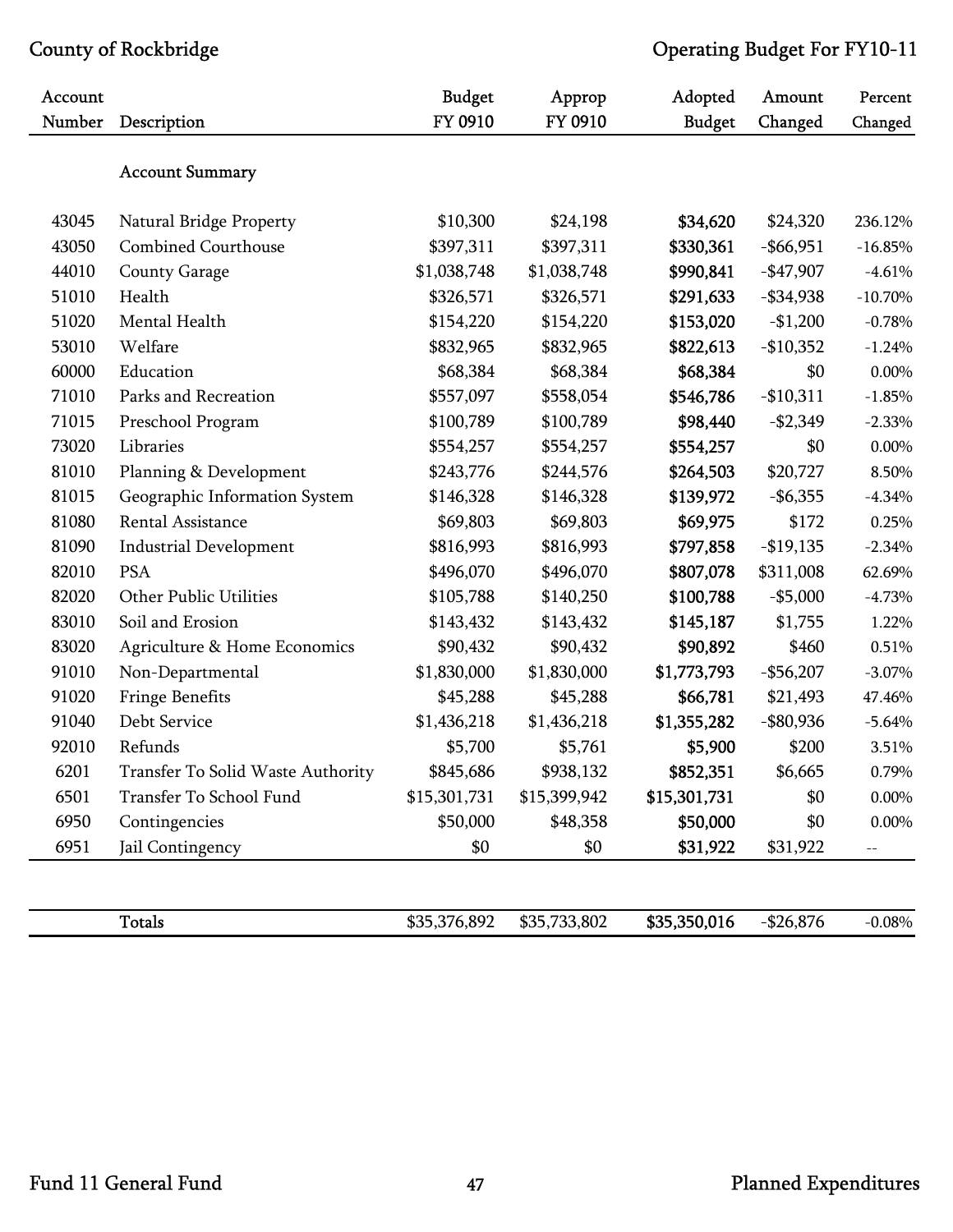| Account |                                   | <b>Budget</b> | Approp       | Adopted       | Amount       | Percent   |
|---------|-----------------------------------|---------------|--------------|---------------|--------------|-----------|
| Number  | Description                       | FY 0910       | FY 0910      | <b>Budget</b> | Changed      | Changed   |
|         | <b>Account Summary</b>            |               |              |               |              |           |
| 43045   | Natural Bridge Property           | \$10,300      | \$24,198     | \$34,620      | \$24,320     | 236.12%   |
| 43050   | <b>Combined Courthouse</b>        | \$397,311     | \$397,311    | \$330,361     | $-$ \$66,951 | $-16.85%$ |
| 44010   | <b>County Garage</b>              | \$1,038,748   | \$1,038,748  | \$990,841     | $-$ \$47,907 | $-4.61%$  |
| 51010   | Health                            | \$326,571     | \$326,571    | \$291,633     | $-$ \$34,938 | $-10.70%$ |
| 51020   | Mental Health                     | \$154,220     | \$154,220    | \$153,020     | $-$1,200$    | $-0.78%$  |
| 53010   | Welfare                           | \$832,965     | \$832,965    | \$822,613     | $-$10,352$   | $-1.24%$  |
| 60000   | Education                         | \$68,384      | \$68,384     | \$68,384      | \$0          | 0.00%     |
| 71010   | Parks and Recreation              | \$557,097     | \$558,054    | \$546,786     | $-$10,311$   | $-1.85%$  |
| 71015   | Preschool Program                 | \$100,789     | \$100,789    | \$98,440      | $-$2,349$    | $-2.33%$  |
| 73020   | Libraries                         | \$554,257     | \$554,257    | \$554,257     | \$0          | 0.00%     |
| 81010   | Planning & Development            | \$243,776     | \$244,576    | \$264,503     | \$20,727     | 8.50%     |
| 81015   | Geographic Information System     | \$146,328     | \$146,328    | \$139,972     | $-$ \$6,355  | $-4.34%$  |
| 81080   | Rental Assistance                 | \$69,803      | \$69,803     | \$69,975      | \$172        | 0.25%     |
| 81090   | <b>Industrial Development</b>     | \$816,993     | \$816,993    | \$797,858     | $-$19,135$   | $-2.34%$  |
| 82010   | <b>PSA</b>                        | \$496,070     | \$496,070    | \$807,078     | \$311,008    | 62.69%    |
| 82020   | <b>Other Public Utilities</b>     | \$105,788     | \$140,250    | \$100,788     | $-$ \$5,000  | $-4.73%$  |
| 83010   | Soil and Erosion                  | \$143,432     | \$143,432    | \$145,187     | \$1,755      | 1.22%     |
| 83020   | Agriculture & Home Economics      | \$90,432      | \$90,432     | \$90,892      | \$460        | 0.51%     |
| 91010   | Non-Departmental                  | \$1,830,000   | \$1,830,000  | \$1,773,793   | $-$ \$56,207 | $-3.07\%$ |
| 91020   | <b>Fringe Benefits</b>            | \$45,288      | \$45,288     | \$66,781      | \$21,493     | 47.46%    |
| 91040   | Debt Service                      | \$1,436,218   | \$1,436,218  | \$1,355,282   | $-$ \$80,936 | $-5.64%$  |
| 92010   | Refunds                           | \$5,700       | \$5,761      | \$5,900       | \$200        | 3.51%     |
| 6201    | Transfer To Solid Waste Authority | \$845,686     | \$938,132    | \$852,351     | \$6,665      | 0.79%     |
| 6501    | Transfer To School Fund           | \$15,301,731  | \$15,399,942 | \$15,301,731  | \$0          | $0.00\%$  |
| 6950    | Contingencies                     | \$50,000      | \$48,358     | \$50,000      | \$0          | 0.00%     |
| 6951    | Jail Contingency                  | \$0           | \$0          | \$31,922      | \$31,922     | $-\,-$    |
|         |                                   |               |              |               |              |           |

Totals \$35,376,892 \$35,733,802 \$35,350,016 -\$26,876 -0.08%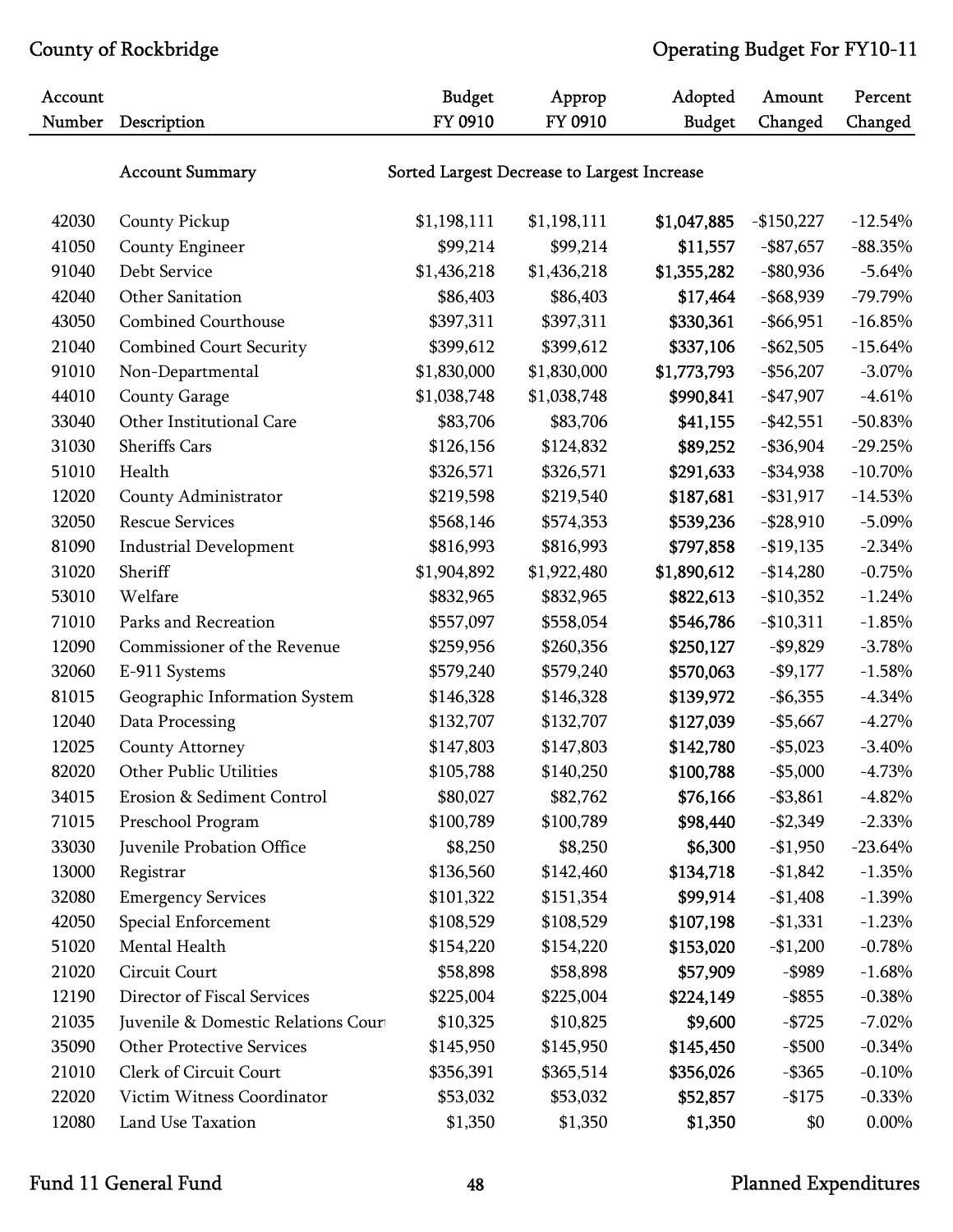| Account |                                     | <b>Budget</b>                               | Approp<br>FY 0910 | Adopted       | Amount       | Percent    |  |
|---------|-------------------------------------|---------------------------------------------|-------------------|---------------|--------------|------------|--|
| Number  | Description                         | FY 0910                                     |                   | <b>Budget</b> | Changed      | Changed    |  |
|         | <b>Account Summary</b>              | Sorted Largest Decrease to Largest Increase |                   |               |              |            |  |
| 42030   | County Pickup                       | \$1,198,111                                 | \$1,198,111       | \$1,047,885   | $-$150,227$  | $-12.54%$  |  |
| 41050   | County Engineer                     | \$99,214                                    | \$99,214          | \$11,557      | $-$ \$87,657 | $-88.35%$  |  |
| 91040   | Debt Service                        | \$1,436,218                                 | \$1,436,218       | \$1,355,282   | $-$ \$80,936 | $-5.64%$   |  |
| 42040   | Other Sanitation                    | \$86,403                                    | \$86,403          | \$17,464      | $-$ \$68,939 | $-79.79%$  |  |
| 43050   | <b>Combined Courthouse</b>          | \$397,311                                   | \$397,311         | \$330,361     | $-$ \$66,951 | $-16.85%$  |  |
| 21040   | <b>Combined Court Security</b>      | \$399,612                                   | \$399,612         | \$337,106     | $-$ \$62,505 | $-15.64%$  |  |
| 91010   | Non-Departmental                    | \$1,830,000                                 | \$1,830,000       | \$1,773,793   | $-$ \$56,207 | $-3.07\%$  |  |
| 44010   | <b>County Garage</b>                | \$1,038,748                                 | \$1,038,748       | \$990,841     | $-$ \$47,907 | $-4.61%$   |  |
| 33040   | Other Institutional Care            | \$83,706                                    | \$83,706          | \$41,155      | $-$ \$42,551 | $-50.83%$  |  |
| 31030   | <b>Sheriffs Cars</b>                | \$126,156                                   | \$124,832         | \$89,252      | $-$ \$36,904 | $-29.25%$  |  |
| 51010   | Health                              | \$326,571                                   | \$326,571         | \$291,633     | $-$ \$34,938 | $-10.70%$  |  |
| 12020   | County Administrator                | \$219,598                                   | \$219,540         | \$187,681     | $-$ \$31,917 | $-14.53%$  |  |
| 32050   | <b>Rescue Services</b>              | \$568,146                                   | \$574,353         | \$539,236     | $-$ \$28,910 | $-5.09\%$  |  |
| 81090   | <b>Industrial Development</b>       | \$816,993                                   | \$816,993         | \$797,858     | $-$19,135$   | $-2.34%$   |  |
| 31020   | Sheriff                             | \$1,904,892                                 | \$1,922,480       | \$1,890,612   | $-$14,280$   | $-0.75%$   |  |
| 53010   | Welfare                             | \$832,965                                   | \$832,965         | \$822,613     | $-$10,352$   | $-1.24%$   |  |
| 71010   | Parks and Recreation                | \$557,097                                   | \$558,054         | \$546,786     | $-$10,311$   | $-1.85%$   |  |
| 12090   | Commissioner of the Revenue         | \$259,956                                   | \$260,356         | \$250,127     | $-$9,829$    | $-3.78%$   |  |
| 32060   | E-911 Systems                       | \$579,240                                   | \$579,240         | \$570,063     | $-$ \$9,177  | $-1.58%$   |  |
| 81015   | Geographic Information System       | \$146,328                                   | \$146,328         | \$139,972     | $-$ \$6,355  | $-4.34%$   |  |
| 12040   | Data Processing                     | \$132,707                                   | \$132,707         | \$127,039     | $-$5,667$    | $-4.27%$   |  |
| 12025   | County Attorney                     | \$147,803                                   | \$147,803         | \$142,780     | $- $5,023$   | $-3.40%$   |  |
| 82020   | Other Public Utilities              | \$105,788                                   | \$140,250         | \$100,788     | $-$5,000$    | $-4.73%$   |  |
| 34015   | Erosion & Sediment Control          | \$80,027                                    | \$82,762          | \$76,166      | $- $3,861$   | $-4.82%$   |  |
| 71015   | Preschool Program                   | \$100,789                                   | \$100,789         | \$98,440      | $-$2,349$    | $-2.33%$   |  |
| 33030   | Juvenile Probation Office           | \$8,250                                     | \$8,250           | \$6,300       | $-$1,950$    | $-23.64\%$ |  |
| 13000   | Registrar                           | \$136,560                                   | \$142,460         | \$134,718     | $-$1,842$    | $-1.35%$   |  |
| 32080   | <b>Emergency Services</b>           | \$101,322                                   | \$151,354         | \$99,914      | $-$1,408$    | $-1.39\%$  |  |
| 42050   | Special Enforcement                 | \$108,529                                   | \$108,529         | \$107,198     | $-1,331$     | $-1.23%$   |  |
| 51020   | Mental Health                       | \$154,220                                   | \$154,220         | \$153,020     | $-$1,200$    | $-0.78%$   |  |
| 21020   | Circuit Court                       | \$58,898                                    | \$58,898          | \$57,909      | $-$ \$989    | $-1.68%$   |  |
| 12190   | Director of Fiscal Services         | \$225,004                                   | \$225,004         | \$224,149     | $-$ \$855    | $-0.38%$   |  |
| 21035   | Juvenile & Domestic Relations Court | \$10,325                                    | \$10,825          | \$9,600       | $-$ \$725    | $-7.02%$   |  |
| 35090   | <b>Other Protective Services</b>    | \$145,950                                   | \$145,950         | \$145,450     | $-$ \$500    | $-0.34%$   |  |
| 21010   | Clerk of Circuit Court              | \$356,391                                   | \$365,514         | \$356,026     | $-$ \$365    | $-0.10%$   |  |
| 22020   | Victim Witness Coordinator          | \$53,032                                    | \$53,032          | \$52,857      | $-$175$      | $-0.33%$   |  |
| 12080   | Land Use Taxation                   | \$1,350                                     | \$1,350           | \$1,350       | \$0          | 0.00%      |  |